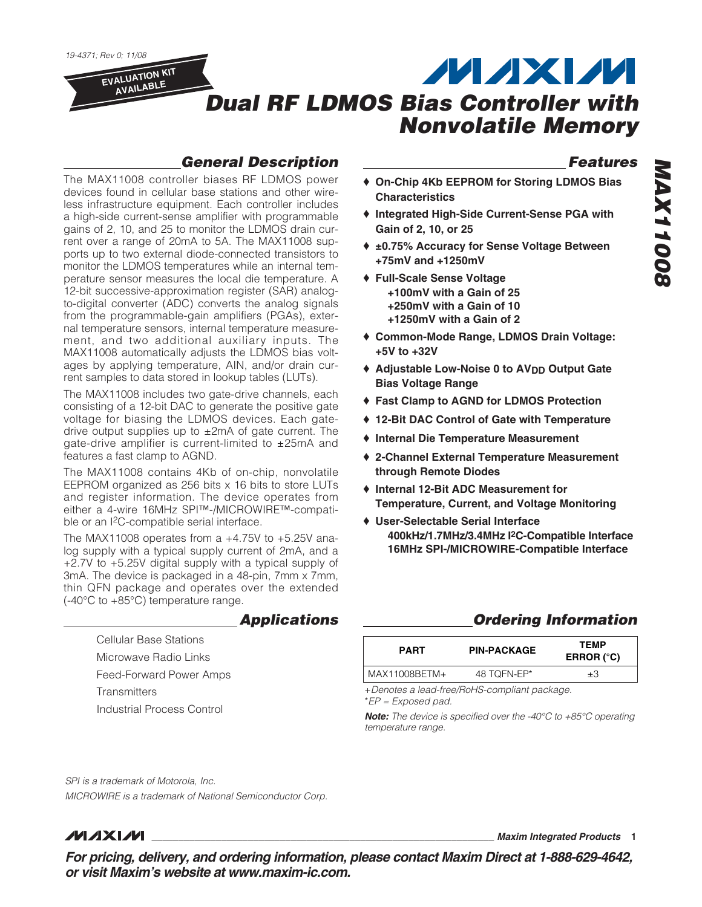19-4371; Rev 0; 11/08

**EVALUATION KIT AVAILABLE**

# **MAXM Dual RF LDMOS Bias Controller with Nonvolatile Memory**

# **General Description**

The MAX11008 controller biases RF LDMOS power devices found in cellular base stations and other wireless infrastructure equipment. Each controller includes a high-side current-sense amplifier with programmable gains of 2, 10, and 25 to monitor the LDMOS drain current over a range of 20mA to 5A. The MAX11008 supports up to two external diode-connected transistors to monitor the LDMOS temperatures while an internal temperature sensor measures the local die temperature. A 12-bit successive-approximation register (SAR) analogto-digital converter (ADC) converts the analog signals from the programmable-gain amplifiers (PGAs), external temperature sensors, internal temperature measurement, and two additional auxiliary inputs. The MAX11008 automatically adjusts the LDMOS bias voltages by applying temperature, AIN, and/or drain current samples to data stored in lookup tables (LUTs).

The MAX11008 includes two gate-drive channels, each consisting of a 12-bit DAC to generate the positive gate voltage for biasing the LDMOS devices. Each gatedrive output supplies up to  $\pm 2$ mA of gate current. The gate-drive amplifier is current-limited to ±25mA and features a fast clamp to AGND.

The MAX11008 contains 4Kb of on-chip, nonvolatile EEPROM organized as 256 bits x 16 bits to store LUTs and register information. The device operates from either a 4-wire 16MHz SPI™-/MICROWIRE™-compatible or an I2C-compatible serial interface.

The MAX11008 operates from a +4.75V to +5.25V analog supply with a typical supply current of 2mA, and a +2.7V to +5.25V digital supply with a typical supply of 3mA. The device is packaged in a 48-pin, 7mm x 7mm, thin QFN package and operates over the extended (-40°C to +85°C) temperature range.

### **Applications**

Cellular Base Stations Microwave Radio Links Feed-Forward Power Amps **Transmitters** Industrial Process Control

# **Features**

- ♦ **On-Chip 4Kb EEPROM for Storing LDMOS Bias Characteristics**
- ♦ **Integrated High-Side Current-Sense PGA with Gain of 2, 10, or 25**
- ♦ **±0.75% Accuracy for Sense Voltage Between +75mV and +1250mV**
- ♦ **Full-Scale Sense Voltage +100mV with a Gain of 25 +250mV with a Gain of 10 +1250mV with a Gain of 2**
- ♦ **Common-Mode Range, LDMOS Drain Voltage: +5V to +32V**
- ♦ **Adjustable Low-Noise 0 to AVDD Output Gate Bias Voltage Range**
- ♦ **Fast Clamp to AGND for LDMOS Protection**
- ♦ **12-Bit DAC Control of Gate with Temperature**
- ♦ **Internal Die Temperature Measurement**
- ♦ **2-Channel External Temperature Measurement through Remote Diodes**
- ♦ **Internal 12-Bit ADC Measurement for Temperature, Current, and Voltage Monitoring**
- ♦ **User-Selectable Serial Interface 400kHz/1.7MHz/3.4MHz I2C-Compatible Interface 16MHz SPI-/MICROWIRE-Compatible Interface**

### **Ordering Information**

| <b>PIN-PACKAGE</b> | <b>TEMP</b><br>ERROR $(^{\circ}C)$ |
|--------------------|------------------------------------|
| 48 TOFN-EP*        | ±З                                 |
|                    |                                    |

+Denotes a lead-free/RoHS-compliant package. \*EP = Exposed pad.

**Note:** The device is specified over the -40°C to +85°C operating temperature range.

SPI is a trademark of Motorola, Inc.

MICROWIRE is a trademark of National Semiconductor Corp.

# *MAXM*

**\_\_\_\_\_\_\_\_\_\_\_\_\_\_\_\_\_\_\_\_\_\_\_\_\_\_\_\_\_\_\_\_\_\_\_\_\_\_\_\_\_\_\_\_\_\_\_\_\_\_\_\_\_\_\_\_\_\_\_\_\_\_\_\_ Maxim Integrated Products 1**

**For pricing, delivery, and ordering information, please contact Maxim Direct at 1-888-629-4642, or visit Maxim's website at www.maxim-ic.com.**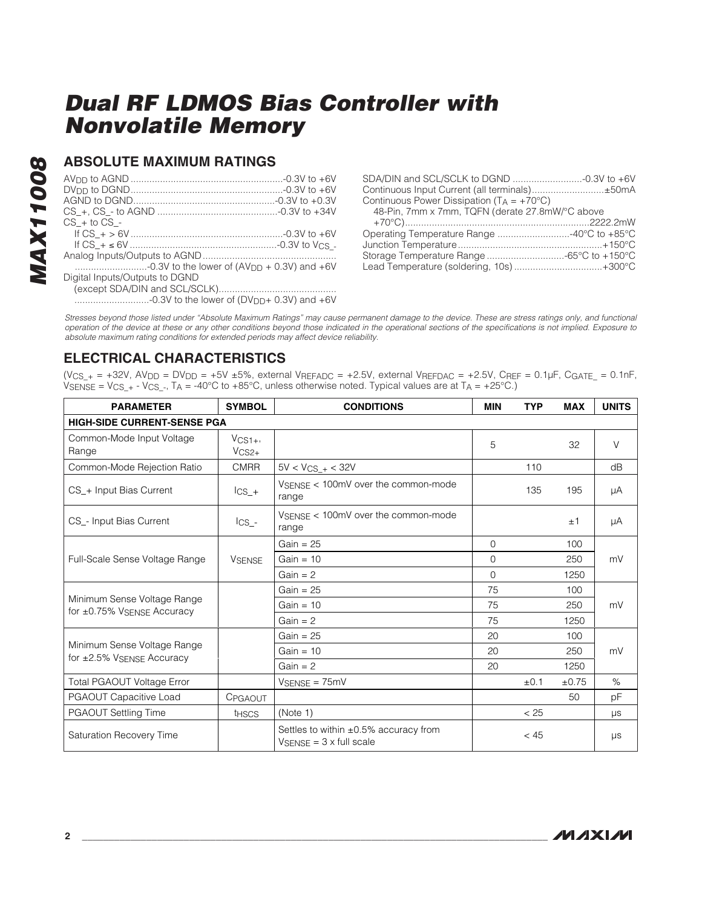### **ABSOLUTE MAXIMUM RATINGS**

| $CS + to CS -$                                          |  |
|---------------------------------------------------------|--|
|                                                         |  |
|                                                         |  |
|                                                         |  |
|                                                         |  |
| Digital Inputs/Outputs to DGND                          |  |
|                                                         |  |
| -0.3V to the lower of (DV <sub>DD</sub> + 0.3V) and +6V |  |

| SDA/DIN and SCL/SCLK to DGND -0.3V to +6V             |  |
|-------------------------------------------------------|--|
| Continuous Input Current (all terminals)±50mA         |  |
| Continuous Power Dissipation ( $T_A = +70^{\circ}C$ ) |  |
| 48-Pin, 7mm x 7mm, TQFN (derate 27.8mW/°C above       |  |
|                                                       |  |
| Operating Temperature Range 40°C to +85°C             |  |
|                                                       |  |
| Storage Temperature Range -65°C to +150°C             |  |
| Lead Temperature (soldering, 10s)+300°C               |  |
|                                                       |  |

Stresses beyond those listed under "Absolute Maximum Ratings" may cause permanent damage to the device. These are stress ratings only, and functional operation of the device at these or any other conditions beyond those indicated in the operational sections of the specifications is not implied. Exposure to absolute maximum rating conditions for extended periods may affect device reliability.

### **ELECTRICAL CHARACTERISTICS**

 $(V_{CS}$  + = +32V, AV<sub>DD</sub> = DV<sub>DD</sub> = +5V ±5%, external VREFADC = +2.5V, external VREFDAC = +2.5V, CREF = 0.1µF, CGATE = 0.1nF,  $V_{\text{SENSE}} = V_{\text{CS}} + - V_{\text{CS}}$ ., TA = -40°C to +85°C, unless otherwise noted. Typical values are at TA = +25°C.)

| <b>PARAMETER</b>                                                | <b>SYMBOL</b>         | <b>CONDITIONS</b>                                                                              | <b>MIN</b>   | <b>TYP</b> | <b>MAX</b> | <b>UNITS</b> |
|-----------------------------------------------------------------|-----------------------|------------------------------------------------------------------------------------------------|--------------|------------|------------|--------------|
| <b>HIGH-SIDE CURRENT-SENSE PGA</b>                              |                       |                                                                                                |              |            |            |              |
| Common-Mode Input Voltage<br>Range                              | $V_{CS1+}$<br>$VCS2+$ |                                                                                                | 5            |            | 32         | V            |
| Common-Mode Rejection Ratio                                     | <b>CMRR</b>           | $5V < V_{CS_{-+}} < 32V$                                                                       |              | 110        |            | dB           |
| CS_+ Input Bias Current                                         | $\text{lcs}_{-+}$     | VSENSE < 100mV over the common-mode<br>range                                                   |              | 135        | 195        | μA           |
| CS - Input Bias Current                                         | $\text{lcs}\_$        | VSENSE < 100mV over the common-mode<br>range                                                   |              |            | ±1         | μA           |
| Full-Scale Sense Voltage Range                                  |                       | Gain = $25$                                                                                    | $\mathbf{0}$ |            | 100        | mV           |
|                                                                 | <b>VSENSE</b>         | Gain = $10$                                                                                    | 0            |            | 250        |              |
|                                                                 |                       | $Gain = 2$                                                                                     | 0            |            | 1250       |              |
|                                                                 |                       | $Gain = 25$                                                                                    | 75           |            | 100        |              |
| Minimum Sense Voltage Range<br>for $\pm 0.75\%$ VSENSE Accuracy |                       | Gain = $10$                                                                                    | 75           |            | 250        | mV           |
|                                                                 |                       | Gain $= 2$                                                                                     | 75           |            | 1250       |              |
|                                                                 |                       | $Gain = 25$                                                                                    | 20           |            | 100        |              |
| Minimum Sense Voltage Range<br>for $\pm 2.5\%$ VSENSE Accuracy  |                       | Gain = $10$                                                                                    | 20           |            | 250        | mV           |
|                                                                 |                       | Gain = $2$                                                                                     | 20           |            | 1250       |              |
| Total PGAOUT Voltage Error                                      |                       | $V_{\text{SENSE}} = 75 \text{mV}$                                                              |              | ±0.1       | ±0.75      | %            |
| PGAOUT Capacitive Load                                          | CPGAOUT               |                                                                                                |              |            | 50         | pF           |
| PGAOUT Settling Time                                            | <b>t</b> HSCS         | (Note 1)                                                                                       |              | < 25       |            | μs           |
| Saturation Recovery Time                                        |                       | Settles to within $\pm 0.5\%$ accuracy from<br>$V_{\text{SENSE}} = 3 \times \text{full scale}$ |              | < 45       |            | μs           |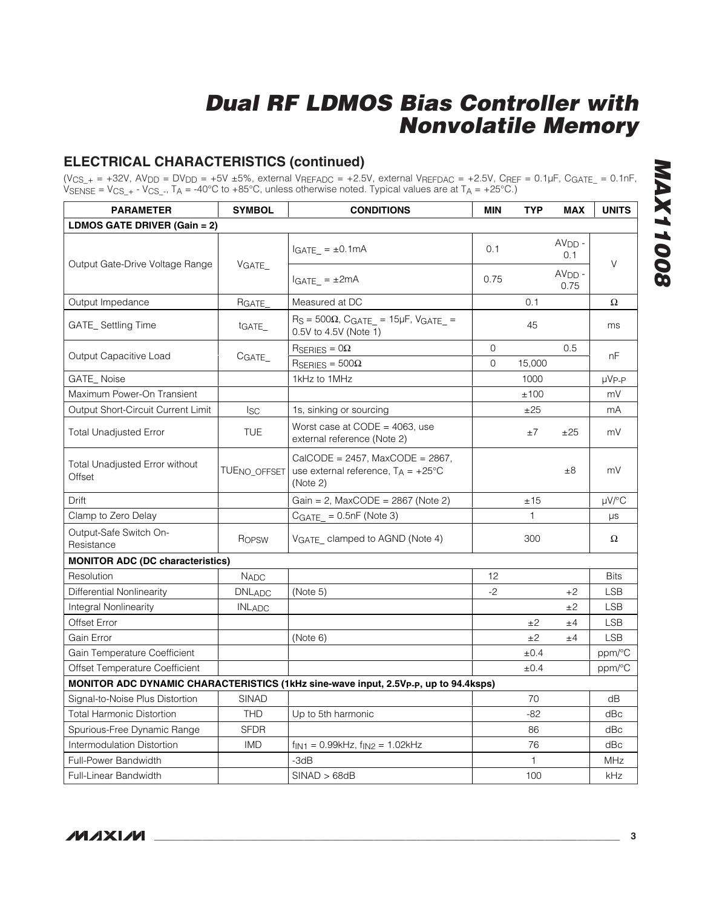### **ELECTRICAL CHARACTERISTICS (continued)**

(V<sub>CS\_+</sub> = +32V, AV<sub>DD</sub> = DV<sub>DD</sub> = +5V ±5%, external V<sub>REFADC</sub> = +2.5V, external V<sub>REFDAC</sub> = +2.5V, C<sub>REF</sub> = 0.1µF, C<sub>GATE\_</sub> = 0.1nF, <code>VsENSE</code> =  $\text{VCS}_+$  -  $\text{VCS}_-$ , T<code>A</code> = -40°C to +85°C, unless otherwise noted. Typical values are at T<code>A</code> = +25°C.)

| <b>PARAMETER</b>                                | <b>SYMBOL</b>            | <b>CONDITIONS</b>                                                                                 | <b>MIN</b>  | <b>TYP</b> | <b>MAX</b>       | <b>UNITS</b>  |
|-------------------------------------------------|--------------------------|---------------------------------------------------------------------------------------------------|-------------|------------|------------------|---------------|
| LDMOS GATE DRIVER (Gain = 2)                    |                          |                                                                                                   |             |            |                  |               |
| Output Gate-Drive Voltage Range                 |                          | $IGATE = ±0.1mA$                                                                                  | 0.1         |            | $AVDD$ -<br>0.1  | $\vee$        |
|                                                 | VGATE                    | $IGATE$ = $\pm 2mA$                                                                               | 0.75        |            | $AVDD -$<br>0.75 |               |
| Output Impedance                                | RGATE                    | Measured at DC                                                                                    |             | 0.1        |                  | Ω             |
| GATE_Settling Time                              | t <sub>GATE</sub>        | $R_S = 500\Omega$ , CGATE_ = 15µF, VGATE_ =<br>0.5V to 4.5V (Note 1)                              |             | 45         |                  | ms            |
|                                                 |                          | $R_{SERIES} = 0\Omega$                                                                            | $\Omega$    |            | 0.5              | nF            |
| Output Capacitive Load                          | CGATE                    | $\text{R}$ SERIES = 500 $\Omega$                                                                  | $\mathbf 0$ | 15,000     |                  |               |
| <b>GATE_Noise</b>                               |                          | 1kHz to 1MHz                                                                                      |             | 1000       |                  | $\mu V_{P-P}$ |
| Maximum Power-On Transient                      |                          |                                                                                                   |             | ±100       |                  | mV            |
| Output Short-Circuit Current Limit              | <b>ISC</b>               | 1s, sinking or sourcing                                                                           |             | ±25        |                  | mA            |
| <b>Total Unadjusted Error</b>                   | <b>TUE</b>               | Worst case at $CODE = 4063$ , use<br>external reference (Note 2)                                  |             | $\pm 7$    | ±25              | mV            |
| <b>Total Unadjusted Error without</b><br>Offset | TUE <sub>NO</sub> OFFSET | CalCODE = $2457$ , MaxCODE = $2867$ ,<br>use external reference, $T_A = +25^{\circ}C$<br>(Note 2) |             |            | ±8               | mV            |
| Drift                                           |                          | Gain = 2, MaxCODE = $2867$ (Note 2)                                                               |             | ±15        |                  | $\mu$ V/°C    |
| Clamp to Zero Delay                             |                          | $CGATE = 0.5nF$ (Note 3)                                                                          |             | 1          |                  | μs            |
| Output-Safe Switch On-<br>Resistance            | ROPSW                    | VGATE_ clamped to AGND (Note 4)                                                                   |             | 300        |                  | Ω             |
| <b>MONITOR ADC (DC characteristics)</b>         |                          |                                                                                                   |             |            |                  |               |
| Resolution                                      | <b>NADC</b>              |                                                                                                   | 12          |            |                  | <b>Bits</b>   |
| Differential Nonlinearity                       | <b>DNLADC</b>            | (Note 5)                                                                                          | $-2$        |            | $+2$             | <b>LSB</b>    |
| Integral Nonlinearity                           | <b>INLADC</b>            |                                                                                                   |             |            | ±2               | <b>LSB</b>    |
| Offset Error                                    |                          |                                                                                                   |             | ±2         | ±4               | <b>LSB</b>    |
| Gain Error                                      |                          | (Note 6)                                                                                          |             | ±2         | ±4               | <b>LSB</b>    |
| Gain Temperature Coefficient                    |                          |                                                                                                   |             | $\pm 0.4$  |                  | ppm/°C        |
| Offset Temperature Coefficient                  |                          |                                                                                                   |             | ±0.4       |                  | ppm/°C        |
|                                                 |                          | MONITOR ADC DYNAMIC CHARACTERISTICS (1kHz sine-wave input, 2.5Vp-p, up to 94.4ksps)               |             |            |                  |               |
| Signal-to-Noise Plus Distortion                 | <b>SINAD</b>             |                                                                                                   |             | 70         |                  | dB            |
| <b>Total Harmonic Distortion</b>                | <b>THD</b>               | Up to 5th harmonic                                                                                |             | $-82$      |                  | dBc           |
| Spurious-Free Dynamic Range                     | <b>SFDR</b>              |                                                                                                   |             | 86         |                  | dBc           |
| Intermodulation Distortion                      | <b>IMD</b>               | $f_{IN1} = 0.99kHz$ , $f_{IN2} = 1.02kHz$                                                         |             | 76         |                  | dBc           |
| Full-Power Bandwidth                            |                          | -3dB                                                                                              |             | 1          |                  | <b>MHz</b>    |
| <b>Full-Linear Bandwidth</b>                    |                          | SINAD > 68dB                                                                                      |             | 100        |                  | kHz           |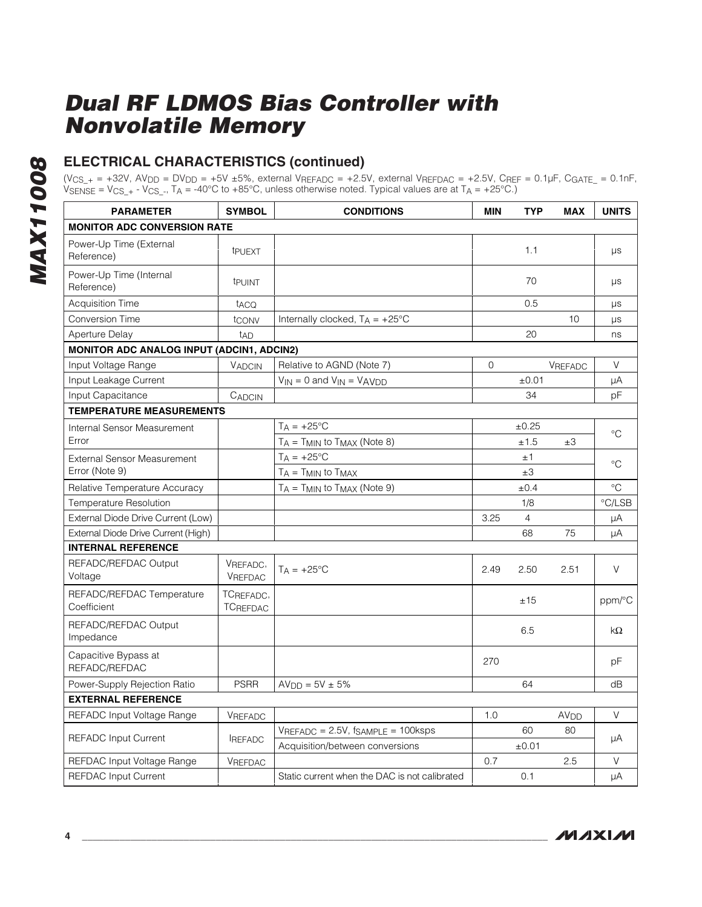# **ELECTRICAL CHARACTERISTICS (continued)**

(V<sub>CS\_+</sub> = +32V, AV<sub>DD</sub> = DV<sub>DD</sub> = +5V ±5%, external V<sub>REFADC</sub> = +2.5V, external V<sub>REFDAC</sub> = +2.5V, C<sub>REF</sub> = 0.1µF, C<sub>GATE\_</sub> = 0.1nF, <code>VsENSE</code> =  $\text{VCS}_+$  -  $\text{VCS}_-$ , T<code>A</code> = -40°C to +85°C, unless otherwise noted. Typical values are at T<code>A</code> = +25°C.)

| <b>PARAMETER</b>                                 | <b>SYMBOL</b>                | <b>CONDITIONS</b>                             | <b>MIN</b> | <b>TYP</b>     | <b>MAX</b>       | <b>UNITS</b>              |
|--------------------------------------------------|------------------------------|-----------------------------------------------|------------|----------------|------------------|---------------------------|
| <b>MONITOR ADC CONVERSION RATE</b>               |                              |                                               |            |                |                  |                           |
| Power-Up Time (External<br>Reference)            | t <sub>PUEXT</sub>           |                                               |            | 1.1            |                  | $\mu s$                   |
| Power-Up Time (Internal<br>Reference)            | tpuint                       |                                               |            | 70             |                  | μs                        |
| <b>Acquisition Time</b>                          | t <sub>ACQ</sub>             |                                               |            | 0.5            |                  | $\mu s$                   |
| <b>Conversion Time</b>                           | tconv                        | Internally clocked, $T_A = +25^{\circ}C$      |            |                | 10               | $\mu s$                   |
| <b>Aperture Delay</b>                            | t <sub>AD</sub>              |                                               |            | 20             |                  | ns                        |
| <b>MONITOR ADC ANALOG INPUT (ADCIN1, ADCIN2)</b> |                              |                                               |            |                |                  |                           |
| Input Voltage Range                              | <b>VADCIN</b>                | Relative to AGND (Note 7)                     | $\Omega$   |                | <b>VREFADC</b>   | V                         |
| Input Leakage Current                            |                              | $V_{IN} = 0$ and $V_{IN} = VAVDD$             |            | ±0.01          |                  | μA                        |
| Input Capacitance                                | CADCIN                       |                                               |            | 34             |                  | pF                        |
| <b>TEMPERATURE MEASUREMENTS</b>                  |                              |                                               |            |                |                  |                           |
| Internal Sensor Measurement                      |                              | $T_A = +25$ °C                                |            | $\pm 0.25$     |                  | $^{\circ}C$               |
| Error                                            |                              | $T_A = T_{MIN}$ to $T_{MAX}$ (Note 8)         |            | ±1.5           | $\pm 3$          |                           |
| <b>External Sensor Measurement</b>               |                              | $T_A = +25$ °C                                |            | ±1             |                  |                           |
| Error (Note 9)                                   |                              | $T_A = T_{MIN}$ to $T_{MAX}$                  |            | ±3             |                  | $^{\circ}C$               |
| Relative Temperature Accuracy                    |                              | $T_A = T_{MIN}$ to $T_{MAX}$ (Note 9)         |            | ±0.4           |                  | $^{\circ}C$               |
| Temperature Resolution                           |                              |                                               |            | 1/8            |                  | $\mathrm{C}/\mathsf{LSB}$ |
| External Diode Drive Current (Low)               |                              |                                               | 3.25       | $\overline{4}$ |                  | μA                        |
| External Diode Drive Current (High)              |                              |                                               |            | 68             | 75               | μA                        |
| <b>INTERNAL REFERENCE</b>                        |                              |                                               |            |                |                  |                           |
| REFADC/REFDAC Output<br>Voltage                  | VREFADC,<br>VREFDAC          | $T_A = +25^{\circ}C$                          | 2.49       | 2.50           | 2.51             | V                         |
| REFADC/REFDAC Temperature<br>Coefficient         | TCREFADC.<br><b>TCREFDAC</b> |                                               |            | ±15            |                  | ppm/°C                    |
| REFADC/REFDAC Output<br>Impedance                |                              |                                               |            | 6.5            |                  | $k\Omega$                 |
| Capacitive Bypass at<br>REFADC/REFDAC            |                              |                                               | 270        |                |                  | рF                        |
| Power-Supply Rejection Ratio                     | <b>PSRR</b>                  | $AVDD = 5V \pm 5%$                            |            | 64             |                  | dB                        |
| <b>EXTERNAL REFERENCE</b>                        |                              |                                               |            |                |                  |                           |
| REFADC Input Voltage Range                       | <b>VREFADC</b>               |                                               | 1.0        |                | AV <sub>DD</sub> | V                         |
|                                                  |                              | $V_{REFADC} = 2.5V$ , fsampLE = 100ksps       |            | 60             | 80               |                           |
| <b>REFADC Input Current</b>                      | <b>IREFADC</b>               | Acquisition/between conversions               |            | ±0.01          |                  | μA                        |
| REFDAC Input Voltage Range                       | VREFDAC                      |                                               | 0.7        |                | 2.5              | V                         |
| <b>REFDAC Input Current</b>                      |                              | Static current when the DAC is not calibrated |            | 0.1            |                  | μA                        |

**MAXM**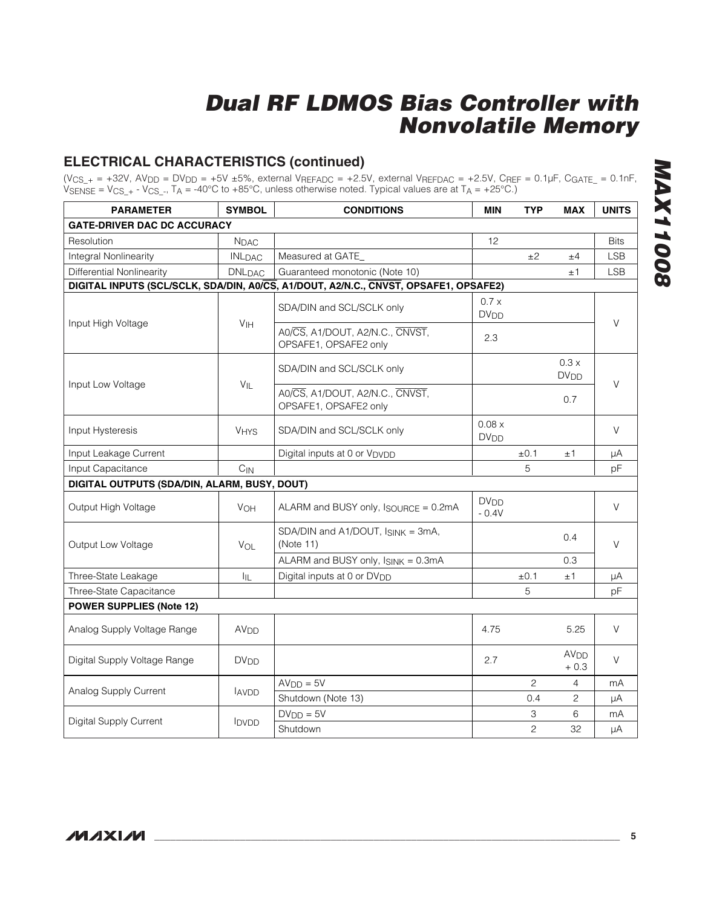### **ELECTRICAL CHARACTERISTICS (continued)**

(V<sub>CS\_+</sub> = +32V, AV<sub>DD</sub> = DV<sub>DD</sub> = +5V ±5%, external V<sub>REFADC</sub> = +2.5V, external V<sub>REFDAC</sub> = +2.5V, C<sub>REF</sub> = 0.1µF, C<sub>GATE\_</sub> = 0.1nF, <code>VsENSE</code> =  $\text{VCS}_+$  -  $\text{VCS}_-$ , T<code>A</code> = -40°C to +85°C, unless otherwise noted. Typical values are at T<code>A</code> = +25°C.)

| <b>PARAMETER</b>                             | <b>SYMBOL</b>            | <b>CONDITIONS</b>                                                                    | <b>MIN</b>                        | <b>TYP</b>     | <b>MAX</b>                       | <b>UNITS</b> |
|----------------------------------------------|--------------------------|--------------------------------------------------------------------------------------|-----------------------------------|----------------|----------------------------------|--------------|
| <b>GATE-DRIVER DAC DC ACCURACY</b>           |                          |                                                                                      |                                   |                |                                  |              |
| Resolution                                   | <b>N</b> DAC             |                                                                                      | 12                                |                |                                  | <b>Bits</b>  |
| <b>Integral Nonlinearity</b>                 | <b>INLDAC</b>            | Measured at GATE_                                                                    |                                   | ±2             | ±4                               | <b>LSB</b>   |
| <b>Differential Nonlinearity</b>             | <b>DNL<sub>DAC</sub></b> | Guaranteed monotonic (Note 10)                                                       |                                   |                | $\pm 1$                          | <b>LSB</b>   |
|                                              |                          | DIGITAL INPUTS (SCL/SCLK, SDA/DIN, A0/CS, A1/DOUT, A2/N.C., CNVST, OPSAFE1, OPSAFE2) |                                   |                |                                  |              |
|                                              | V <sub>IH</sub>          | SDA/DIN and SCL/SCLK only                                                            | 0.7 x<br><b>DV<sub>DD</sub></b>   |                |                                  | V            |
| Input High Voltage                           |                          | A0/CS, A1/DOUT, A2/N.C., CNVST,<br>OPSAFE1, OPSAFE2 only                             | 2.3                               |                |                                  |              |
|                                              |                          | SDA/DIN and SCL/SCLK only                                                            |                                   |                | 0.3x<br><b>DV<sub>DD</sub></b>   | V            |
| Input Low Voltage                            | $V_{IL}$                 | A0/CS, A1/DOUT, A2/N.C., CNVST,<br>OPSAFE1, OPSAFE2 only                             |                                   |                | 0.7                              |              |
| Input Hysteresis                             | <b>VHYS</b>              | SDA/DIN and SCL/SCLK only                                                            | 0.08x<br><b>DV<sub>DD</sub></b>   |                |                                  | V            |
| Input Leakage Current                        |                          | Digital inputs at 0 or V <sub>DVDD</sub>                                             |                                   | ±0.1           | ±1                               | μA           |
| Input Capacitance                            | $C_{IN}$                 |                                                                                      |                                   | 5              |                                  | pF           |
| DIGITAL OUTPUTS (SDA/DIN, ALARM, BUSY, DOUT) |                          |                                                                                      |                                   |                |                                  |              |
| Output High Voltage                          | <b>V<sub>OH</sub></b>    | ALARM and BUSY only, ISOURCE = 0.2mA                                                 | <b>DV<sub>DD</sub></b><br>$-0.4V$ |                |                                  | V            |
| Output Low Voltage                           | VOL                      | SDA/DIN and A1/DOUT, ISINK = 3mA,<br>(Note 11)                                       |                                   |                | 0.4                              | V            |
|                                              |                          | ALARM and BUSY only, ISINK = 0.3mA                                                   |                                   |                | 0.3                              |              |
| Three-State Leakage                          | ĪЩ.                      | Digital inputs at 0 or DV <sub>DD</sub>                                              |                                   | $\pm 0.1$      | ±1                               | μA           |
| Three-State Capacitance                      |                          |                                                                                      |                                   | 5              |                                  | pF           |
| <b>POWER SUPPLIES (Note 12)</b>              |                          |                                                                                      |                                   |                |                                  |              |
| Analog Supply Voltage Range                  | AV <sub>DD</sub>         |                                                                                      | 4.75                              |                | 5.25                             | $\vee$       |
| Digital Supply Voltage Range                 | <b>DV<sub>DD</sub></b>   |                                                                                      | 2.7                               |                | <b>AV<sub>DD</sub></b><br>$+0.3$ | V            |
| Analog Supply Current                        |                          | $AVDD = 5V$                                                                          |                                   | $\overline{c}$ | 4                                | mA           |
|                                              | <b>AVDD</b>              | Shutdown (Note 13)                                                                   |                                   | 0.4            | 2                                | μA           |
| Digital Supply Current                       |                          | $DVDD = 5V$                                                                          |                                   | 3              | 6                                | mA           |
|                                              | <b>IDVDD</b>             | Shutdown                                                                             |                                   | $\overline{c}$ | 32                               | μA           |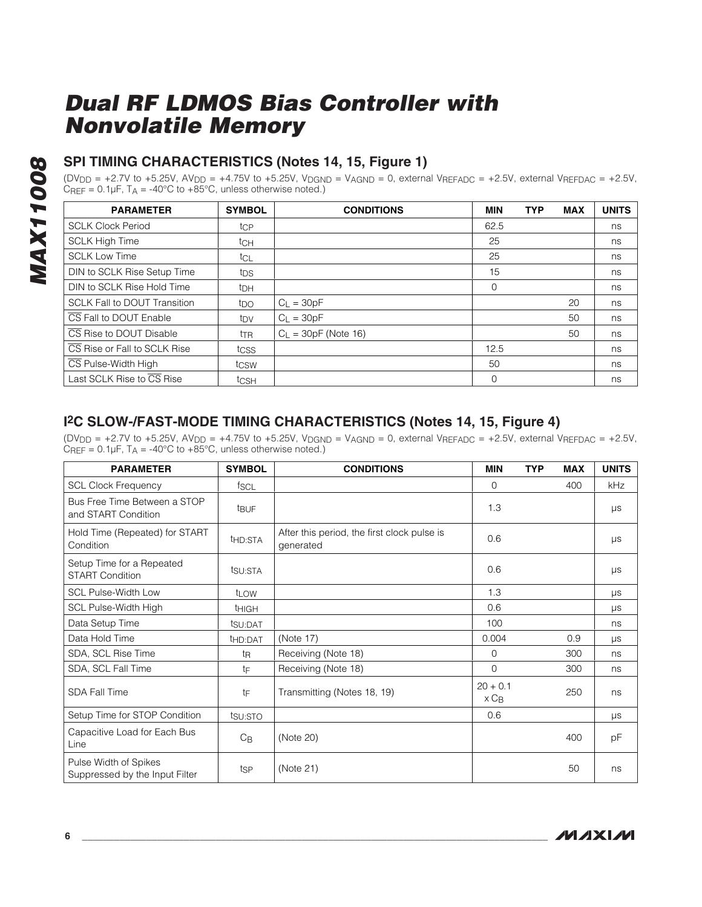### **SPI TIMING CHARACTERISTICS (Notes 14, 15, Figure 1)**

(DV<sub>DD</sub> = +2.7V to +5.25V, AV<sub>DD</sub> = +4.75V to +5.25V, V<sub>DGND</sub> = V<sub>AGND</sub> = 0, external V<sub>REFADC</sub> = +2.5V, external V<sub>REFDAC</sub> = +2.5V,  $C_{REF} = 0.1 \mu F$ ,  $T_A = -40^{\circ}C$  to  $+85^{\circ}C$ , unless otherwise noted.)

| <b>PARAMETER</b>                    | <b>SYMBOL</b>   | <b>CONDITIONS</b>      | <b>MIN</b> | <b>TYP</b> | <b>MAX</b> | <b>UNITS</b> |
|-------------------------------------|-----------------|------------------------|------------|------------|------------|--------------|
| <b>SCLK Clock Period</b>            | tcp             |                        | 62.5       |            |            | ns           |
| <b>SCLK High Time</b>               | tch             |                        | 25         |            |            | ns           |
| <b>SCLK Low Time</b>                | tcL             |                        | 25         |            |            | ns           |
| DIN to SCLK Rise Setup Time         | tps             |                        | 15         |            |            | ns           |
| DIN to SCLK Rise Hold Time          | tрн             |                        | $\Omega$   |            |            | ns           |
| <b>SCLK Fall to DOUT Transition</b> | t <sub>DO</sub> | $C_{L} = 30pF$         |            |            | 20         | ns           |
| CS Fall to DOUT Enable              | t <sub>DV</sub> | $Cl = 30pF$            |            |            | 50         | ns           |
| CS Rise to DOUT Disable             | ttr             | $C_1 = 30pF$ (Note 16) |            |            | 50         | ns           |
| CS Rise or Fall to SCLK Rise        | tcss            |                        | 12.5       |            |            | ns           |
| CS Pulse-Width High                 | tcsw            |                        | 50         |            |            | ns           |
| Last SCLK Rise to CS Rise           | tcsh            |                        | $\Omega$   |            |            | ns           |

### **I2C SLOW-/FAST-MODE TIMING CHARACTERISTICS (Notes 14, 15, Figure 4)**

 $(DV_{DD} = +2.7V$  to  $+5.25V$ ,  $AV_{DD} = +4.75V$  to  $+5.25V$ ,  $V_{DGND} = V_{AGND} = 0$ , external VREFADC =  $+2.5V$ , external VREFDAC =  $+2.5V$ ,  $C_{REF} = 0.1 \mu F$ ,  $T_A = -40^{\circ}C$  to  $+85^{\circ}C$ , unless otherwise noted.)

| <b>PARAMETER</b>                                        | <b>SYMBOL</b>       | <b>CONDITIONS</b>                                        | <b>MIN</b>                            | <b>TYP</b> | <b>MAX</b> | <b>UNITS</b> |
|---------------------------------------------------------|---------------------|----------------------------------------------------------|---------------------------------------|------------|------------|--------------|
| <b>SCL Clock Frequency</b>                              | fscl                |                                                          | $\mathbf 0$                           |            | 400        | kHz          |
| Bus Free Time Between a STOP<br>and START Condition     | <b>t</b> BUF        |                                                          | 1.3                                   |            |            | $\mu s$      |
| Hold Time (Repeated) for START<br>Condition             | t <sub>HD:STA</sub> | After this period, the first clock pulse is<br>generated | 0.6                                   |            |            | $\mu s$      |
| Setup Time for a Repeated<br><b>START Condition</b>     | tsu:STA             |                                                          | 0.6                                   |            |            | $\mu s$      |
| <b>SCL Pulse-Width Low</b>                              | t <sub>LOW</sub>    |                                                          | 1.3                                   |            |            | $\mu s$      |
| SCL Pulse-Width High                                    | <b>THIGH</b>        |                                                          | 0.6                                   |            |            | μs           |
| Data Setup Time                                         | tsu:DAT             |                                                          | 100                                   |            |            | ns           |
| Data Hold Time                                          | t <sub>HD:DAT</sub> | (Note 17)                                                | 0.004                                 |            | 0.9        | $\mu s$      |
| SDA, SCL Rise Time                                      | tŖ                  | Receiving (Note 18)                                      | $\Omega$                              |            | 300        | ns           |
| SDA, SCL Fall Time                                      | tF                  | Receiving (Note 18)                                      | 0                                     |            | 300        | ns           |
| <b>SDA Fall Time</b>                                    | tF                  | Transmitting (Notes 18, 19)                              | $20 + 0.1$<br>$\times$ C <sub>B</sub> |            | 250        | ns           |
| Setup Time for STOP Condition                           | tsu:STO             |                                                          | 0.6                                   |            |            | $\mu s$      |
| Capacitive Load for Each Bus<br>Line                    | $C_{\mathsf{B}}$    | (Note 20)                                                |                                       |            | 400        | рF           |
| Pulse Width of Spikes<br>Suppressed by the Input Filter | tsp                 | (Note 21)                                                |                                       |            | 50         | ns           |

**MAXM**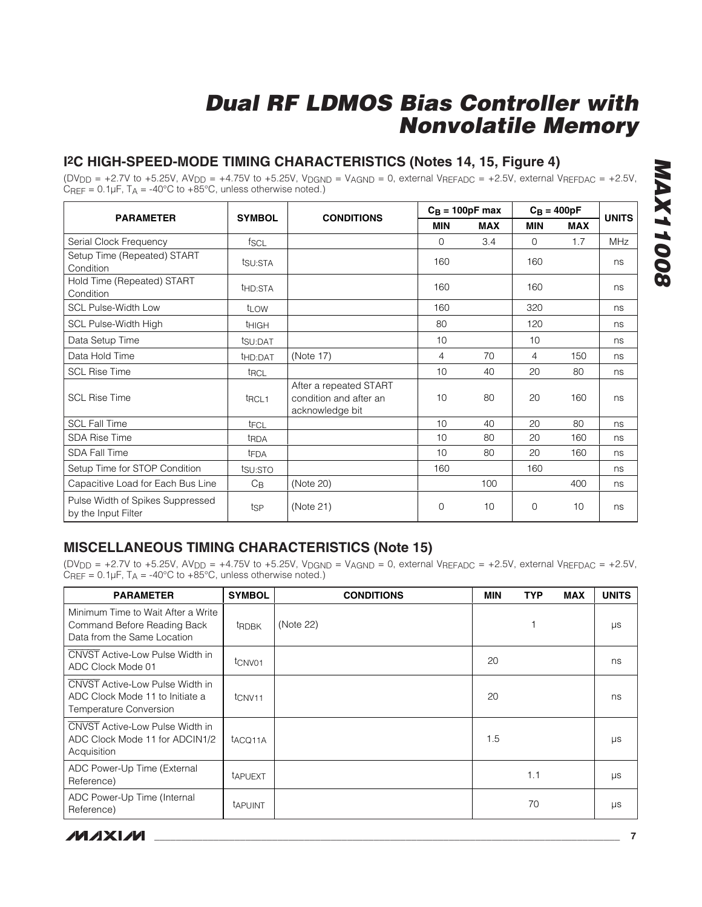### **I2C HIGH-SPEED-MODE TIMING CHARACTERISTICS (Notes 14, 15, Figure 4)**

(DV<sub>DD</sub> = +2.7V to +5.25V, AV<sub>DD</sub> = +4.75V to +5.25V, V<sub>DGND</sub> = V<sub>AGND</sub> = 0, external V<sub>REFADC</sub> = +2.5V, external V<sub>REFDAC</sub> = +2.5V,  $C_{REF} = 0.1 \mu F$ ,  $T_A = -40^{\circ}C$  to  $+85^{\circ}C$ , unless otherwise noted.)

|                                                         | <b>SYMBOL</b>       |                                                                     | $C_B = 100pF$ max |            | $C_B = 400pF$ |            | <b>UNITS</b> |
|---------------------------------------------------------|---------------------|---------------------------------------------------------------------|-------------------|------------|---------------|------------|--------------|
| <b>PARAMETER</b>                                        |                     | <b>CONDITIONS</b>                                                   | MIN               | <b>MAX</b> | <b>MIN</b>    | <b>MAX</b> |              |
| Serial Clock Frequency                                  | f <sub>SCL</sub>    |                                                                     | $\Omega$          | 3.4        | $\Omega$      | 1.7        | <b>MHz</b>   |
| Setup Time (Repeated) START<br>Condition                | tsu:STA             |                                                                     | 160               |            | 160           |            | ns           |
| Hold Time (Repeated) START<br>Condition                 | t <sub>HD:STA</sub> |                                                                     | 160               |            | 160           |            | ns           |
| <b>SCL Pulse-Width Low</b>                              | t <sub>LOW</sub>    |                                                                     | 160               |            | 320           |            | ns           |
| SCL Pulse-Width High                                    | <sup>t</sup> ніGН   |                                                                     | 80                |            | 120           |            | ns           |
| Data Setup Time                                         | tsu:DAT             |                                                                     | 10                |            | 10            |            | ns           |
| Data Hold Time                                          | t <sub>HD:DAT</sub> | (Note 17)                                                           | 4                 | 70         | 4             | 150        | ns           |
| <b>SCL Rise Time</b>                                    | t <sub>RCL</sub>    |                                                                     | 10                | 40         | 20            | 80         | ns           |
| <b>SCL Rise Time</b>                                    | t <sub>RCL1</sub>   | After a repeated START<br>condition and after an<br>acknowledge bit | 10                | 80         | 20            | 160        | ns           |
| <b>SCL Fall Time</b>                                    | tFCL                |                                                                     | 10                | 40         | 20            | 80         | ns           |
| <b>SDA Rise Time</b>                                    | t <sub>RDA</sub>    |                                                                     | 10                | 80         | 20            | 160        | ns           |
| <b>SDA Fall Time</b>                                    | t <sub>FDA</sub>    |                                                                     | 10                | 80         | 20            | 160        | ns           |
| Setup Time for STOP Condition                           | tsu:STO             |                                                                     | 160               |            | 160           |            | ns           |
| Capacitive Load for Each Bus Line                       | $C_{\mathsf{B}}$    | (Note 20)                                                           |                   | 100        |               | 400        | ns           |
| Pulse Width of Spikes Suppressed<br>by the Input Filter | tsp                 | (Note 21)                                                           | $\mathbf{0}$      | 10         | $\Omega$      | 10         | ns           |

### **MISCELLANEOUS TIMING CHARACTERISTICS (Note 15)**

(DV<sub>DD</sub> = +2.7V to +5.25V, AV<sub>DD</sub> = +4.75V to +5.25V, V<sub>DGND</sub> = V<sub>AGND</sub> = 0, external V<sub>REFADC</sub> = +2.5V, external V<sub>REFDAC</sub> = +2.5V,  $C_{REF} = 0.1 \mu F$ ,  $T_A = -40^{\circ}C$  to  $+85^{\circ}C$ , unless otherwise noted.)

| <b>PARAMETER</b>                                                                                    | <b>SYMBOL</b>       | <b>CONDITIONS</b> | <b>MIN</b> | <b>TYP</b> | <b>MAX</b> | <b>UNITS</b> |
|-----------------------------------------------------------------------------------------------------|---------------------|-------------------|------------|------------|------------|--------------|
| Minimum Time to Wait After a Write<br>Command Before Reading Back<br>Data from the Same Location    | <b>tRDBK</b>        | (Note 22)         |            |            |            | μs           |
| CNVST Active-Low Pulse Width in<br>ADC Clock Mode 01                                                | t <sub>CNV01</sub>  |                   | 20         |            |            | ns           |
| <b>CNVST</b> Active-Low Pulse Width in<br>ADC Clock Mode 11 to Initiate a<br>Temperature Conversion | t <sub>CNV11</sub>  |                   | 20         |            |            | ns           |
| CNVST Active-Low Pulse Width in<br>ADC Clock Mode 11 for ADCIN1/2<br>Acquisition                    | t <sub>ACQ11A</sub> |                   | 1.5        |            |            | μs           |
| ADC Power-Up Time (External<br>Reference)                                                           | tAPUEXT             |                   |            | 1.1        |            | μs           |
| ADC Power-Up Time (Internal<br>Reference)                                                           | <b>TAPUINT</b>      |                   |            | 70         |            | μs           |

**MAX11008 MAX11008** 

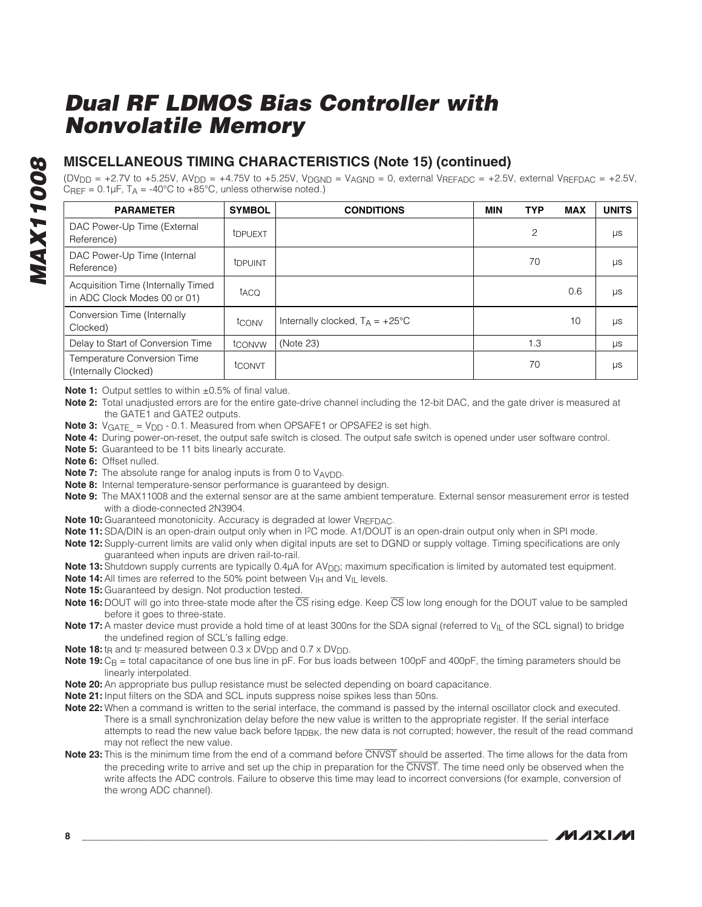### **MISCELLANEOUS TIMING CHARACTERISTICS (Note 15) (continued)**

 $(DV_{DD} = +2.7V$  to +5.25V,  $A V_{DD} = +4.75V$  to +5.25V,  $V_{DGND} = V_{AGND} = 0$ , external  $V_{REFADC} = +2.5V$ , external  $V_{REFDAC} = +2.5V$ , CREF =  $0.1 \mu$ F, T<sub>A</sub> = -40°C to +85°C, unless otherwise noted.)

| <b>PARAMETER</b>                                                   | <b>SYMBOL</b>       | <b>CONDITIONS</b>                        | <b>MIN</b> | <b>TYP</b>     | <b>MAX</b> | <b>UNITS</b> |
|--------------------------------------------------------------------|---------------------|------------------------------------------|------------|----------------|------------|--------------|
| DAC Power-Up Time (External<br>Reference)                          | t <sub>DPUEXT</sub> |                                          |            | $\overline{c}$ |            | μs           |
| DAC Power-Up Time (Internal<br>Reference)                          | t <sub>DPUINT</sub> |                                          |            | 70             |            | μs           |
| Acquisition Time (Internally Timed<br>in ADC Clock Modes 00 or 01) | taco                |                                          |            |                | 0.6        | μs           |
| Conversion Time (Internally<br>Clocked)                            | tconv               | Internally clocked, $T_A = +25^{\circ}C$ |            |                | 10         | μs           |
| Delay to Start of Conversion Time                                  | tconvw              | (Note 23)                                |            | 1.3            |            | μs           |
| Temperature Conversion Time<br>(Internally Clocked)                | tconvt              |                                          |            | 70             |            | μs           |

**Note 1:** Output settles to within ±0.5% of final value.

- **Note 2:** Total unadjusted errors are for the entire gate-drive channel including the 12-bit DAC, and the gate driver is measured at the GATE1 and GATE2 outputs.
- **Note 3:** V<sub>GATE</sub> = V<sub>DD</sub> 0.1. Measured from when OPSAFE1 or OPSAFE2 is set high.
- **Note 4:** During power-on-reset, the output safe switch is closed. The output safe switch is opened under user software control.
- **Note 5:** Guaranteed to be 11 bits linearly accurate.
- **Note 6:** Offset nulled.
- **Note 7:** The absolute range for analog inputs is from 0 to VAVDD.
- **Note 8:** Internal temperature-sensor performance is guaranteed by design.
- **Note 9:** The MAX11008 and the external sensor are at the same ambient temperature. External sensor measurement error is tested with a diode-connected 2N3904.
- **Note 10:** Guaranteed monotonicity. Accuracy is degraded at lower VREFDAC.
- **Note 11:** SDA/DIN is an open-drain output only when in I<sup>2</sup>C mode. A1/DOUT is an open-drain output only when in SPI mode.
- **Note 12:** Supply-current limits are valid only when digital inputs are set to DGND or supply voltage. Timing specifications are only guaranteed when inputs are driven rail-to-rail.
- Note 13: Shutdown supply currents are typically 0.4µA for AV<sub>DD</sub>; maximum specification is limited by automated test equipment.
- **Note 14:** All times are referred to the 50% point between V<sub>IH</sub> and V<sub>II</sub> levels.
- **Note 15:** Guaranteed by design. Not production tested.
- **Note 16:** DOUT will go into three-state mode after the  $\overline{CS}$  rising edge. Keep  $\overline{CS}$  low long enough for the DOUT value to be sampled before it goes to three-state.
- **Note 17:** A master device must provide a hold time of at least 300ns for the SDA signal (referred to V<sub>IL</sub> of the SCL signal) to bridge the undefined region of SCL's falling edge.
- **Note 18:** t<sub>R</sub> and t<sub>F</sub> measured between 0.3 x DV<sub>DD</sub> and 0.7 x DV<sub>DD</sub>.
- Note 19: C<sub>B</sub> = total capacitance of one bus line in pF. For bus loads between 100pF and 400pF, the timing parameters should be linearly interpolated.
- **Note 20:**An appropriate bus pullup resistance must be selected depending on board capacitance.
- **Note 21:** Input filters on the SDA and SCL inputs suppress noise spikes less than 50ns.
- **Note 22:** When a command is written to the serial interface, the command is passed by the internal oscillator clock and executed. There is a small synchronization delay before the new value is written to the appropriate register. If the serial interface attempts to read the new value back before t<sub>RDBK</sub>, the new data is not corrupted; however, the result of the read command may not reflect the new value.
- **Note 23:** This is the minimum time from the end of a command before CNVST should be asserted. The time allows for the data from the preceding write to arrive and set up the chip in preparation for the CNVST. The time need only be observed when the write affects the ADC controls. Failure to observe this time may lead to incorrect conversions (for example, conversion of the wrong ADC channel).

**MAXIM**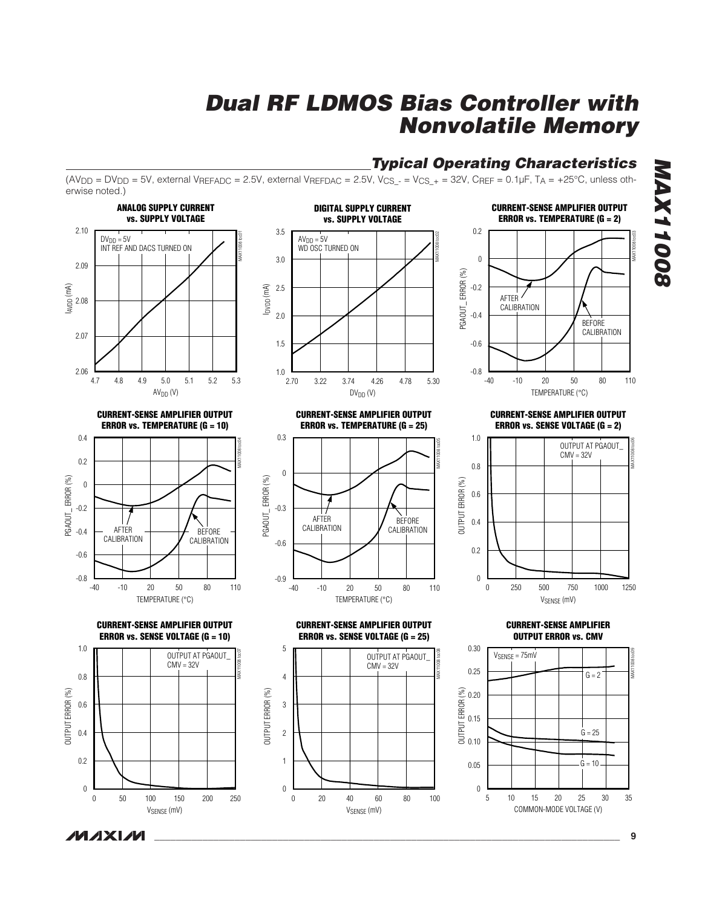**Typical Operating Characteristics**

erwise noted.) **ANALOG SUPPLY CURRENT CURRENT-SENSE AMPLIFIER OUTPUT DIGITAL SUPPLY CURRENT vs. SUPPLY VOLTAGE vs. SUPPLY VOLTAGE ERROR vs. TEMPERATURE (G = 2)** 2.10 3.5 0.2 MAX11008 toc01 MAX11008 toc02 MAX11008 toc03  $DV_{DD} = 5V$  $AV<sub>DD</sub> = 5V$ INT REF AND DACS TURNED ON WD OSC TURNED ON 3.0 0 2.09 PGAOUT\_ERROR(%) PGAOUT\_ ERROR (%) -0.2  $\begin{bmatrix} 2 \\ 2.08 \end{bmatrix}$  $\widetilde{\mathsf{SE}}$  2.5 AFTER CALIBRATION 2.0 -0.4 BEFORE CALIBRATION 2.07 1.5 -0.6 2.06 1.0 **L**<br>2.70 -0.8 4.7 4.9 4.8 5.0 5.1 5.2 5.3 2.70 3.74 3.22 4.26 4.78 5.30 -40 20 -10 50 80 110  $AV<sub>DD</sub>(V)$  $DV_{DD}$  (V) TEMPERATURE (°C) **CURRENT-SENSE AMPLIFIER OUTPUT CURRENT-SENSE AMPLIFIER OUTPUT CURRENT-SENSE AMPLIFIER OUTPUT ERROR vs. TEMPERATURE (G = 10) ERROR vs. TEMPERATURE (G = 25) ERROR vs. SENSE VOLTAGE (G = 2)** 0.4 0.3 1.0 MAX11008 toc04 MAX11008 toc05 MAX11008 toc06 OUTPUT AT PGAOUT\_  $CMV = 32V$ 0.2 0.8 0 PGAOUT\_ERROR(%) PGAOUT\_ ERROR (%) PGAOUT\_ERROR(%) PGAOUT\_ ERROR (%) 0 OUTPUT ERROR (%) OUTPUT ERROR (%) 0.6 -0.2 -0.3 AFTER BEFORE 0.4 CALIBRATION AFTER CALIBRATION -0.4 BEFORE CALIBRATION **CALIBRATION** -0.6 0.2 -0.6 -0.8 -0.9 0 -40 20 -10 50 80 110 -40 -10 20 50 80 110 -10 20 50 80 0 500 250 750 1000 1250 TEMPERATURE (°C) TEMPERATURE (°C) VSENSE (mV) **CURRENT-SENSE AMPLIFIER OUTPUT CURRENT-SENSE AMPLIFIER OUTPUT CURRENT-SENSE AMPLIFIER ERROR vs. SENSE VOLTAGE (G = 10) ERROR vs. SENSE VOLTAGE (G = 25) OUTPUT ERROR vs. CMV** 0.30 1.0 5 MAX11008 toc07 MAX11008 toc08 MAX11008 toc09 OUTPUT AT PGAOUT\_ OUTPUT AT PGAOUT\_ VSENSE = 75mV CMV = 32V CMV = 32V 0.25 0.8 4  $G = 2$ OUTPUT ERROR (%) **JUTPUT ERROR (%)** OUTPUT ERROR (%) OUTPUT ERROR (%) OUTPUT ERROR (%) 0.20 0.6 3 0.15 2  $G = 25$ 0.4 0.10 0.2 1  $G = 10$ . 0.05  $\boldsymbol{0}$  $\boldsymbol{0}$ 0 0 100 50 150 200 250 0 40 20 60 80 100 5 15 20 10 25 30 35

VSENSE (mV)

VSENSE (mV)

**MAXM** 

 $(AV_{DD} = DV_{DD} = 5V$ , external  $V_{REFADC} = 2.5V$ , external  $V_{REFDAC} = 2.5V$ ,  $V_{CS} = V_{CS} + = 32V$ ,  $C_{REF} = 0.1 \mu F$ ,  $T_A = +25°C$ , unless oth-

COMMON-MODE VOLTAGE (V)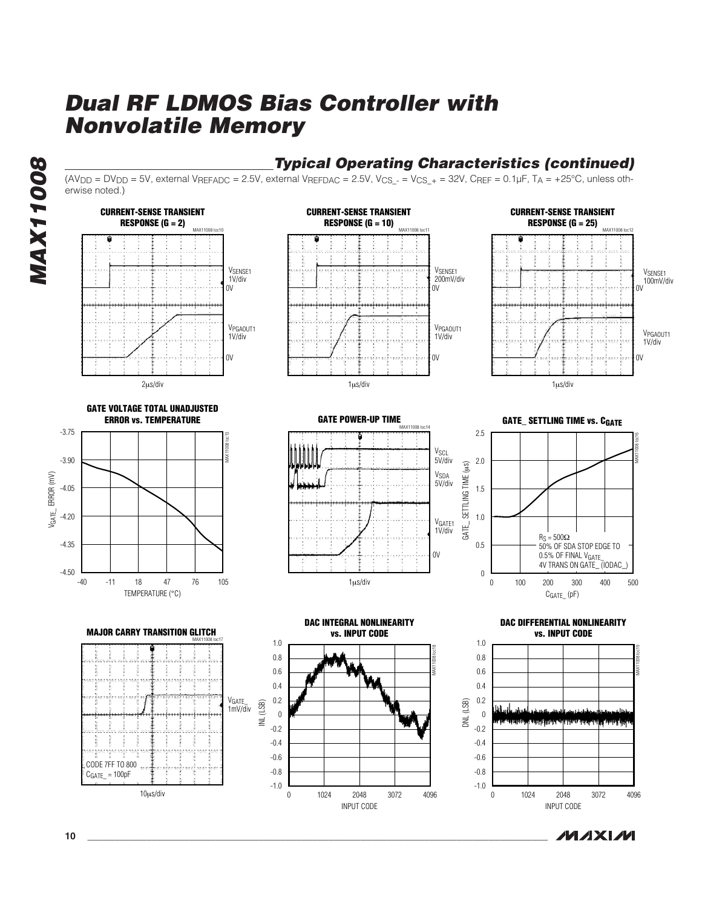

### **Typical Operating Characteristics (continued)**

**MAXM** 

 $(AV_{DD} = DV_{DD} = 5V$ , external  $V_{REFADC} = 2.5V$ , external  $V_{REFDAC} = 2.5V$ ,  $V_{CS} = V_{CS} + = 32V$ ,  $C_{REF} = 0.1 \mu F$ ,  $T_A = +25°C$ , unless otherwise noted.)

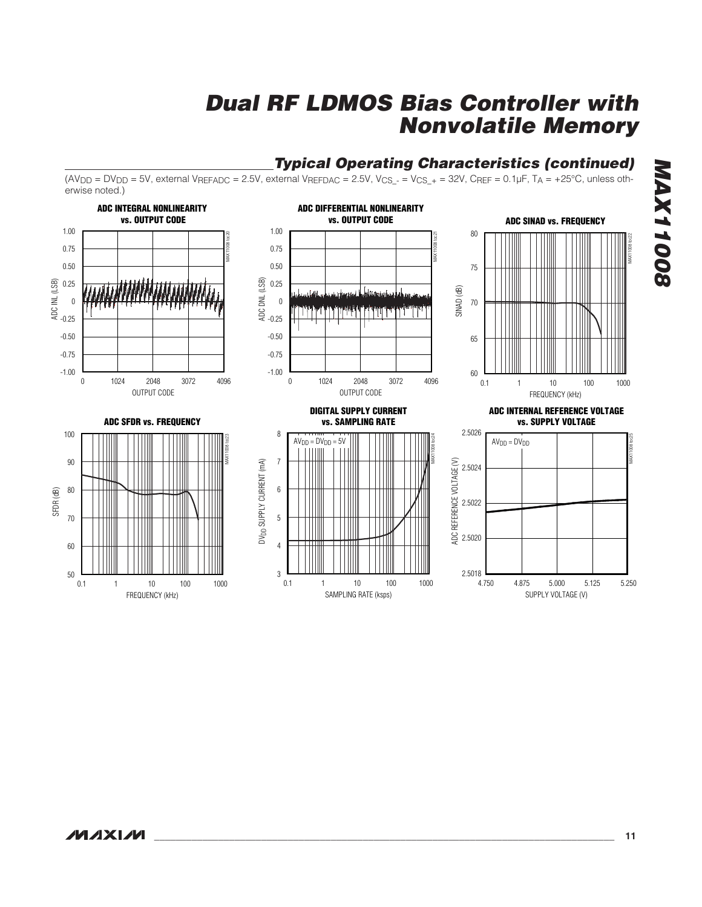#### erwise noted.)**ADC INTEGRAL NONLINEARITY ADC DIFFERENTIAL NONLINEARITY vs. OUTPUT CODE vs. OUTPUT CODE ADC SINAD vs. FREQUENCY** 1.00 1.00 80 MAX11008 toc20 MAX11008 toc21 MAX11008 toc22 0.75 0.75 0.50 0.50 75 ADC DNL (LSB) ADC INL (LSB) 0.25 0.25 SINAD (dB) 70  $\mathbf{0}$ 0 **THE FILM IN THE THEFT IN THE TIME** -0.25 -0.25 -0.50 -0.50 65 -0.75 -0.75 -1.00 -1.00 60 0 1024 2048 3072 4096 0 1024 2048 3072 4096 0.1 1 10 100 1000 OUTPUT CODE OUTPUT CODE FREQUENCY (kHz) **DIGITAL SUPPLY CURRENT ADC INTERNAL REFERENCE VOLTAGE ADC SFDR vs. FREQUENCY vs. SAMPLING RATE vs. SUPPLY VOLTAGE** 2.5026 8 100 MAX11008 toc23 MAX11008 toc24 MAX11008 toc25  $AV<sub>DD</sub> = DV<sub>DD</sub> = 5V$  $AV<sub>DD</sub> = DV<sub>DD</sub>$ 90 7 ADC REFERENCE VOLTAGE (V) DV<sub>DD</sub> SUPPLY CURRENT (mA) ADC REFERENCE VOLTAGE (V) DVDD SUPPLY CURRENT (mA) 2.5024 80 6 SFDR (dB) 2.5022 5 70 2.5020 4 60 2.5018 50 3 4.750 5.000 4.875 5.125 5.250 0.1 1 10 100 1000 0.1 1 10 100 1000 SAMPLING RATE (ksps) FREQUENCY (kHz) SUPPLY VOLTAGE (V)

 $(AV_{DD} = DV_{DD} = 5V$ , external  $V_{REFADC} = 2.5V$ , external  $V_{REFDAC} = 2.5V$ ,  $V_{CS_{-}} = V_{CS_{-}} = 32V$ ,  $C_{REF} = 0.1 \mu F$ ,  $T_A = +25^{\circ}C$ , unless oth-

# **Dual RF LDMOS Bias Controller with Nonvolatile Memory**

**Typical Operating Characteristics (continued)**

**MAX11008 MAX11008**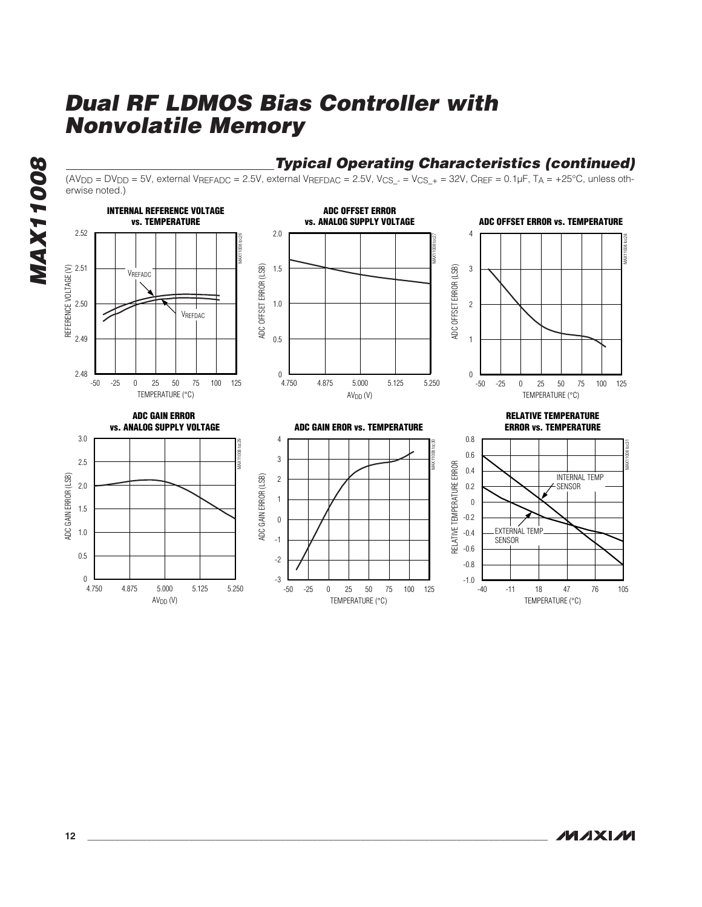-3





 $(AV_{DD} = DV_{DD} = 5V$ , external  $V_{REFADC} = 2.5V$ , external  $V_{REFDAC} = 2.5V$ ,  $V_{CS} = V_{CS} + 32V$ ,  $C_{REF} = 0.1 \mu F$ ,  $T_A = +25°C$ , unless oth-

-50 0 25 -25 50 75 100 125

-1.0

**Typical Operating Characteristics (continued)**

-40 18 -11 47 76 105

TEMPERATURE (°C)

TEMPERATURE (°C)

**MAXM** 

 $\Omega$ 

4.750 5.000 4.875 5.125 5.250

 $AV<sub>DD</sub>(V)$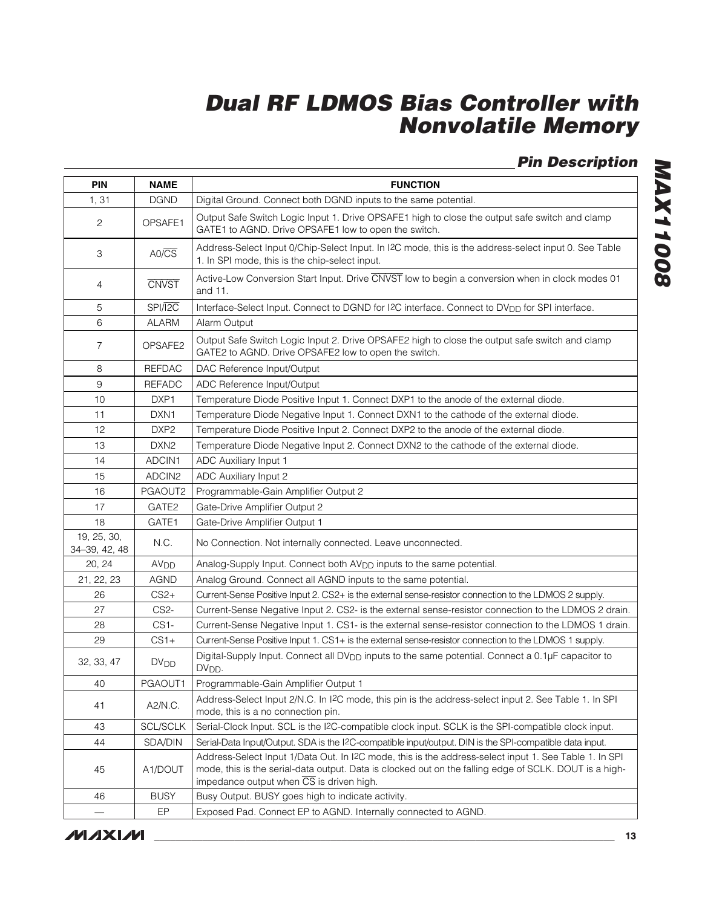# **Pin Description**

| <b>PIN</b>                   | <b>NAME</b>            | <b>FUNCTION</b>                                                                                                                                                                                                                                             |
|------------------------------|------------------------|-------------------------------------------------------------------------------------------------------------------------------------------------------------------------------------------------------------------------------------------------------------|
| 1,31                         | <b>DGND</b>            | Digital Ground. Connect both DGND inputs to the same potential.                                                                                                                                                                                             |
| $\overline{c}$               | OPSAFE1                | Output Safe Switch Logic Input 1. Drive OPSAFE1 high to close the output safe switch and clamp<br>GATE1 to AGND. Drive OPSAFE1 low to open the switch.                                                                                                      |
| 3                            | $AO/\overline{CS}$     | Address-Select Input 0/Chip-Select Input. In I2C mode, this is the address-select input 0. See Table<br>1. In SPI mode, this is the chip-select input.                                                                                                      |
| $\overline{4}$               | <b>CNVST</b>           | Active-Low Conversion Start Input. Drive CNVST low to begin a conversion when in clock modes 01<br>and 11.                                                                                                                                                  |
| 5                            | SPI/I2C                | Interface-Select Input. Connect to DGND for I2C interface. Connect to DV <sub>DD</sub> for SPI interface.                                                                                                                                                   |
| 6                            | <b>ALARM</b>           | Alarm Output                                                                                                                                                                                                                                                |
| $\overline{7}$               | OPSAFE2                | Output Safe Switch Logic Input 2. Drive OPSAFE2 high to close the output safe switch and clamp<br>GATE2 to AGND. Drive OPSAFE2 low to open the switch.                                                                                                      |
| 8                            | <b>REFDAC</b>          | DAC Reference Input/Output                                                                                                                                                                                                                                  |
| 9                            | <b>REFADC</b>          | ADC Reference Input/Output                                                                                                                                                                                                                                  |
| 10                           | DXP1                   | Temperature Diode Positive Input 1. Connect DXP1 to the anode of the external diode.                                                                                                                                                                        |
| 11                           | DXN <sub>1</sub>       | Temperature Diode Negative Input 1. Connect DXN1 to the cathode of the external diode.                                                                                                                                                                      |
| 12                           | DXP <sub>2</sub>       | Temperature Diode Positive Input 2. Connect DXP2 to the anode of the external diode.                                                                                                                                                                        |
| 13                           | DXN <sub>2</sub>       | Temperature Diode Negative Input 2. Connect DXN2 to the cathode of the external diode.                                                                                                                                                                      |
| 14                           | ADCIN1                 | ADC Auxiliary Input 1                                                                                                                                                                                                                                       |
| 15                           | ADCIN2                 | ADC Auxiliary Input 2                                                                                                                                                                                                                                       |
| 16                           | PGAOUT2                | Programmable-Gain Amplifier Output 2                                                                                                                                                                                                                        |
| 17                           | GATE2                  | Gate-Drive Amplifier Output 2                                                                                                                                                                                                                               |
| 18                           | GATE1                  | Gate-Drive Amplifier Output 1                                                                                                                                                                                                                               |
| 19, 25, 30,<br>34-39, 42, 48 | N.C.                   | No Connection. Not internally connected. Leave unconnected.                                                                                                                                                                                                 |
| 20, 24                       | AV <sub>DD</sub>       | Analog-Supply Input. Connect both AV <sub>DD</sub> inputs to the same potential.                                                                                                                                                                            |
| 21, 22, 23                   | <b>AGND</b>            | Analog Ground. Connect all AGND inputs to the same potential.                                                                                                                                                                                               |
| 26                           | $CS2+$                 | Current-Sense Positive Input 2. CS2+ is the external sense-resistor connection to the LDMOS 2 supply.                                                                                                                                                       |
| 27                           | CS <sub>2</sub> -      | Current-Sense Negative Input 2. CS2- is the external sense-resistor connection to the LDMOS 2 drain.                                                                                                                                                        |
| 28                           | $CS1-$                 | Current-Sense Negative Input 1. CS1- is the external sense-resistor connection to the LDMOS 1 drain.                                                                                                                                                        |
| 29                           | $CS1+$                 | Current-Sense Positive Input 1. CS1+ is the external sense-resistor connection to the LDMOS 1 supply.                                                                                                                                                       |
| 32, 33, 47                   | <b>DV<sub>DD</sub></b> | Digital-Supply Input. Connect all DV <sub>DD</sub> inputs to the same potential. Connect a 0.1µF capacitor to<br>DV <sub>DD</sub> .                                                                                                                         |
| 40                           | PGAOUT1                | Programmable-Gain Amplifier Output 1                                                                                                                                                                                                                        |
| 41                           | A2/N.C.                | Address-Select Input 2/N.C. In I2C mode, this pin is the address-select input 2. See Table 1. In SPI<br>mode, this is a no connection pin.                                                                                                                  |
| 43                           | <b>SCL/SCLK</b>        | Serial-Clock Input. SCL is the I2C-compatible clock input. SCLK is the SPI-compatible clock input.                                                                                                                                                          |
| 44                           | SDA/DIN                | Serial-Data Input/Output. SDA is the I2C-compatible input/output. DIN is the SPI-compatible data input.                                                                                                                                                     |
| 45                           | A1/DOUT                | Address-Select Input 1/Data Out. In I2C mode, this is the address-select input 1. See Table 1. In SPI<br>mode, this is the serial-data output. Data is clocked out on the falling edge of SCLK. DOUT is a high-<br>impedance output when CS is driven high. |
| 46                           | <b>BUSY</b>            | Busy Output. BUSY goes high to indicate activity.                                                                                                                                                                                                           |
| $\overline{\phantom{0}}$     | EP                     | Exposed Pad. Connect EP to AGND. Internally connected to AGND.                                                                                                                                                                                              |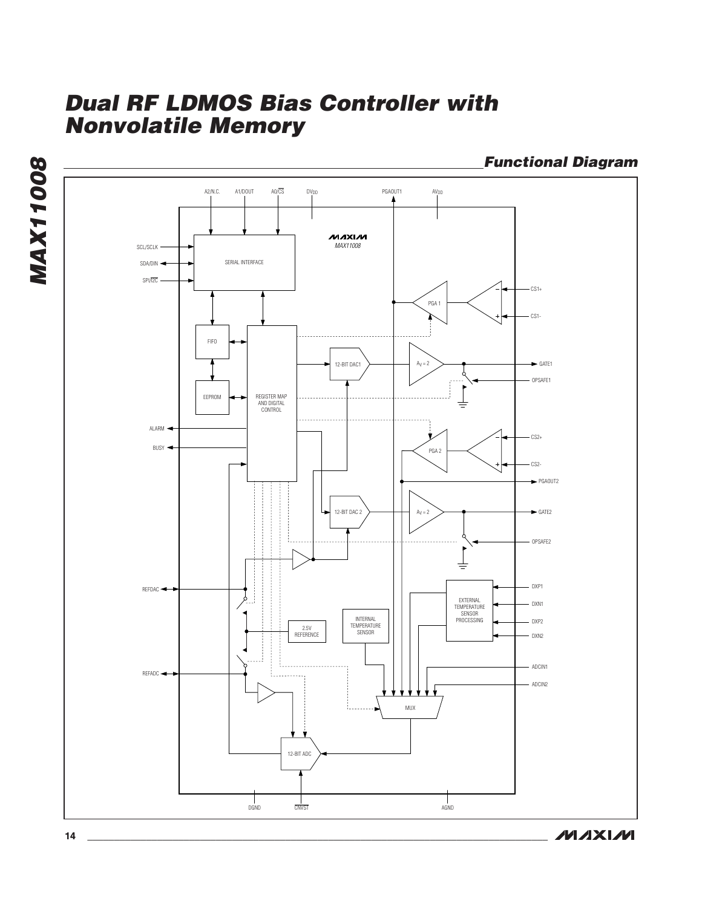**Functional Diagram**



**MAXM**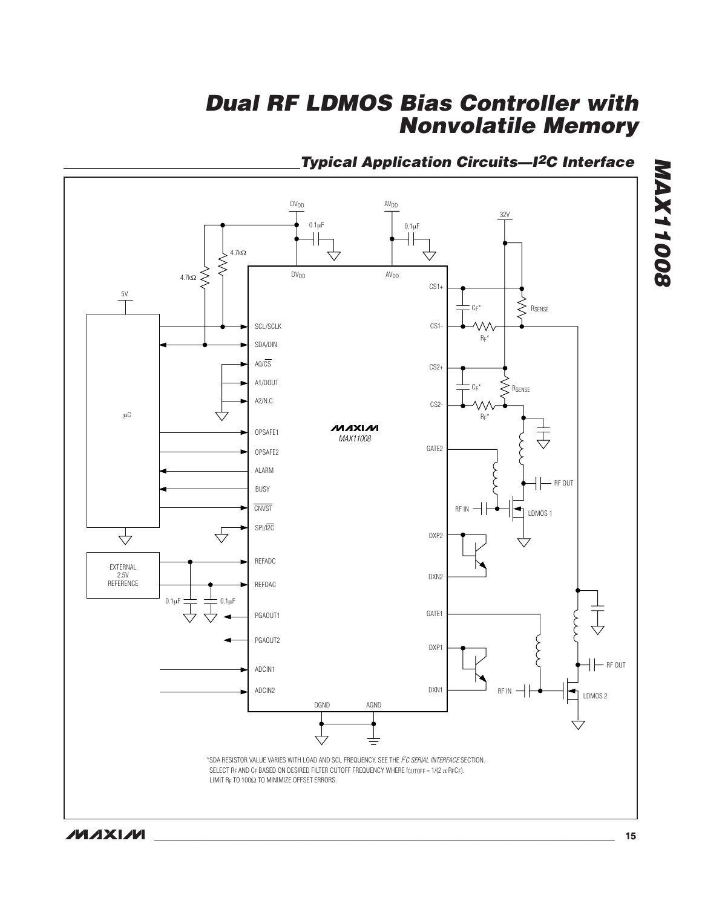

### **Typical Application Circuits—I2C Interface**

**MAXIM** 

**MAX11008**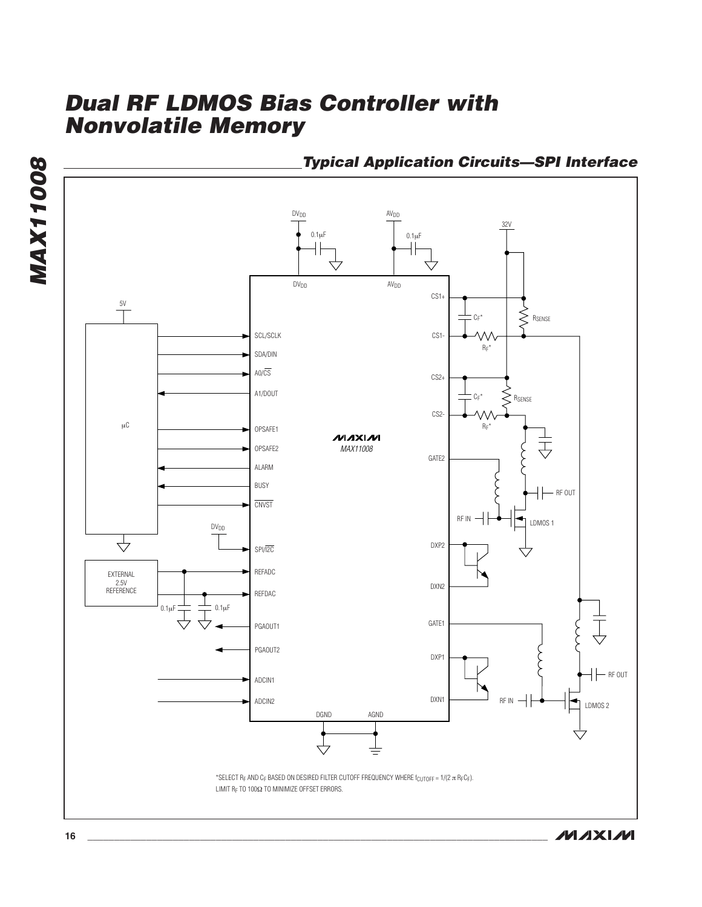

**Typical Application Circuits—SPI Interface**

**MAX11008**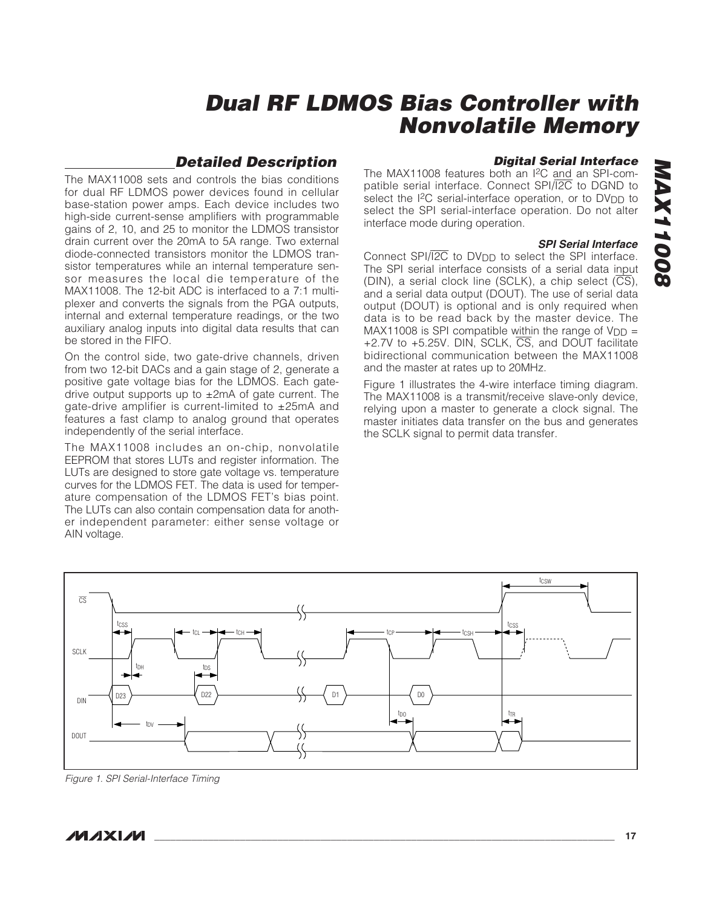### **Detailed Description**

The MAX11008 sets and controls the bias conditions for dual RF LDMOS power devices found in cellular base-station power amps. Each device includes two high-side current-sense amplifiers with programmable gains of 2, 10, and 25 to monitor the LDMOS transistor drain current over the 20mA to 5A range. Two external diode-connected transistors monitor the LDMOS transistor temperatures while an internal temperature sensor measures the local die temperature of the MAX11008. The 12-bit ADC is interfaced to a 7:1 multiplexer and converts the signals from the PGA outputs, internal and external temperature readings, or the two auxiliary analog inputs into digital data results that can be stored in the FIFO.

On the control side, two gate-drive channels, driven from two 12-bit DACs and a gain stage of 2, generate a positive gate voltage bias for the LDMOS. Each gatedrive output supports up to  $\pm 2$ mA of gate current. The gate-drive amplifier is current-limited to ±25mA and features a fast clamp to analog ground that operates independently of the serial interface.

The MAX11008 includes an on-chip, nonvolatile EEPROM that stores LUTs and register information. The LUTs are designed to store gate voltage vs. temperature curves for the LDMOS FET. The data is used for temperature compensation of the LDMOS FET's bias point. The LUTs can also contain compensation data for another independent parameter: either sense voltage or AIN voltage.

### **Digital Serial Interface**

The MAX11008 features both an I2C and an SPI-compatible serial interface. Connect SPI/I2C to DGND to select the I<sup>2</sup>C serial-interface operation, or to DV<sub>DD</sub> to select the SPI serial-interface operation. Do not alter interface mode during operation.

#### **SPI Serial Interface**

Connect SPI/ $\overline{I2C}$  to DV<sub>DD</sub> to select the SPI interface. The SPI serial interface consists of a serial data input (DIN), a serial clock line (SCLK), a chip select  $(\overline{CS})$ , and a serial data output (DOUT). The use of serial data output (DOUT) is optional and is only required when data is to be read back by the master device. The MAX11008 is SPI compatible within the range of  $V_{DD}$  = +2.7V to +5.25V. DIN, SCLK, CS, and DOUT facilitate bidirectional communication between the MAX11008 and the master at rates up to 20MHz.

Figure 1 illustrates the 4-wire interface timing diagram. The MAX11008 is a transmit/receive slave-only device, relying upon a master to generate a clock signal. The master initiates data transfer on the bus and generates the SCLK signal to permit data transfer.



Figure 1. SPI Serial-Interface Timing

**MAX11008**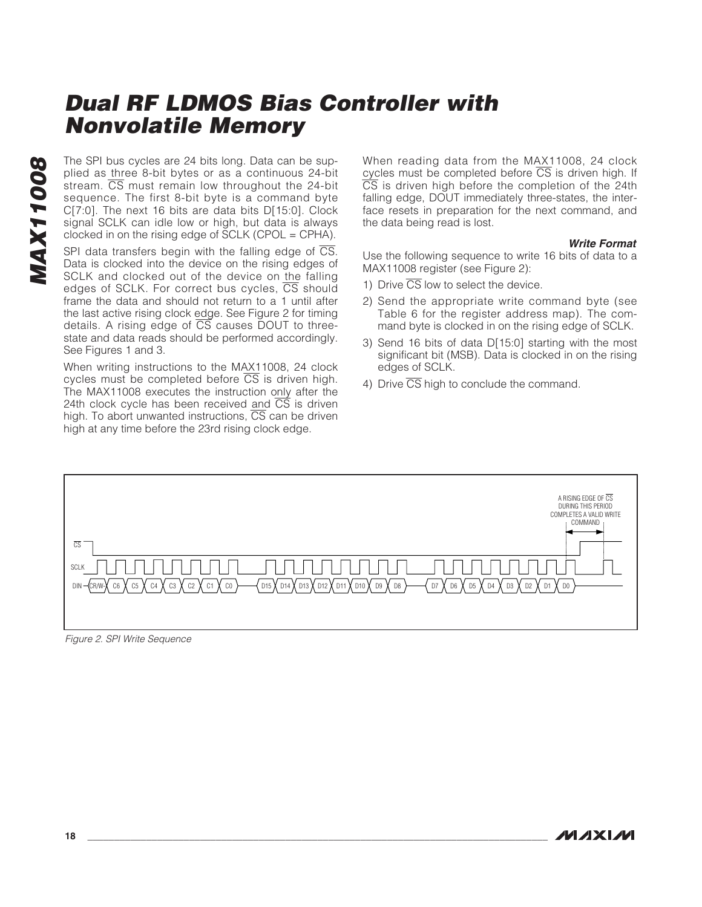The SPI bus cycles are 24 bits long. Data can be sup-<br>plied as three 8-bit bytes or as a continuous 24-bit<br>stream. CS must remain low throughout the 24-bit<br>sequence. The first 8-bit byte is a command byte<br>C[7:0]. The next plied as three 8-bit bytes or as a continuous 24-bit stream.  $\overline{CS}$  must remain low throughout the 24-bit sequence. The first 8-bit byte is a command byte C[7:0]. The next 16 bits are data bits D[15:0]. Clock signal SCLK can idle low or high, but data is always clocked in on the rising edge of SCLK (CPOL = CPHA).

SPI data transfers begin with the falling edge of  $\overline{CS}$ . Data is clocked into the device on the rising edges of SCLK and clocked out of the device on the falling edges of SCLK. For correct bus cycles,  $\overline{CS}$  should frame the data and should not return to a 1 until after the last active rising clock edge. See Figure 2 for timing details. A rising edge of  $\overline{\text{CS}}$  causes DOUT to threestate and data reads should be performed accordingly. See Figures 1 and 3.

When writing instructions to the MAX11008, 24 clock cycles must be completed before  $\overline{CS}$  is driven high. The MAX11008 executes the instruction only after the 24th clock cycle has been received and  $\overline{\text{CS}}$  is driven high. To abort unwanted instructions,  $\overline{CS}$  can be driven high at any time before the 23rd rising clock edge.

When reading data from the MAX11008, 24 clock cycles must be completed before  $\overline{CS}$  is driven high. If  $\overline{CS}$  is driven high before the completion of the 24th falling edge, DOUT immediately three-states, the interface resets in preparation for the next command, and the data being read is lost.

#### **Write Format**

Use the following sequence to write 16 bits of data to a MAX11008 register (see Figure 2):

- 1) Drive  $\overline{\text{CS}}$  low to select the device.
- 2) Send the appropriate write command byte (see Table 6 for the register address map). The command byte is clocked in on the rising edge of SCLK.
- 3) Send 16 bits of data D[15:0] starting with the most significant bit (MSB). Data is clocked in on the rising edges of SCLK.
- 4) Drive  $\overline{\text{CS}}$  high to conclude the command.



Figure 2. SPI Write Sequence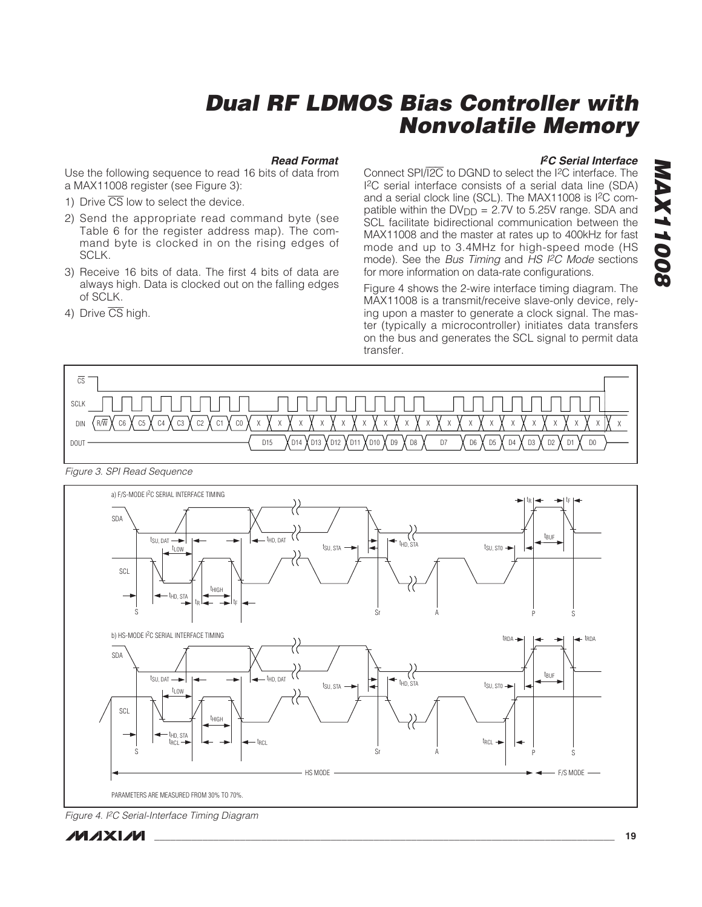#### **Read Format**

Use the following sequence to read 16 bits of data from a MAX11008 register (see Figure 3):

- 1) Drive  $\overline{\text{CS}}$  low to select the device.
- 2) Send the appropriate read command byte (see Table 6 for the register address map). The command byte is clocked in on the rising edges of SCLK.
- 3) Receive 16 bits of data. The first 4 bits of data are always high. Data is clocked out on the falling edges of SCLK.
- 4) Drive CS high.

#### **I <sup>2</sup>C Serial Interface**

**MAX11008**

80011XVM

Connect SPI/I2C to DGND to select the I2C interface. The I2C serial interface consists of a serial data line (SDA) and a serial clock line (SCL). The MAX11008 is I2C compatible within the  $DV_{DD} = 2.7V$  to 5.25V range. SDA and SCL facilitate bidirectional communication between the MAX11008 and the master at rates up to 400kHz for fast mode and up to 3.4MHz for high-speed mode (HS mode). See the Bus Timing and HS I<sup>2</sup>C Mode sections for more information on data-rate configurations.

Figure 4 shows the 2-wire interface timing diagram. The MAX11008 is a transmit/receive slave-only device, relying upon a master to generate a clock signal. The master (typically a microcontroller) initiates data transfers on the bus and generates the SCL signal to permit data transfer.



Figure 3. SPI Read Sequence



Figure 4. I2C Serial-Interface Timing Diagram

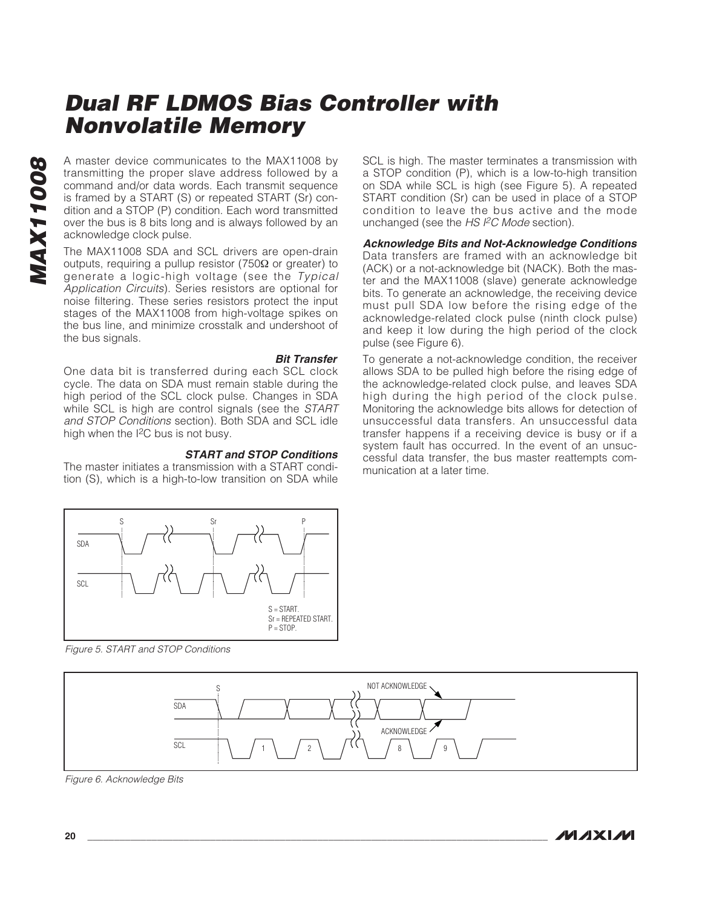A master device communicates to the MAX11008 by<br>transmitting the proper slave address followed by a<br>command and/or data words. Each transmit sequence<br>is framed by a START (S) or repeated START (Sr) con-<br>dition and a STOP ( transmitting the proper slave address followed by a command and/or data words. Each transmit sequence is framed by a START (S) or repeated START (Sr) condition and a STOP (P) condition. Each word transmitted over the bus is 8 bits long and is always followed by an acknowledge clock pulse.

The MAX11008 SDA and SCL drivers are open-drain outputs, requiring a pullup resistor (750Ω or greater) to generate a logic-high voltage (see the Typical Application Circuits). Series resistors are optional for noise filtering. These series resistors protect the input stages of the MAX11008 from high-voltage spikes on the bus line, and minimize crosstalk and undershoot of the bus signals.

**Bit Transfer**

One data bit is transferred during each SCL clock cycle. The data on SDA must remain stable during the high period of the SCL clock pulse. Changes in SDA while SCL is high are control signals (see the START and STOP Conditions section). Both SDA and SCL idle high when the I2C bus is not busy.

#### **START and STOP Conditions**

The master initiates a transmission with a START condition (S), which is a high-to-low transition on SDA while SCL is high. The master terminates a transmission with a STOP condition (P), which is a low-to-high transition on SDA while SCL is high (see Figure 5). A repeated START condition (Sr) can be used in place of a STOP condition to leave the bus active and the mode unchanged (see the HS I<sup>2</sup>C Mode section).

**Acknowledge Bits and Not-Acknowledge Conditions** Data transfers are framed with an acknowledge bit (ACK) or a not-acknowledge bit (NACK). Both the master and the MAX11008 (slave) generate acknowledge bits. To generate an acknowledge, the receiving device must pull SDA low before the rising edge of the acknowledge-related clock pulse (ninth clock pulse) and keep it low during the high period of the clock pulse (see Figure 6).

To generate a not-acknowledge condition, the receiver allows SDA to be pulled high before the rising edge of the acknowledge-related clock pulse, and leaves SDA high during the high period of the clock pulse. Monitoring the acknowledge bits allows for detection of unsuccessful data transfers. An unsuccessful data transfer happens if a receiving device is busy or if a system fault has occurred. In the event of an unsuccessful data transfer, the bus master reattempts communication at a later time.



Figure 5. START and STOP Conditions



Figure 6. Acknowledge Bits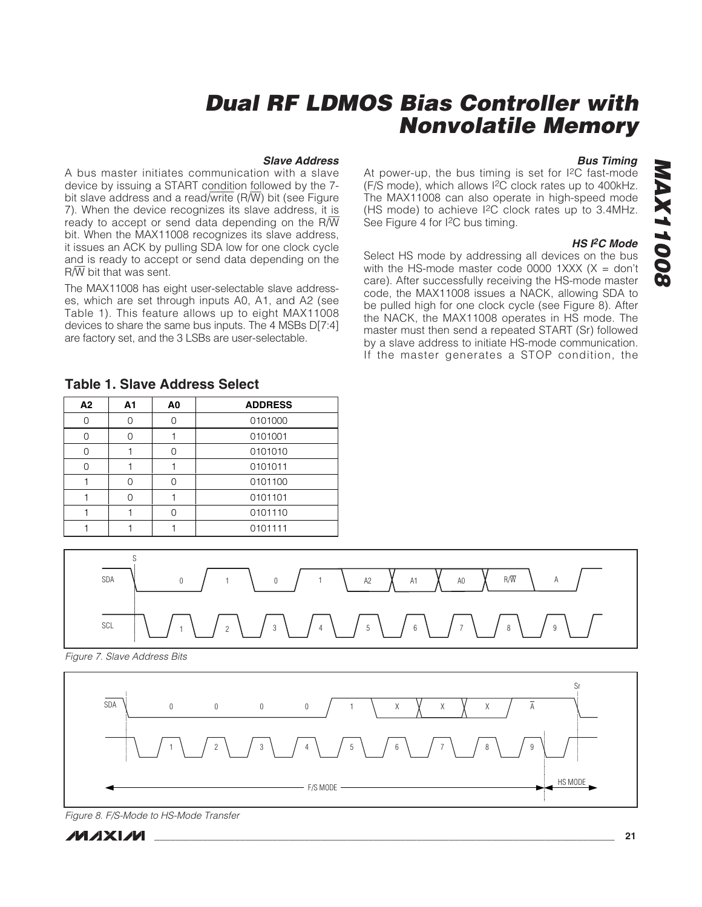#### **Slave Address**

A bus master initiates communication with a slave device by issuing a START condition followed by the 7 bit slave address and a read/write  $(R/\overline{W})$  bit (see Figure 7). When the device recognizes its slave address, it is ready to accept or send data depending on the  $R/\overline{W}$ bit. When the MAX11008 recognizes its slave address, it issues an ACK by pulling SDA low for one clock cycle and is ready to accept or send data depending on the  $R/\overline{W}$  bit that was sent.

The MAX11008 has eight user-selectable slave addresses, which are set through inputs A0, A1, and A2 (see Table 1). This feature allows up to eight MAX11008 devices to share the same bus inputs. The 4 MSBs D[7:4] are factory set, and the 3 LSBs are user-selectable.

#### **Bus Timing**

At power-up, the bus timing is set for I2C fast-mode (F/S mode), which allows I2C clock rates up to 400kHz. The MAX11008 can also operate in high-speed mode (HS mode) to achieve I2C clock rates up to 3.4MHz. See Figure 4 for I2C bus timing.

#### **HS I2C Mode**

**MAX11008**

**80011XVW** 

Select HS mode by addressing all devices on the bus with the HS-mode master code 0000 1XXX  $(X = don't)$ care). After successfully receiving the HS-mode master code, the MAX11008 issues a NACK, allowing SDA to be pulled high for one clock cycle (see Figure 8). After the NACK, the MAX11008 operates in HS mode. The master must then send a repeated START (Sr) followed by a slave address to initiate HS-mode communication. If the master generates a STOP condition, the

| A2 | A1 | A0 | <b>ADDRESS</b> |
|----|----|----|----------------|
| 0  |    |    | 0101000        |
| Ω  |    |    | 0101001        |
| Ω  |    |    | 0101010        |
| 0  |    |    | 0101011        |
|    |    |    | 0101100        |
|    |    |    | 0101101        |
|    |    |    | 0101110        |
|    |    |    | 0101111        |

#### **Table 1. Slave Address Select**



Figure 7. Slave Address Bits



Figure 8. F/S-Mode to HS-Mode Transfer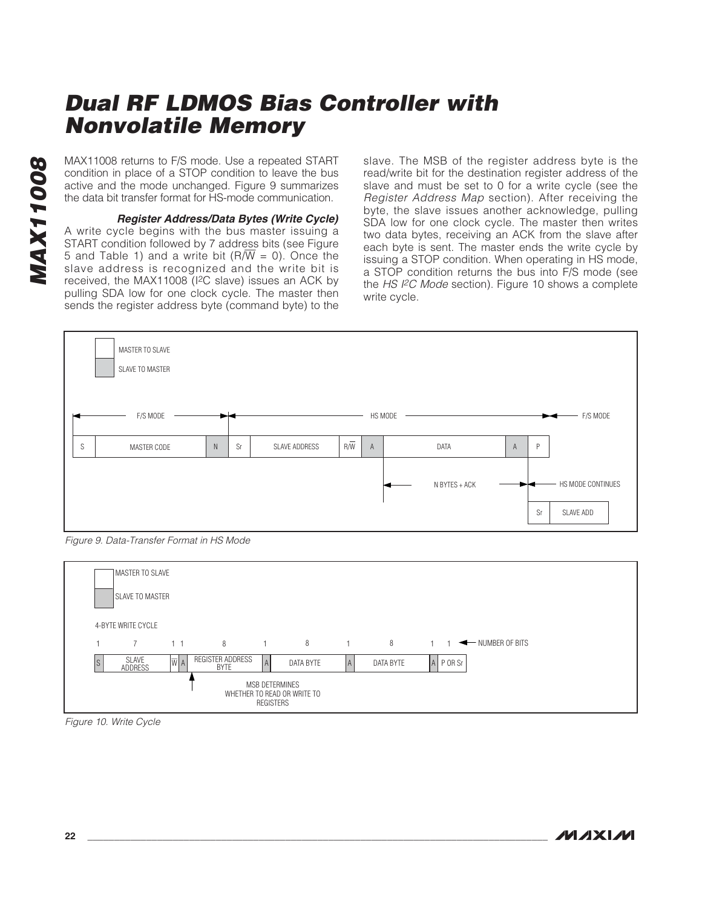condition in place of a STOP condition to leave the bus active and the mode unchanged. Figure 9 summarizes the data bit transfer format for HS-mode communication.

MAX11008 returns to F/S mode. Use a repeated START<br>condition in place of a STOP condition to leave the bus<br>active and the mode unchanged. Figure 9 summarizes<br>the data bit transfer format for HS-mode communication.<br>**Regist Register Address/Data Bytes (Write Cycle)** A write cycle begins with the bus master issuing a START condition followed by 7 address bits (see Figure 5 and Table 1) and a write bit ( $R/\overline{W}$  = 0). Once the slave address is recognized and the write bit is received, the MAX11008 (I2C slave) issues an ACK by pulling SDA low for one clock cycle. The master then sends the register address byte (command byte) to the

slave. The MSB of the register address byte is the read/write bit for the destination register address of the slave and must be set to 0 for a write cycle (see the Register Address Map section). After receiving the byte, the slave issues another acknowledge, pulling SDA low for one clock cycle. The master then writes two data bytes, receiving an ACK from the slave after each byte is sent. The master ends the write cycle by issuing a STOP condition. When operating in HS mode, a STOP condition returns the bus into F/S mode (see the HS I<sup>2</sup>C Mode section). Figure 10 shows a complete write cycle.



Figure 9. Data-Transfer Format in HS Mode



Figure 10. Write Cycle

**MAXM**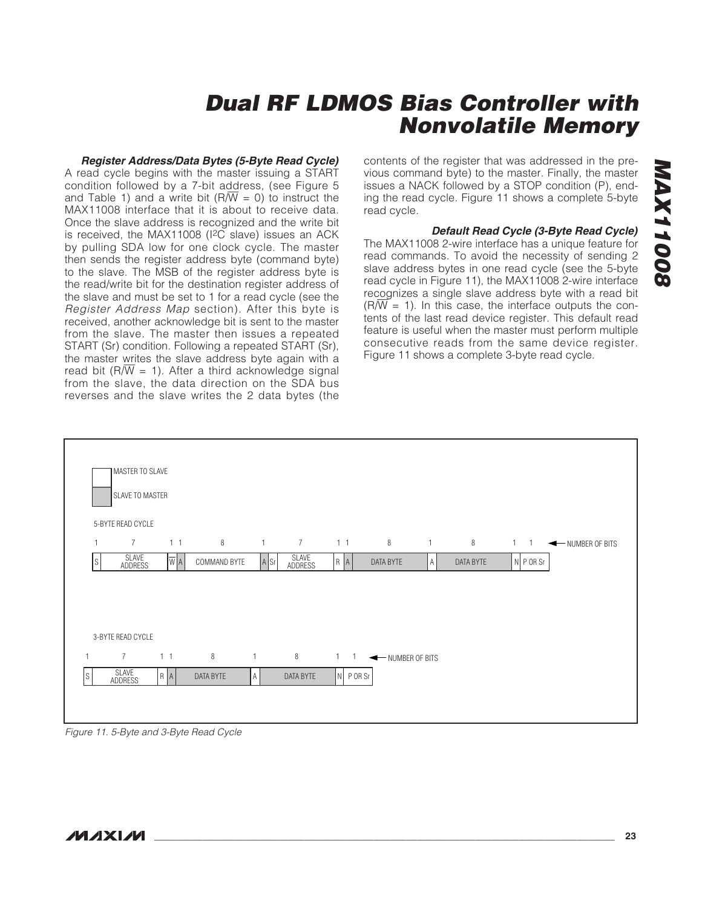### **Register Address/Data Bytes (5-Byte Read Cycle)**

A read cycle begins with the master issuing a START condition followed by a 7-bit address, (see Figure 5 and Table 1) and a write bit ( $R/\overline{W} = 0$ ) to instruct the MAX11008 interface that it is about to receive data. Once the slave address is recognized and the write bit is received, the MAX11008 (I2C slave) issues an ACK by pulling SDA low for one clock cycle. The master then sends the register address byte (command byte) to the slave. The MSB of the register address byte is the read/write bit for the destination register address of the slave and must be set to 1 for a read cycle (see the Register Address Map section). After this byte is received, another acknowledge bit is sent to the master from the slave. The master then issues a repeated START (Sr) condition. Following a repeated START (Sr), the master writes the slave address byte again with a read bit (R $\sqrt{W}$  = 1). After a third acknowledge signal from the slave, the data direction on the SDA bus reverses and the slave writes the 2 data bytes (the contents of the register that was addressed in the previous command byte) to the master. Finally, the master issues a NACK followed by a STOP condition (P), ending the read cycle. Figure 11 shows a complete 5-byte read cycle.

#### **Default Read Cycle (3-Byte Read Cycle)**

The MAX11008 2-wire interface has a unique feature for read commands. To avoid the necessity of sending 2 slave address bytes in one read cycle (see the 5-byte read cycle in Figure 11), the MAX11008 2-wire interface recognizes a single slave address byte with a read bit  $(R/\overline{W} = 1)$ . In this case, the interface outputs the contents of the last read device register. This default read feature is useful when the master must perform multiple consecutive reads from the same device register. Figure 11 shows a complete 3-byte read cycle.

|              | MASTER TO SLAVE<br>SLAVE TO MASTER  |                |              |              |                  |                |                    |   |           |             |                             |
|--------------|-------------------------------------|----------------|--------------|--------------|------------------|----------------|--------------------|---|-----------|-------------|-----------------------------|
| $\mathbf{1}$ | 5-BYTE READ CYCLE<br>$\overline{7}$ | 1 <sub>1</sub> | 8            | $\mathbf{1}$ | $7\overline{ }$  | 1 <sub>1</sub> | 8                  | 1 | 8         |             | 1 1 <b>4</b> NUMBER OF BITS |
| ls.          | SLAVE<br>ADDRESS                    | WA             | COMMAND BYTE | $A$ Sr       | SLAVE<br>ADDRESS | $R$ $A$        | DATA BYTE          | A | DATA BYTE | $N$ P OR Sr |                             |
|              | 3-BYTE READ CYCLE<br>$7^{\circ}$    | 1 <sub>1</sub> | 8            | $\mathbf{1}$ | 8                |                | 1 1 WIMBER OF BITS |   |           |             |                             |
| ls           | SLAVE                               | R   A          | DATA BYTE    | A            | DATA BYTE        | $N$ P OR Sr    |                    |   |           |             |                             |
|              | ADDRESS                             |                |              |              |                  |                |                    |   |           |             |                             |

Figure 11. 5-Byte and 3-Byte Read Cycle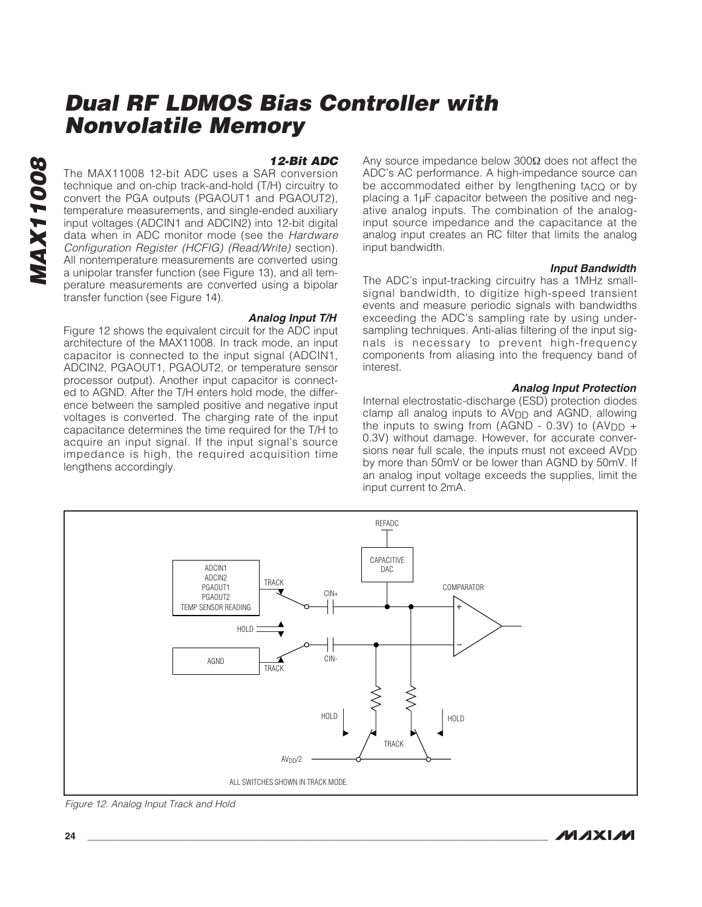# **MAX11008 AX11008**

#### **12-Bit ADC**

The MAX11008 12-bit ADC uses a SAR conversion technique and on-chip track-and-hold (T/H) circuitry to convert the PGA outputs (PGAOUT1 and PGAOUT2), temperature measurements, and single-ended auxiliary input voltages (ADCIN1 and ADCIN2) into 12-bit digital data when in ADC monitor mode (see the Hardware Configuration Register (HCFIG) (Read/Write) section). All nontemperature measurements are converted using a unipolar transfer function (see Figure 13), and all temperature measurements are converted using a bipolar transfer function (see Figure 14).

#### **Analog Input T/H**

Figure 12 shows the equivalent circuit for the ADC input architecture of the MAX11008. In track mode, an input capacitor is connected to the input signal (ADCIN1, ADCIN2, PGAOUT1, PGAOUT2, or temperature sensor processor output). Another input capacitor is connected to AGND. After the T/H enters hold mode, the difference between the sampled positive and negative input voltages is converted. The charging rate of the input capacitance determines the time required for the T/H to acquire an input signal. If the input signal's source impedance is high, the required acquisition time lengthens accordingly.

Any source impedance below 300Ω does not affect the ADC's AC performance. A high-impedance source can be accommodated either by lengthening t<sub>ACQ</sub> or by placing a 1µF capacitor between the positive and negative analog inputs. The combination of the analoginput source impedance and the capacitance at the analog input creates an RC filter that limits the analog input bandwidth.

#### **Input Bandwidth**

The ADC's input-tracking circuitry has a 1MHz smallsignal bandwidth, to digitize high-speed transient events and measure periodic signals with bandwidths exceeding the ADC's sampling rate by using undersampling techniques. Anti-alias filtering of the input signals is necessary to prevent high-frequency components from aliasing into the frequency band of interest.

#### **Analog Input Protection**

Internal electrostatic-discharge (ESD) protection diodes clamp all analog inputs to AV<sub>DD</sub> and AGND, allowing the inputs to swing from (AGND - 0.3V) to  $(AV_{DD} +$ 0.3V) without damage. However, for accurate conversions near full scale, the inputs must not exceed AVDD by more than 50mV or be lower than AGND by 50mV. If an analog input voltage exceeds the supplies, limit the input current to 2mA.



Figure 12. Analog Input Track and Hold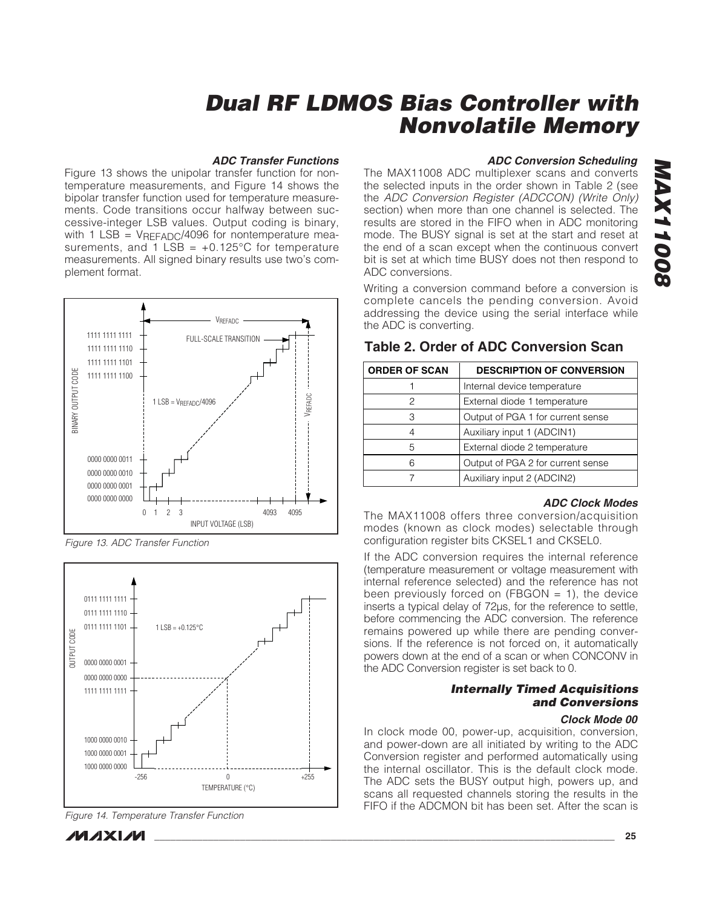#### **ADC Transfer Functions**

Figure 13 shows the unipolar transfer function for nontemperature measurements, and Figure 14 shows the bipolar transfer function used for temperature measurements. Code transitions occur halfway between successive-integer LSB values. Output coding is binary, with 1 LSB = VREFADC/4096 for nontemperature measurements, and  $1$  LSB =  $+0.125^{\circ}$ C for temperature measurements. All signed binary results use two's complement format.



Figure 13. ADC Transfer Function



Figure 14. Temperature Transfer Function

**MAXM** 

# **ADC Conversion Scheduling**

The MAX11008 ADC multiplexer scans and converts the selected inputs in the order shown in Table 2 (see the ADC Conversion Register (ADCCON) (Write Only) section) when more than one channel is selected. The results are stored in the FIFO when in ADC monitoring mode. The BUSY signal is set at the start and reset at the end of a scan except when the continuous convert bit is set at which time BUSY does not then respond to ADC conversions.

Writing a conversion command before a conversion is complete cancels the pending conversion. Avoid addressing the device using the serial interface while the ADC is converting.

### **Table 2. Order of ADC Conversion Scan**

| <b>ORDER OF SCAN</b> | <b>DESCRIPTION OF CONVERSION</b>  |
|----------------------|-----------------------------------|
|                      | Internal device temperature       |
| 2                    | External diode 1 temperature      |
| З                    | Output of PGA 1 for current sense |
|                      | Auxiliary input 1 (ADCIN1)        |
| 5                    | External diode 2 temperature      |
| 6                    | Output of PGA 2 for current sense |
|                      | Auxiliary input 2 (ADCIN2)        |

#### **ADC Clock Modes**

The MAX11008 offers three conversion/acquisition modes (known as clock modes) selectable through configuration register bits CKSEL1 and CKSEL0.

If the ADC conversion requires the internal reference (temperature measurement or voltage measurement with internal reference selected) and the reference has not been previously forced on (FBGON  $= 1$ ), the device inserts a typical delay of 72µs, for the reference to settle, before commencing the ADC conversion. The reference remains powered up while there are pending conversions. If the reference is not forced on, it automatically powers down at the end of a scan or when CONCONV in the ADC Conversion register is set back to 0.

#### **Internally Timed Acquisitions and Conversions**

#### **Clock Mode 00**

In clock mode 00, power-up, acquisition, conversion, and power-down are all initiated by writing to the ADC Conversion register and performed automatically using the internal oscillator. This is the default clock mode. The ADC sets the BUSY output high, powers up, and scans all requested channels storing the results in the FIFO if the ADCMON bit has been set. After the scan is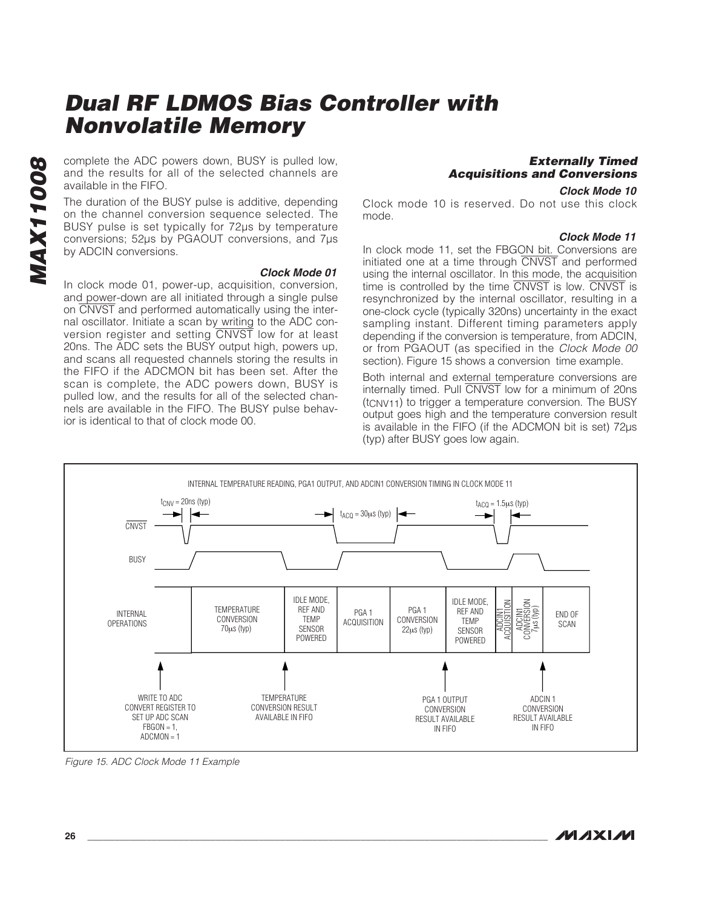and the results for all of the selected channels are available in the FIFO.

complete the ADC powers down, BUSY is pulled low,<br>and the results for all of the selected channels are<br>available in the FIFO.<br>The duration of the BUSY pulse is additive, depending<br>on the channel conversion sequence selecte The duration of the BUSY pulse is additive, depending on the channel conversion sequence selected. The BUSY pulse is set typically for 72µs by temperature conversions; 52µs by PGAOUT conversions, and 7µs by ADCIN conversions.

**Clock Mode 01** In clock mode 01, power-up, acquisition, conversion, and power-down are all initiated through a single pulse on CNVST and performed automatically using the internal oscillator. Initiate a scan by writing to the ADC conversion register and setting CNVST low for at least 20ns. The ADC sets the BUSY output high, powers up, and scans all requested channels storing the results in the FIFO if the ADCMON bit has been set. After the scan is complete, the ADC powers down, BUSY is pulled low, and the results for all of the selected channels are available in the FIFO. The BUSY pulse behavior is identical to that of clock mode 00.

### **Externally Timed Acquisitions and Conversions**

#### **Clock Mode 10**

Clock mode 10 is reserved. Do not use this clock mode.

#### **Clock Mode 11**

In clock mode 11, set the FBGON bit. Conversions are initiated one at a time through CNVST and performed using the internal oscillator. In this mode, the acquisition time is controlled by the time CNVST is low. CNVST is resynchronized by the internal oscillator, resulting in a one-clock cycle (typically 320ns) uncertainty in the exact sampling instant. Different timing parameters apply depending if the conversion is temperature, from ADCIN, or from PGAOUT (as specified in the Clock Mode 00 section). Figure 15 shows a conversion time example.

Both internal and external temperature conversions are internally timed. Pull CNVST low for a minimum of 20ns (tCNV11) to trigger a temperature conversion. The BUSY output goes high and the temperature conversion result is available in the FIFO (if the ADCMON bit is set) 72µs (typ) after BUSY goes low again.



Figure 15. ADC Clock Mode 11 Example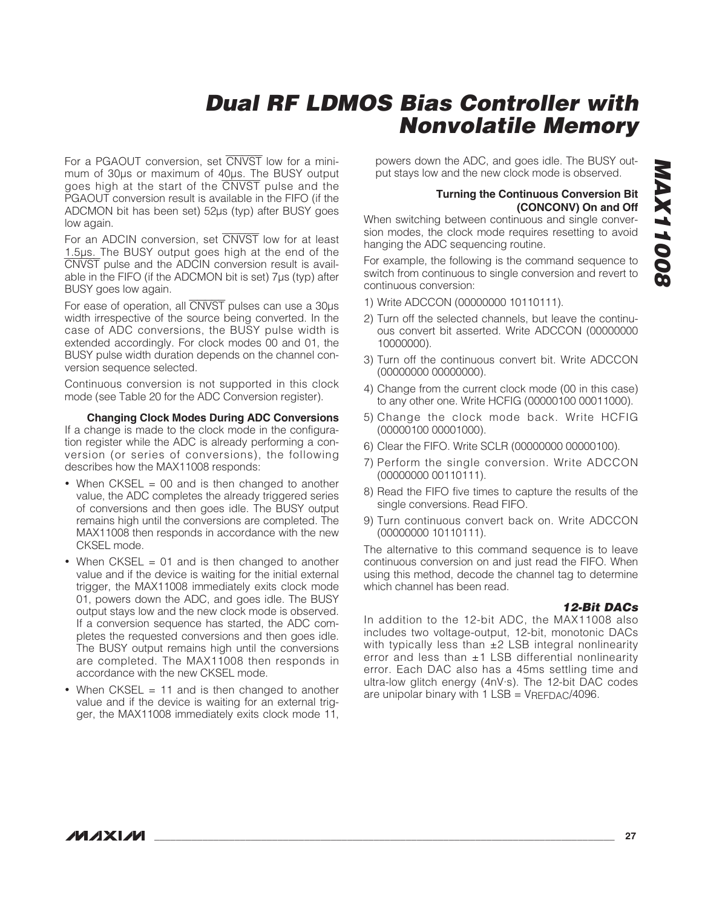For a PGAOUT conversion, set CNVST low for a minimum of 30µs or maximum of 40µs. The BUSY output goes high at the start of the CNVST pulse and the PGAOUT conversion result is available in the FIFO (if the ADCMON bit has been set) 52µs (typ) after BUSY goes low again.

For an ADCIN conversion, set CNVST low for at least 1.5µs. The BUSY output goes high at the end of the CNVST pulse and the ADCIN conversion result is available in the FIFO (if the ADCMON bit is set) 7µs (typ) after BUSY goes low again.

For ease of operation, all CNVST pulses can use a 30µs width irrespective of the source being converted. In the case of ADC conversions, the BUSY pulse width is extended accordingly. For clock modes 00 and 01, the BUSY pulse width duration depends on the channel conversion sequence selected.

Continuous conversion is not supported in this clock mode (see Table 20 for the ADC Conversion register).

**Changing Clock Modes During ADC Conversions** If a change is made to the clock mode in the configuration register while the ADC is already performing a con-

version (or series of conversions), the following describes how the MAX11008 responds:

- When CKSEL = 00 and is then changed to another value, the ADC completes the already triggered series of conversions and then goes idle. The BUSY output remains high until the conversions are completed. The MAX11008 then responds in accordance with the new CKSEL mode.
- When CKSEL = 01 and is then changed to another value and if the device is waiting for the initial external trigger, the MAX11008 immediately exits clock mode 01, powers down the ADC, and goes idle. The BUSY output stays low and the new clock mode is observed. If a conversion sequence has started, the ADC completes the requested conversions and then goes idle. The BUSY output remains high until the conversions are completed. The MAX11008 then responds in accordance with the new CKSEL mode.
- When CKSEL  $= 11$  and is then changed to another value and if the device is waiting for an external trigger, the MAX11008 immediately exits clock mode 11,

powers down the ADC, and goes idle. The BUSY output stays low and the new clock mode is observed.

#### **Turning the Continuous Conversion Bit (CONCONV) On and Off**

When switching between continuous and single conversion modes, the clock mode requires resetting to avoid hanging the ADC sequencing routine.

For example, the following is the command sequence to switch from continuous to single conversion and revert to continuous conversion:

- 1) Write ADCCON (00000000 10110111).
- 2) Turn off the selected channels, but leave the continuous convert bit asserted. Write ADCCON (00000000 10000000).
- 3) Turn off the continuous convert bit. Write ADCCON (00000000 00000000).
- 4) Change from the current clock mode (00 in this case) to any other one. Write HCFIG (00000100 00011000).
- 5) Change the clock mode back. Write HCFIG (00000100 00001000).
- 6) Clear the FIFO. Write SCLR (00000000 00000100).
- 7) Perform the single conversion. Write ADCCON (00000000 00110111).
- 8) Read the FIFO five times to capture the results of the single conversions. Read FIFO.
- 9) Turn continuous convert back on. Write ADCCON (00000000 10110111).

The alternative to this command sequence is to leave continuous conversion on and just read the FIFO. When using this method, decode the channel tag to determine which channel has been read.

#### **12-Bit DACs**

In addition to the 12-bit ADC, the MAX11008 also includes two voltage-output, 12-bit, monotonic DACs with typically less than  $\pm 2$  LSB integral nonlinearity error and less than  $\pm 1$  LSB differential nonlinearity error. Each DAC also has a 45ms settling time and ultra-low glitch energy (4nV·s). The 12-bit DAC codes are unipolar binary with  $1$  LSB = VREFDAC/4096.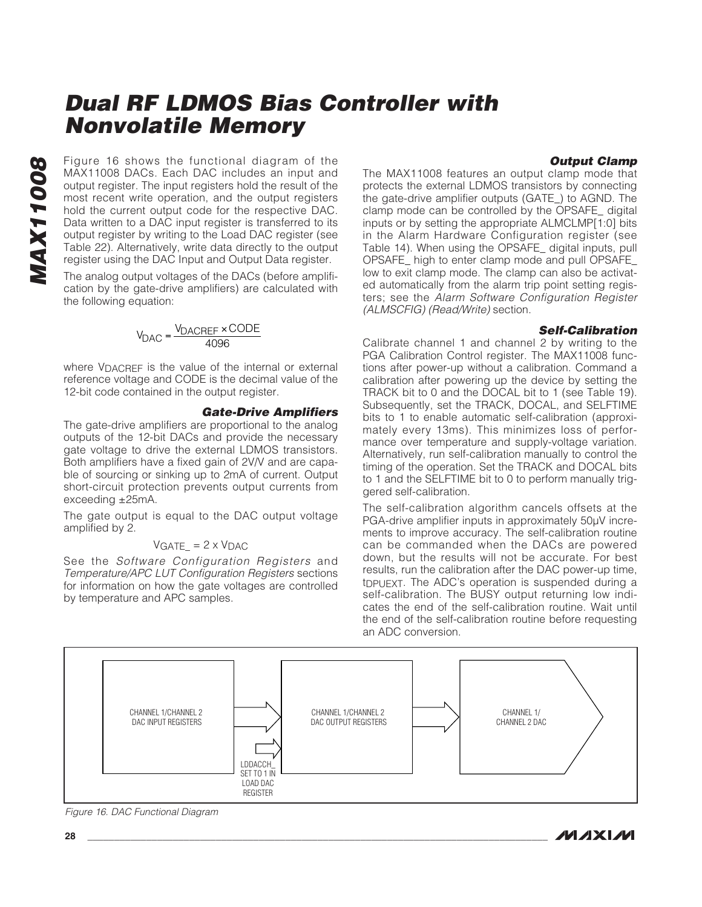#### **Output Clamp**

Figure 16 shows the functional diagram of the<br>MAX11008 DACs. Each DAC includes an input and<br>output register. The input registers hold the result of the<br>most recent write operation, and the output registers<br>hold the current MAX11008 DACs. Each DAC includes an input and output register. The input registers hold the result of the most recent write operation, and the output registers hold the current output code for the respective DAC. Data written to a DAC input register is transferred to its output register by writing to the Load DAC register (see Table 22). Alternatively, write data directly to the output register using the DAC Input and Output Data register.

The analog output voltages of the DACs (before amplification by the gate-drive amplifiers) are calculated with the following equation:

$$
V_{\text{DAC}} = \frac{V_{\text{DACREF}} \times \text{CODE}}{4096}
$$

where V<sub>DACRFF</sub> is the value of the internal or external reference voltage and CODE is the decimal value of the 12-bit code contained in the output register.

#### **Gate-Drive Amplifiers**

The gate-drive amplifiers are proportional to the analog outputs of the 12-bit DACs and provide the necessary gate voltage to drive the external LDMOS transistors. Both amplifiers have a fixed gain of 2V/V and are capable of sourcing or sinking up to 2mA of current. Output short-circuit protection prevents output currents from exceeding ±25mA.

The gate output is equal to the DAC output voltage amplified by 2.

#### $VGATE_ = 2 \times VDAC$

See the Software Configuration Registers and Temperature/APC LUT Configuration Registers sections for information on how the gate voltages are controlled by temperature and APC samples.

The MAX11008 features an output clamp mode that protects the external LDMOS transistors by connecting the gate-drive amplifier outputs (GATE\_) to AGND. The clamp mode can be controlled by the OPSAFE\_ digital inputs or by setting the appropriate ALMCLMP[1:0] bits in the Alarm Hardware Configuration register (see Table 14). When using the OPSAFE\_ digital inputs, pull OPSAFE\_ high to enter clamp mode and pull OPSAFE\_ low to exit clamp mode. The clamp can also be activated automatically from the alarm trip point setting registers; see the Alarm Software Configuration Register (ALMSCFIG) (Read/Write) section.

#### **Self-Calibration**

Calibrate channel 1 and channel 2 by writing to the PGA Calibration Control register. The MAX11008 functions after power-up without a calibration. Command a calibration after powering up the device by setting the TRACK bit to 0 and the DOCAL bit to 1 (see Table 19). Subsequently, set the TRACK, DOCAL, and SELFTIME bits to 1 to enable automatic self-calibration (approximately every 13ms). This minimizes loss of performance over temperature and supply-voltage variation. Alternatively, run self-calibration manually to control the timing of the operation. Set the TRACK and DOCAL bits to 1 and the SELFTIME bit to 0 to perform manually triggered self-calibration.

The self-calibration algorithm cancels offsets at the PGA-drive amplifier inputs in approximately 50µV increments to improve accuracy. The self-calibration routine can be commanded when the DACs are powered down, but the results will not be accurate. For best results, run the calibration after the DAC power-up time, to purext. The ADC's operation is suspended during a self-calibration. The BUSY output returning low indicates the end of the self-calibration routine. Wait until the end of the self-calibration routine before requesting an ADC conversion.



Figure 16. DAC Functional Diagram

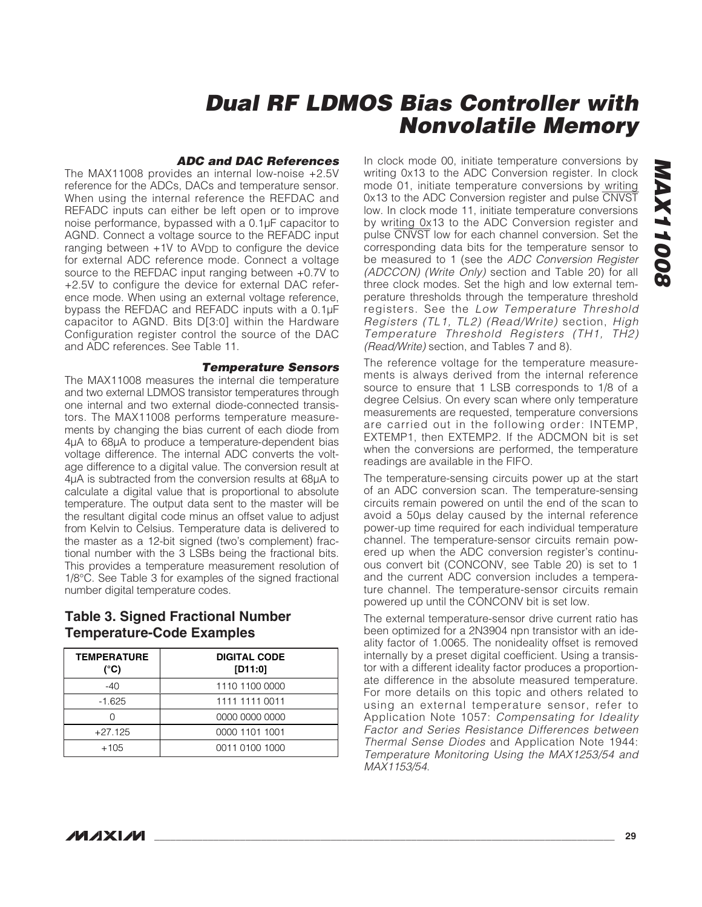#### **ADC and DAC References**

The MAX11008 provides an internal low-noise +2.5V reference for the ADCs, DACs and temperature sensor. When using the internal reference the REFDAC and REFADC inputs can either be left open or to improve noise performance, bypassed with a 0.1µF capacitor to AGND. Connect a voltage source to the REFADC input ranging between  $+1V$  to  $AV<sub>DD</sub>$  to configure the device for external ADC reference mode. Connect a voltage source to the REFDAC input ranging between +0.7V to +2.5V to configure the device for external DAC reference mode. When using an external voltage reference, bypass the REFDAC and REFADC inputs with a 0.1µF capacitor to AGND. Bits D[3:0] within the Hardware Configuration register control the source of the DAC and ADC references. See Table 11.

#### **Temperature Sensors**

The MAX11008 measures the internal die temperature and two external LDMOS transistor temperatures through one internal and two external diode-connected transistors. The MAX11008 performs temperature measurements by changing the bias current of each diode from 4µA to 68µA to produce a temperature-dependent bias voltage difference. The internal ADC converts the voltage difference to a digital value. The conversion result at 4µA is subtracted from the conversion results at 68µA to calculate a digital value that is proportional to absolute temperature. The output data sent to the master will be the resultant digital code minus an offset value to adjust from Kelvin to Celsius. Temperature data is delivered to the master as a 12-bit signed (two's complement) fractional number with the 3 LSBs being the fractional bits. This provides a temperature measurement resolution of 1/8°C. See Table 3 for examples of the signed fractional number digital temperature codes.

### **Table 3. Signed Fractional Number Temperature-Code Examples**

| <b>TEMPERATURE</b><br>(°C) | <b>DIGITAL CODE</b><br>[D11:0] |
|----------------------------|--------------------------------|
| $-40$                      | 1110 1100 0000                 |
| $-1.625$                   | 1111 1111 0011                 |
|                            | 0000 0000 0000                 |
| $+27.125$                  | 0000 1101 1001                 |
| $+105$                     | 0011 0100 1000                 |

In clock mode 00, initiate temperature conversions by writing 0x13 to the ADC Conversion register. In clock mode 01, initiate temperature conversions by writing 0x13 to the ADC Conversion register and pulse CNVST low. In clock mode 11, initiate temperature conversions by writing 0x13 to the ADC Conversion register and pulse CNVST low for each channel conversion. Set the corresponding data bits for the temperature sensor to be measured to 1 (see the ADC Conversion Register (ADCCON) (Write Only) section and Table 20) for all three clock modes. Set the high and low external temperature thresholds through the temperature threshold registers. See the Low Temperature Threshold Registers (TL1, TL2) (Read/Write) section, High Temperature Threshold Registers (TH1, TH2) (Read/Write) section, and Tables 7 and 8).

The reference voltage for the temperature measurements is always derived from the internal reference source to ensure that 1 LSB corresponds to 1/8 of a degree Celsius. On every scan where only temperature measurements are requested, temperature conversions are carried out in the following order: INTEMP, EXTEMP1, then EXTEMP2. If the ADCMON bit is set when the conversions are performed, the temperature readings are available in the FIFO.

The temperature-sensing circuits power up at the start of an ADC conversion scan. The temperature-sensing circuits remain powered on until the end of the scan to avoid a 50µs delay caused by the internal reference power-up time required for each individual temperature channel. The temperature-sensor circuits remain powered up when the ADC conversion register's continuous convert bit (CONCONV, see Table 20) is set to 1 and the current ADC conversion includes a temperature channel. The temperature-sensor circuits remain powered up until the CONCONV bit is set low.

The external temperature-sensor drive current ratio has been optimized for a 2N3904 npn transistor with an ideality factor of 1.0065. The nonideality offset is removed internally by a preset digital coefficient. Using a transistor with a different ideality factor produces a proportionate difference in the absolute measured temperature. For more details on this topic and others related to using an external temperature sensor, refer to Application Note 1057: Compensating for Ideality Factor and Series Resistance Differences between Thermal Sense Diodes and Application Note 1944: Temperature Monitoring Using the MAX1253/54 and MAX1153/54.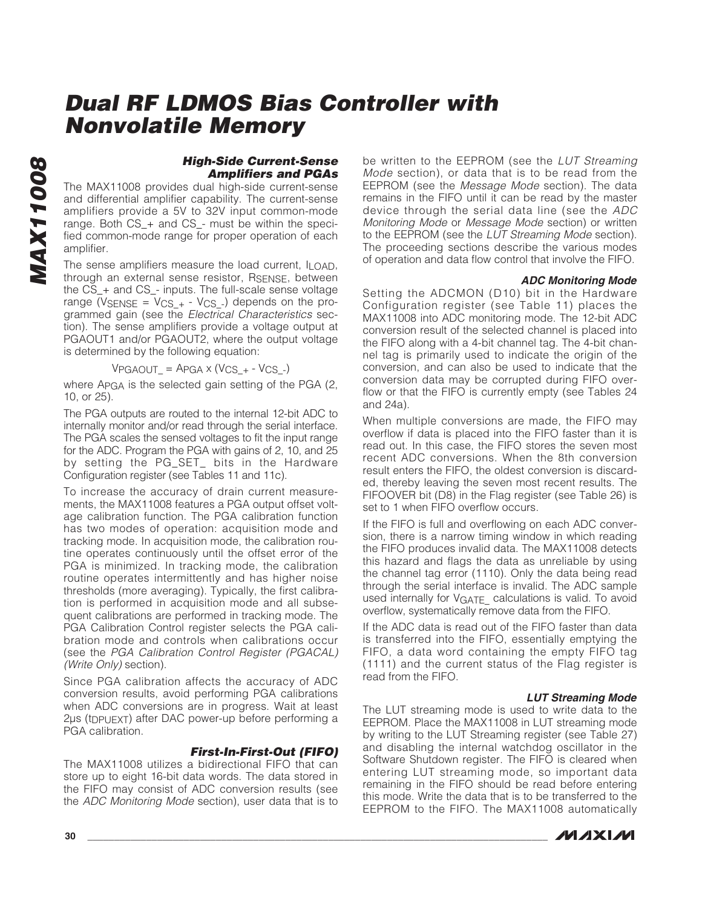**MAX11008 MAX11008** 

#### **High-Side Current-Sense Amplifiers and PGAs**

The MAX11008 provides dual high-side current-sense and differential amplifier capability. The current-sense amplifiers provide a 5V to 32V input common-mode range. Both CS\_+ and CS\_- must be within the specified common-mode range for proper operation of each amplifier.

The sense amplifiers measure the load current, ILOAD, through an external sense resistor, RSENSE, between the CS\_+ and CS\_- inputs. The full-scale sense voltage range ( $V_{\text{SENSE}} = V_{\text{CS}_+} - V_{\text{CS}_-}$ ) depends on the programmed gain (see the Electrical Characteristics section). The sense amplifiers provide a voltage output at PGAOUT1 and/or PGAOUT2, where the output voltage is determined by the following equation:

$$
VPGAOUT_{-} = APGA \times (VCS_{+} - VCS_{-})
$$

where APGA is the selected gain setting of the PGA (2, 10, or 25).

The PGA outputs are routed to the internal 12-bit ADC to internally monitor and/or read through the serial interface. The PGA scales the sensed voltages to fit the input range for the ADC. Program the PGA with gains of 2, 10, and 25 by setting the PG SET bits in the Hardware Configuration register (see Tables 11 and 11c).

To increase the accuracy of drain current measurements, the MAX11008 features a PGA output offset voltage calibration function. The PGA calibration function has two modes of operation: acquisition mode and tracking mode. In acquisition mode, the calibration routine operates continuously until the offset error of the PGA is minimized. In tracking mode, the calibration routine operates intermittently and has higher noise thresholds (more averaging). Typically, the first calibration is performed in acquisition mode and all subsequent calibrations are performed in tracking mode. The PGA Calibration Control register selects the PGA calibration mode and controls when calibrations occur (see the PGA Calibration Control Register (PGACAL) (Write Only) section).

Since PGA calibration affects the accuracy of ADC conversion results, avoid performing PGA calibrations when ADC conversions are in progress. Wait at least 2µs (tDPUEXT) after DAC power-up before performing a PGA calibration.

### **First-In-First-Out (FIFO)**

The MAX11008 utilizes a bidirectional FIFO that can store up to eight 16-bit data words. The data stored in the FIFO may consist of ADC conversion results (see the ADC Monitoring Mode section), user data that is to

be written to the EEPROM (see the LUT Streaming Mode section), or data that is to be read from the EEPROM (see the Message Mode section). The data remains in the FIFO until it can be read by the master device through the serial data line (see the ADC Monitoring Mode or Message Mode section) or written to the EEPROM (see the LUT Streaming Mode section). The proceeding sections describe the various modes of operation and data flow control that involve the FIFO.

#### **ADC Monitoring Mode**

Setting the ADCMON (D10) bit in the Hardware Configuration register (see Table 11) places the MAX11008 into ADC monitoring mode. The 12-bit ADC conversion result of the selected channel is placed into the FIFO along with a 4-bit channel tag. The 4-bit channel tag is primarily used to indicate the origin of the conversion, and can also be used to indicate that the conversion data may be corrupted during FIFO overflow or that the FIFO is currently empty (see Tables 24 and 24a).

When multiple conversions are made, the FIFO may overflow if data is placed into the FIFO faster than it is read out. In this case, the FIFO stores the seven most recent ADC conversions. When the 8th conversion result enters the FIFO, the oldest conversion is discarded, thereby leaving the seven most recent results. The FIFOOVER bit (D8) in the Flag register (see Table 26) is set to 1 when FIFO overflow occurs.

If the FIFO is full and overflowing on each ADC conversion, there is a narrow timing window in which reading the FIFO produces invalid data. The MAX11008 detects this hazard and flags the data as unreliable by using the channel tag error (1110). Only the data being read through the serial interface is invalid. The ADC sample used internally for VGATE calculations is valid. To avoid overflow, systematically remove data from the FIFO.

If the ADC data is read out of the FIFO faster than data is transferred into the FIFO, essentially emptying the FIFO, a data word containing the empty FIFO tag (1111) and the current status of the Flag register is read from the FIFO.

#### **LUT Streaming Mode**

The LUT streaming mode is used to write data to the EEPROM. Place the MAX11008 in LUT streaming mode by writing to the LUT Streaming register (see Table 27) and disabling the internal watchdog oscillator in the Software Shutdown register. The FIFO is cleared when entering LUT streaming mode, so important data remaining in the FIFO should be read before entering this mode. Write the data that is to be transferred to the EEPROM to the FIFO. The MAX11008 automatically

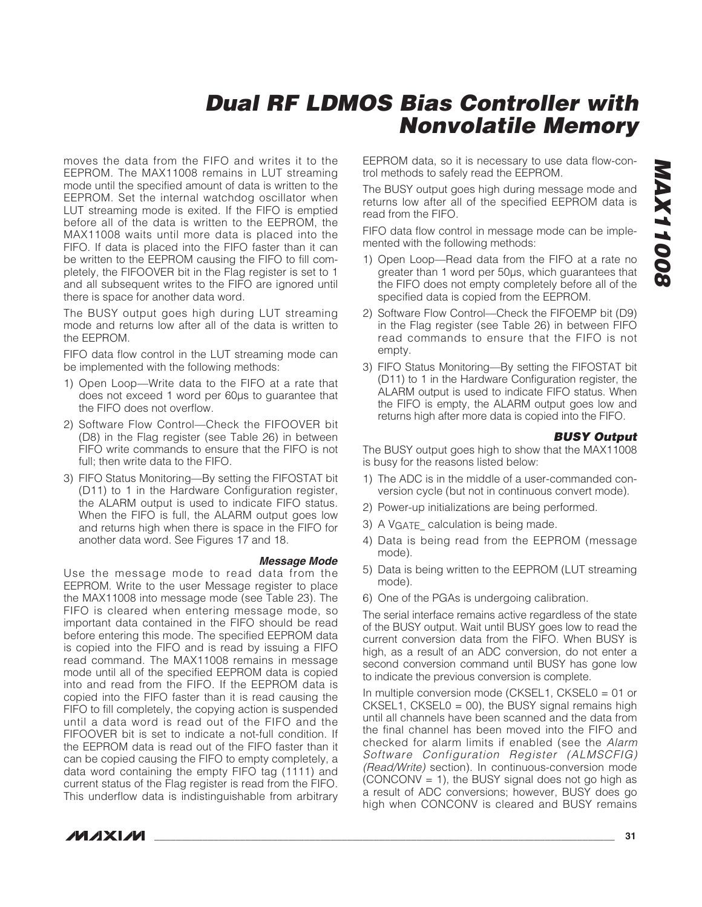moves the data from the FIFO and writes it to the EEPROM. The MAX11008 remains in LUT streaming mode until the specified amount of data is written to the EEPROM. Set the internal watchdog oscillator when LUT streaming mode is exited. If the FIFO is emptied before all of the data is written to the EEPROM, the MAX11008 waits until more data is placed into the FIFO. If data is placed into the FIFO faster than it can be written to the EEPROM causing the FIFO to fill completely, the FIFOOVER bit in the Flag register is set to 1 and all subsequent writes to the FIFO are ignored until there is space for another data word.

The BUSY output goes high during LUT streaming mode and returns low after all of the data is written to the EEPROM.

FIFO data flow control in the LUT streaming mode can be implemented with the following methods:

- 1) Open Loop—Write data to the FIFO at a rate that does not exceed 1 word per 60µs to guarantee that the FIFO does not overflow.
- 2) Software Flow Control—Check the FIFOOVER bit (D8) in the Flag register (see Table 26) in between FIFO write commands to ensure that the FIFO is not full; then write data to the FIFO.
- 3) FIFO Status Monitoring—By setting the FIFOSTAT bit (D11) to 1 in the Hardware Configuration register, the ALARM output is used to indicate FIFO status. When the FIFO is full, the ALARM output goes low and returns high when there is space in the FIFO for another data word. See Figures 17 and 18.

#### **Message Mode**

Use the message mode to read data from the EEPROM. Write to the user Message register to place the MAX11008 into message mode (see Table 23). The FIFO is cleared when entering message mode, so important data contained in the FIFO should be read before entering this mode. The specified EEPROM data is copied into the FIFO and is read by issuing a FIFO read command. The MAX11008 remains in message mode until all of the specified EEPROM data is copied into and read from the FIFO. If the EEPROM data is copied into the FIFO faster than it is read causing the FIFO to fill completely, the copying action is suspended until a data word is read out of the FIFO and the FIFOOVER bit is set to indicate a not-full condition. If the EEPROM data is read out of the FIFO faster than it can be copied causing the FIFO to empty completely, a data word containing the empty FIFO tag (1111) and current status of the Flag register is read from the FIFO. This underflow data is indistinguishable from arbitrary EEPROM data, so it is necessary to use data flow-control methods to safely read the EEPROM.

The BUSY output goes high during message mode and returns low after all of the specified EEPROM data is read from the FIFO.

FIFO data flow control in message mode can be implemented with the following methods:

- 1) Open Loop—Read data from the FIFO at a rate no greater than 1 word per 50µs, which guarantees that the FIFO does not empty completely before all of the specified data is copied from the EEPROM.
- 2) Software Flow Control—Check the FIFOEMP bit (D9) in the Flag register (see Table 26) in between FIFO read commands to ensure that the FIFO is not empty.
- 3) FIFO Status Monitoring—By setting the FIFOSTAT bit (D11) to 1 in the Hardware Configuration register, the ALARM output is used to indicate FIFO status. When the FIFO is empty, the ALARM output goes low and returns high after more data is copied into the FIFO.

#### **BUSY Output**

The BUSY output goes high to show that the MAX11008 is busy for the reasons listed below:

- 1) The ADC is in the middle of a user-commanded conversion cycle (but not in continuous convert mode).
- 2) Power-up initializations are being performed.
- 3) A VGATE calculation is being made.
- 4) Data is being read from the EEPROM (message mode).
- 5) Data is being written to the EEPROM (LUT streaming mode).
- 6) One of the PGAs is undergoing calibration.

The serial interface remains active regardless of the state of the BUSY output. Wait until BUSY goes low to read the current conversion data from the FIFO. When BUSY is high, as a result of an ADC conversion, do not enter a second conversion command until BUSY has gone low to indicate the previous conversion is complete.

In multiple conversion mode (CKSEL1, CKSEL0 = 01 or  $CKSEL1$ ,  $CKSEL0 = 00$ ), the BUSY signal remains high until all channels have been scanned and the data from the final channel has been moved into the FIFO and checked for alarm limits if enabled (see the Alarm Software Configuration Register (ALMSCFIG) (Read/Write) section). In continuous-conversion mode  $(CONCONV = 1)$ , the BUSY signal does not go high as a result of ADC conversions; however, BUSY does go high when CONCONV is cleared and BUSY remains

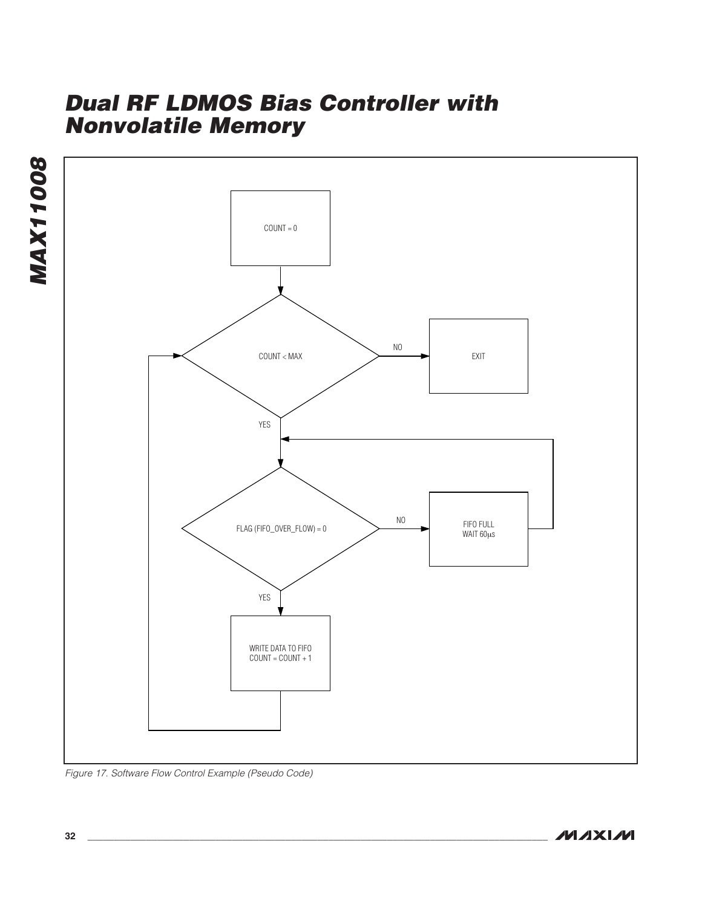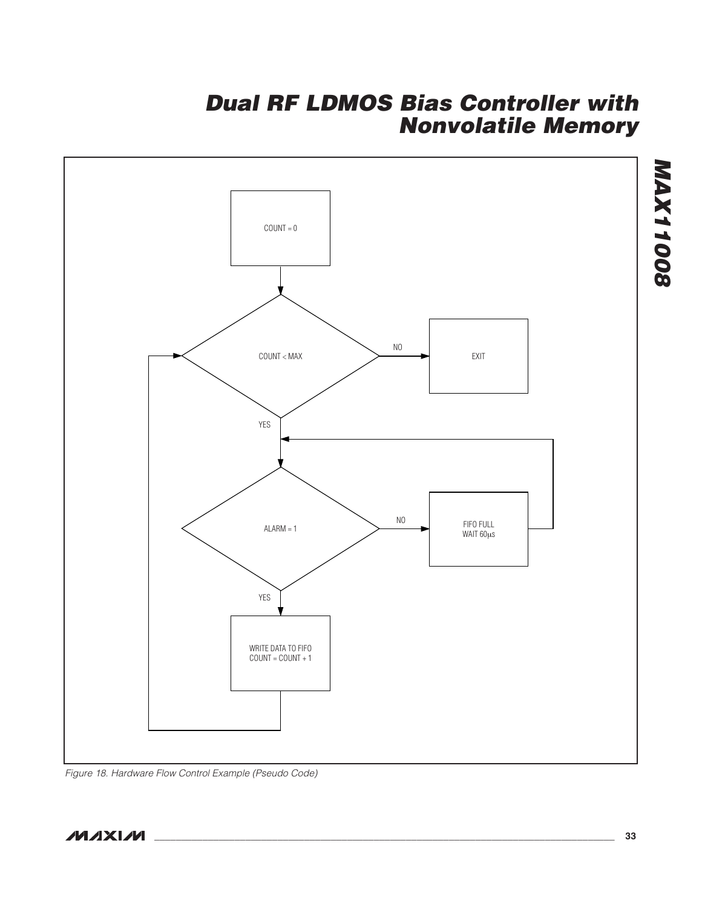

Figure 18. Hardware Flow Control Example (Pseudo Code)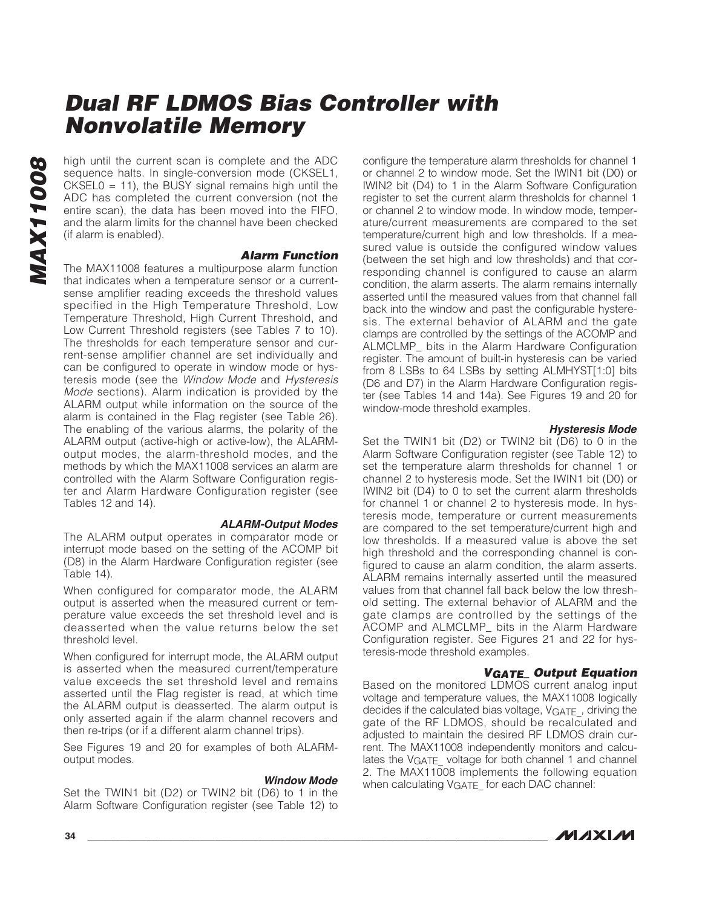May high until the current scan is complete and the ADC<br>sequence halts. In single-conversion mode (CKSEL1,<br>CKSEL0 = 11), the BUSY signal remains high until the<br>ADC has completed the current conversion (not the<br>entire scan) sequence halts. In single-conversion mode (CKSEL1, CKSEL0 = 11), the BUSY signal remains high until the ADC has completed the current conversion (not the entire scan), the data has been moved into the FIFO, and the alarm limits for the channel have been checked (if alarm is enabled).

#### **Alarm Function**

The MAX11008 features a multipurpose alarm function that indicates when a temperature sensor or a currentsense amplifier reading exceeds the threshold values specified in the High Temperature Threshold, Low Temperature Threshold, High Current Threshold, and Low Current Threshold registers (see Tables 7 to 10). The thresholds for each temperature sensor and current-sense amplifier channel are set individually and can be configured to operate in window mode or hysteresis mode (see the Window Mode and Hysteresis Mode sections). Alarm indication is provided by the ALARM output while information on the source of the alarm is contained in the Flag register (see Table 26). The enabling of the various alarms, the polarity of the ALARM output (active-high or active-low), the ALARMoutput modes, the alarm-threshold modes, and the methods by which the MAX11008 services an alarm are controlled with the Alarm Software Configuration register and Alarm Hardware Configuration register (see Tables 12 and 14).

#### **ALARM-Output Modes**

The ALARM output operates in comparator mode or interrupt mode based on the setting of the ACOMP bit (D8) in the Alarm Hardware Configuration register (see Table 14).

When configured for comparator mode, the ALARM output is asserted when the measured current or temperature value exceeds the set threshold level and is deasserted when the value returns below the set threshold level.

When configured for interrupt mode, the ALARM output is asserted when the measured current/temperature value exceeds the set threshold level and remains asserted until the Flag register is read, at which time the ALARM output is deasserted. The alarm output is only asserted again if the alarm channel recovers and then re-trips (or if a different alarm channel trips).

See Figures 19 and 20 for examples of both ALARMoutput modes.

#### **Window Mode**

Set the TWIN1 bit (D2) or TWIN2 bit (D6) to 1 in the Alarm Software Configuration register (see Table 12) to configure the temperature alarm thresholds for channel 1 or channel 2 to window mode. Set the IWIN1 bit (D0) or IWIN2 bit (D4) to 1 in the Alarm Software Configuration register to set the current alarm thresholds for channel 1 or channel 2 to window mode. In window mode, temperature/current measurements are compared to the set temperature/current high and low thresholds. If a measured value is outside the configured window values (between the set high and low thresholds) and that corresponding channel is configured to cause an alarm condition, the alarm asserts. The alarm remains internally asserted until the measured values from that channel fall back into the window and past the configurable hysteresis. The external behavior of ALARM and the gate clamps are controlled by the settings of the ACOMP and ALMCLMP\_ bits in the Alarm Hardware Configuration register. The amount of built-in hysteresis can be varied from 8 LSBs to 64 LSBs by setting ALMHYST[1:0] bits (D6 and D7) in the Alarm Hardware Configuration register (see Tables 14 and 14a). See Figures 19 and 20 for window-mode threshold examples.

#### **Hysteresis Mode**

Set the TWIN1 bit (D2) or TWIN2 bit (D6) to 0 in the Alarm Software Configuration register (see Table 12) to set the temperature alarm thresholds for channel 1 or channel 2 to hysteresis mode. Set the IWIN1 bit (D0) or IWIN2 bit (D4) to 0 to set the current alarm thresholds for channel 1 or channel 2 to hysteresis mode. In hysteresis mode, temperature or current measurements are compared to the set temperature/current high and low thresholds. If a measured value is above the set high threshold and the corresponding channel is configured to cause an alarm condition, the alarm asserts. ALARM remains internally asserted until the measured values from that channel fall back below the low threshold setting. The external behavior of ALARM and the gate clamps are controlled by the settings of the ACOMP and ALMCLMP\_ bits in the Alarm Hardware Configuration register. See Figures 21 and 22 for hysteresis-mode threshold examples.

#### **VGATE\_ Output Equation**

Based on the monitored LDMOS current analog input voltage and temperature values, the MAX11008 logically decides if the calculated bias voltage,  $V<sub>GATF</sub>$ , driving the gate of the RF LDMOS, should be recalculated and adjusted to maintain the desired RF LDMOS drain current. The MAX11008 independently monitors and calculates the VGATE voltage for both channel 1 and channel 2. The MAX11008 implements the following equation when calculating VGATE\_ for each DAC channel: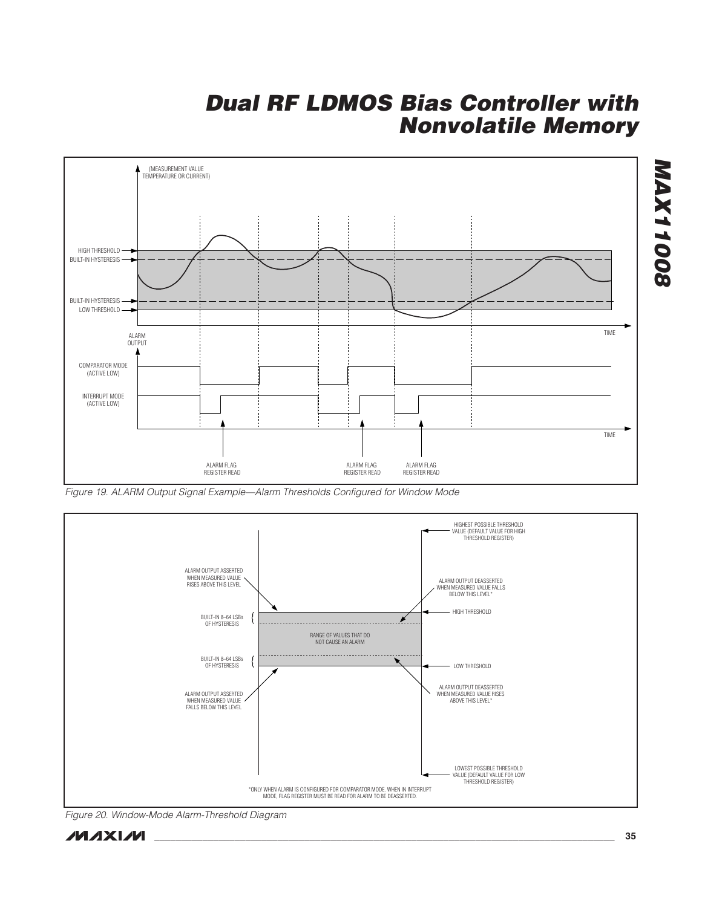

Figure 19. ALARM Output Signal Example—Alarm Thresholds Configured for Window Mode



Figure 20. Window-Mode Alarm-Threshold Diagram

**MAX11008**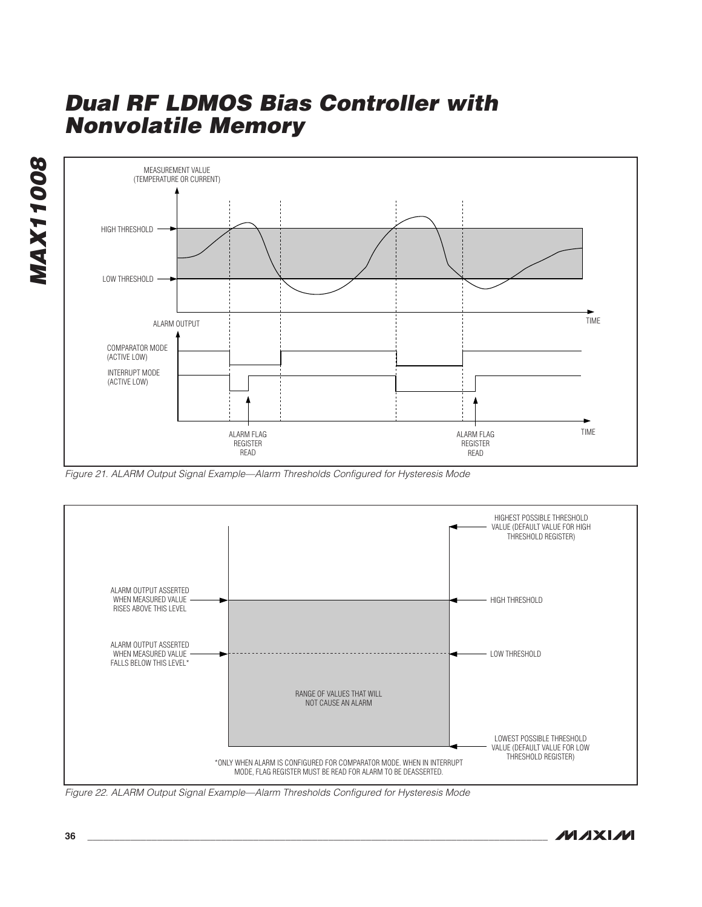**MAX11008 MAX11008** 



Figure 21. ALARM Output Signal Example—Alarm Thresholds Configured for Hysteresis Mode



Figure 22. ALARM Output Signal Example—Alarm Thresholds Configured for Hysteresis Mode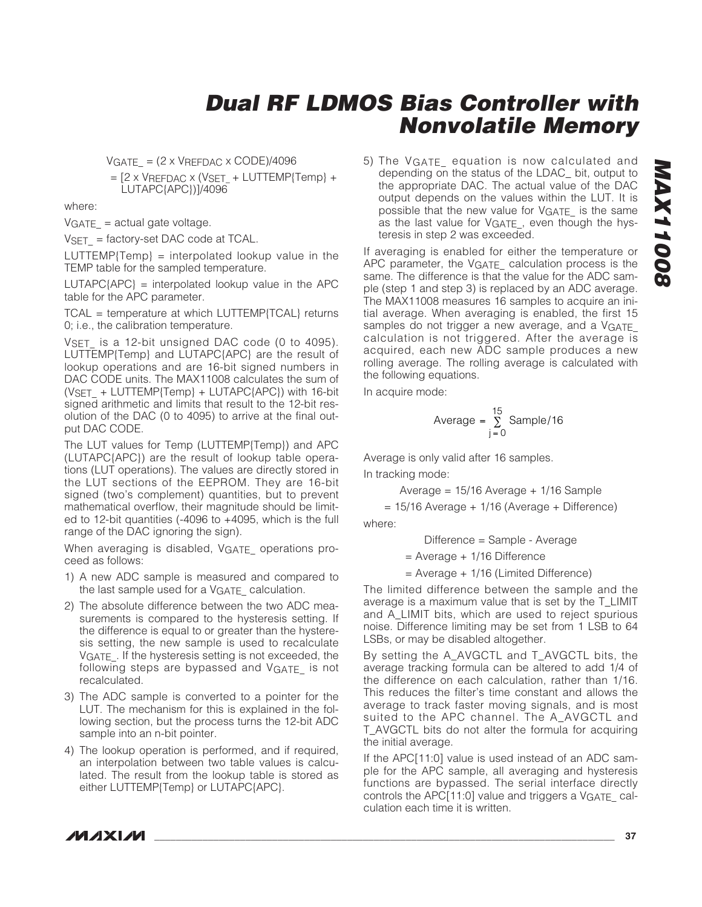$VGATE = (2 \times VREFDAC \times CODE)/4096$ 

 $=$  [2 x VREFDAC x (VSET  $+$  LUTTEMP{Temp} + LUTAPC{APC})]/4096

where:

 $VGATE = actual gate voltage.$ 

 $VSET = factory-set DAC code at TCAL.$ 

 $LUTTEMP$ {Temp} = interpolated lookup value in the TEMP table for the sampled temperature.

 $LUTAPC$ {APC} = interpolated lookup value in the APC table for the APC parameter.

TCAL = temperature at which LUTTEMP{TCAL} returns 0; i.e., the calibration temperature.

VSET is a 12-bit unsigned DAC code (0 to 4095). LUTTEMP{Temp} and LUTAPC{APC} are the result of lookup operations and are 16-bit signed numbers in DAC CODE units. The MAX11008 calculates the sum of  $(VSET + LUTTEMP{Temp} + LUTAPC{APC})$  with 16-bit signed arithmetic and limits that result to the 12-bit resolution of the DAC (0 to 4095) to arrive at the final output DAC CODE.

The LUT values for Temp (LUTTEMP{Temp}) and APC (LUTAPC{APC}) are the result of lookup table operations (LUT operations). The values are directly stored in the LUT sections of the EEPROM. They are 16-bit signed (two's complement) quantities, but to prevent mathematical overflow, their magnitude should be limited to 12-bit quantities (-4096 to +4095, which is the full range of the DAC ignoring the sign).

When averaging is disabled, VGATE operations proceed as follows:

- 1) A new ADC sample is measured and compared to the last sample used for a V<sub>GATE</sub> calculation.
- 2) The absolute difference between the two ADC measurements is compared to the hysteresis setting. If the difference is equal to or greater than the hysteresis setting, the new sample is used to recalculate VGATE. If the hysteresis setting is not exceeded, the following steps are bypassed and VGATE is not recalculated.
- 3) The ADC sample is converted to a pointer for the LUT. The mechanism for this is explained in the following section, but the process turns the 12-bit ADC sample into an n-bit pointer.
- 4) The lookup operation is performed, and if required, an interpolation between two table values is calculated. The result from the lookup table is stored as either LUTTEMP{Temp} or LUTAPC{APC}.

5) The VGATE\_ equation is now calculated and depending on the status of the LDAC\_ bit, output to the appropriate DAC. The actual value of the DAC output depends on the values within the LUT. It is possible that the new value for VGATE\_ is the same as the last value for VGATE, even though the hysteresis in step 2 was exceeded.

If averaging is enabled for either the temperature or APC parameter, the VGATE\_ calculation process is the same. The difference is that the value for the ADC sample (step 1 and step 3) is replaced by an ADC average. The MAX11008 measures 16 samples to acquire an initial average. When averaging is enabled, the first 15 samples do not trigger a new average, and a VGATE calculation is not triggered. After the average is acquired, each new ADC sample produces a new rolling average. The rolling average is calculated with the following equations.

In acquire mode:

Average = 
$$
\sum_{j=0}^{15}
$$
 Sample/16

Average is only valid after 16 samples.

In tracking mode:

Average = 15/16 Average + 1/16 Sample

 $= 15/16$  Average + 1/16 (Average + Difference) where:

Difference = Sample - Average

= Average + 1/16 Difference

= Average + 1/16 (Limited Difference)

The limited difference between the sample and the average is a maximum value that is set by the T\_LIMIT and A\_LIMIT bits, which are used to reject spurious noise. Difference limiting may be set from 1 LSB to 64 LSBs, or may be disabled altogether.

By setting the A\_AVGCTL and T\_AVGCTL bits, the average tracking formula can be altered to add 1/4 of the difference on each calculation, rather than 1/16. This reduces the filter's time constant and allows the average to track faster moving signals, and is most suited to the APC channel. The A\_AVGCTL and T\_AVGCTL bits do not alter the formula for acquiring the initial average.

If the APC[11:0] value is used instead of an ADC sample for the APC sample, all averaging and hysteresis functions are bypassed. The serial interface directly controls the APC[11:0] value and triggers a VGATE calculation each time it is written.

**MAXIM**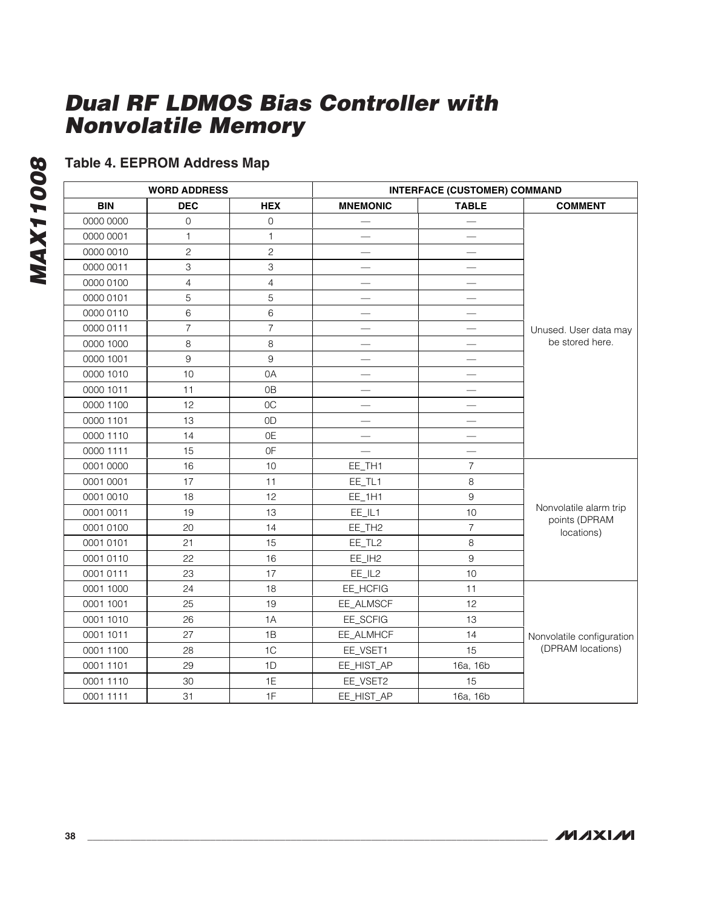# **Table 4. EEPROM Address Map**

|            | <b>WORD ADDRESS</b> |                | <b>INTERFACE (CUSTOMER) COMMAND</b> |                |                             |  |  |  |
|------------|---------------------|----------------|-------------------------------------|----------------|-----------------------------|--|--|--|
| <b>BIN</b> | <b>DEC</b>          | <b>HEX</b>     | <b>MNEMONIC</b>                     | <b>TABLE</b>   | <b>COMMENT</b>              |  |  |  |
| 0000 0000  | $\mathbf{O}$        | $\mathbf 0$    |                                     |                |                             |  |  |  |
| 0000 0001  | 1                   | 1              |                                     |                |                             |  |  |  |
| 0000 0010  | $\mathbf{2}$        | $\mathbf{2}$   |                                     |                |                             |  |  |  |
| 0000 0011  | 3                   | 3              |                                     |                |                             |  |  |  |
| 0000 0100  | $\overline{4}$      | $\overline{4}$ |                                     |                |                             |  |  |  |
| 0000 0101  | 5                   | 5              |                                     |                |                             |  |  |  |
| 0000 0110  | 6                   | 6              |                                     |                |                             |  |  |  |
| 0000 0111  | $\overline{7}$      | $\overline{7}$ |                                     |                | Unused. User data may       |  |  |  |
| 0000 1000  | 8                   | 8              |                                     |                | be stored here.             |  |  |  |
| 0000 1001  | 9                   | 9              |                                     |                |                             |  |  |  |
| 0000 1010  | 10                  | 0A             |                                     |                |                             |  |  |  |
| 0000 1011  | 11                  | 0 <sub>B</sub> |                                     |                |                             |  |  |  |
| 0000 1100  | 12                  | 0C             |                                     |                |                             |  |  |  |
| 0000 1101  | 13                  | 0 <sub>D</sub> |                                     |                |                             |  |  |  |
| 0000 1110  | 14                  | 0E             |                                     |                |                             |  |  |  |
| 0000 1111  | 15                  | 0F             |                                     |                |                             |  |  |  |
| 0001 0000  | 16                  | 10             | EE_TH1                              | $\overline{7}$ |                             |  |  |  |
| 0001 0001  | 17                  | 11             | EE_TL1                              | $\,8\,$        |                             |  |  |  |
| 0001 0010  | 18                  | 12             | EE_1H1                              | $9\,$          |                             |  |  |  |
| 0001 0011  | 19                  | 13             | EE_IL1                              | 10             | Nonvolatile alarm trip      |  |  |  |
| 0001 0100  | 20                  | 14             | EE_TH <sub>2</sub>                  | $\overline{7}$ | points (DPRAM<br>locations) |  |  |  |
| 0001 0101  | 21                  | 15             | EE_TL2                              | 8              |                             |  |  |  |
| 0001 0110  | 22                  | 16             | EE_IH2                              | 9              |                             |  |  |  |
| 0001 0111  | 23                  | 17             | EE_IL2                              | 10             |                             |  |  |  |
| 0001 1000  | 24                  | 18             | EE_HCFIG                            | 11             |                             |  |  |  |
| 0001 1001  | 25                  | 19             | EE_ALMSCF                           | 12             |                             |  |  |  |
| 0001 1010  | 26                  | 1A             | EE_SCFIG                            | 13             |                             |  |  |  |
| 0001 1011  | 27                  | 1B             | EE_ALMHCF                           | 14             | Nonvolatile configuration   |  |  |  |
| 0001 1100  | 28                  | 1 <sup>C</sup> | EE_VSET1                            | 15             | (DPRAM locations)           |  |  |  |
| 0001 1101  | 29                  | 1D             | EE_HIST_AP                          | 16a, 16b       |                             |  |  |  |
| 0001 1110  | 30                  | 1E             | EE_VSET2                            | 15             |                             |  |  |  |
| 0001 1111  | 31                  | 1F             | EE_HIST_AP                          | 16a, 16b       |                             |  |  |  |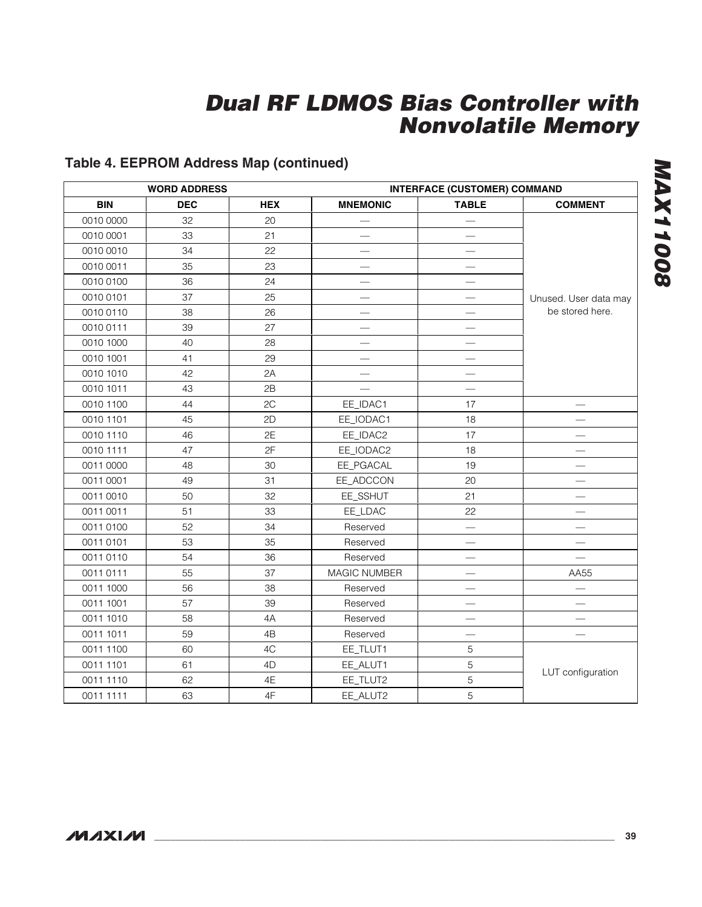### **Table 4. EEPROM Address Map (continued)**

|            | <b>WORD ADDRESS</b> |            |                          | <b>INTERFACE (CUSTOMER) COMMAND</b> |                       |  |  |  |  |
|------------|---------------------|------------|--------------------------|-------------------------------------|-----------------------|--|--|--|--|
| <b>BIN</b> | <b>DEC</b>          | <b>HEX</b> | <b>MNEMONIC</b>          | <b>TABLE</b>                        | <b>COMMENT</b>        |  |  |  |  |
| 0010 0000  | 32                  | 20         |                          |                                     |                       |  |  |  |  |
| 0010 0001  | 33                  | 21         |                          |                                     |                       |  |  |  |  |
| 0010 0010  | 34                  | 22         |                          |                                     |                       |  |  |  |  |
| 0010 0011  | 35                  | 23         |                          |                                     |                       |  |  |  |  |
| 0010 0100  | 36                  | 24         |                          |                                     |                       |  |  |  |  |
| 0010 0101  | 37                  | 25         |                          |                                     | Unused. User data may |  |  |  |  |
| 0010 0110  | 38                  | 26         |                          |                                     | be stored here.       |  |  |  |  |
| 0010 0111  | 39                  | 27         | $\overline{\phantom{0}}$ |                                     |                       |  |  |  |  |
| 0010 1000  | 40                  | 28         |                          |                                     |                       |  |  |  |  |
| 0010 1001  | 41                  | 29         |                          |                                     |                       |  |  |  |  |
| 0010 1010  | 42                  | 2A         |                          |                                     |                       |  |  |  |  |
| 0010 1011  | 43                  | 2B         |                          | $\overline{\phantom{0}}$            |                       |  |  |  |  |
| 0010 1100  | 44                  | 2C         | EE_IDAC1                 | 17                                  |                       |  |  |  |  |
| 0010 1101  | 45                  | 2D         | EE_IODAC1                | 18                                  |                       |  |  |  |  |
| 0010 1110  | 46                  | 2E         | EE_IDAC2                 | 17                                  |                       |  |  |  |  |
| 0010 1111  | 47                  | 2F         | EE_IODAC2                | 18                                  |                       |  |  |  |  |
| 0011 0000  | 48                  | 30         | EE_PGACAL                | 19                                  |                       |  |  |  |  |
| 0011 0001  | 49                  | 31         | EE_ADCCON                | 20                                  |                       |  |  |  |  |
| 0011 0010  | 50                  | 32         | EE_SSHUT                 | 21                                  |                       |  |  |  |  |
| 0011 0011  | 51                  | 33         | EE_LDAC                  | 22                                  |                       |  |  |  |  |
| 0011 0100  | 52                  | 34         | Reserved                 |                                     |                       |  |  |  |  |
| 0011 0101  | 53                  | 35         | Reserved                 |                                     |                       |  |  |  |  |
| 0011 0110  | 54                  | 36         | Reserved                 | $\overline{\phantom{0}}$            |                       |  |  |  |  |
| 0011 0111  | 55                  | 37         | MAGIC NUMBER             |                                     | AA55                  |  |  |  |  |
| 0011 1000  | 56                  | 38         | Reserved                 |                                     |                       |  |  |  |  |
| 0011 1001  | 57                  | 39         | Reserved                 |                                     |                       |  |  |  |  |
| 0011 1010  | 58                  | 4A         | Reserved                 |                                     |                       |  |  |  |  |
| 0011 1011  | 59                  | 4B         | Reserved                 |                                     |                       |  |  |  |  |
| 0011 1100  | 60                  | 4C         | EE_TLUT1                 | 5                                   |                       |  |  |  |  |
| 0011 1101  | 61                  | 4D         | EE_ALUT1                 | 5                                   |                       |  |  |  |  |
| 0011 1110  | 62                  | 4E         | EE_TLUT2                 | 5                                   | LUT configuration     |  |  |  |  |
| 0011 1111  | 63                  | 4F         | EE_ALUT2                 | 5                                   |                       |  |  |  |  |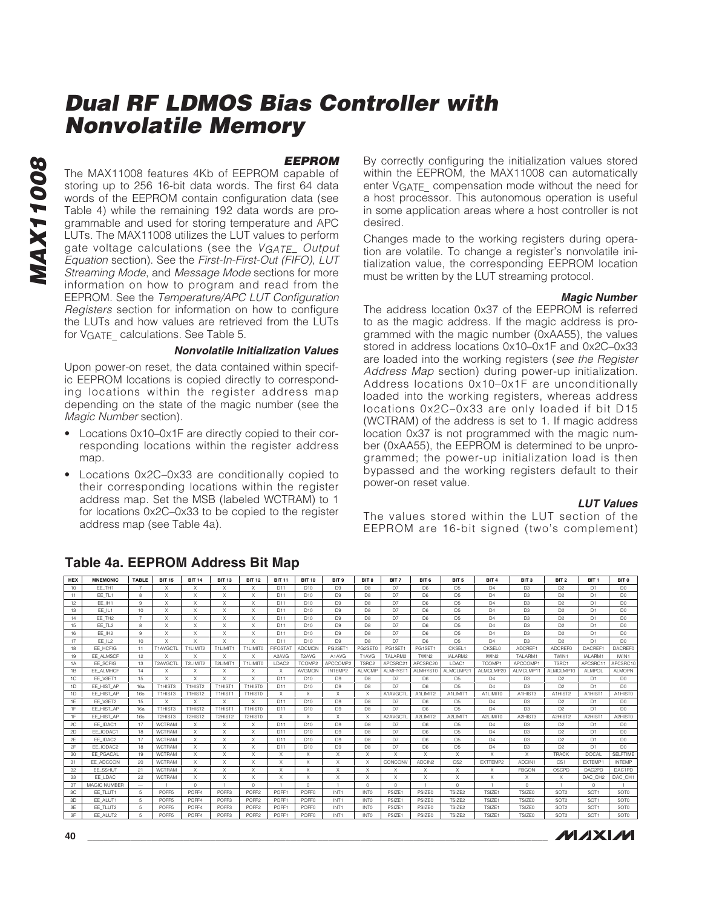#### **EEPROM**

The MAX11008 features 4Kb of EEPROM capable of storing up to 256 16-bit data words. The first 64 data words of the EEPROM contain configuration data (see Table 4) while the remaining 192 data words are programmable and used for storing temperature and APC LUTs. The MAX11008 utilizes the LUT values to perform gate voltage calculations (see the VGATE\_Output Equation section). See the First-In-First-Out (FIFO), LUT Streaming Mode, and Message Mode sections for more information on how to program and read from the EEPROM. See the Temperature/APC LUT Configuration Registers section for information on how to configure the LUTs and how values are retrieved from the LUTs for VGATE calculations. See Table 5.

#### **Nonvolatile Initialization Values**

Upon power-on reset, the data contained within specific EEPROM locations is copied directly to corresponding locations within the register address map depending on the state of the magic number (see the Magic Number section).

- Locations 0x10–0x1F are directly copied to their corresponding locations within the register address map.
- Locations 0x2C–0x33 are conditionally copied to their corresponding locations within the register address map. Set the MSB (labeled WCTRAM) to 1 for locations 0x2C–0x33 to be copied to the register address map (see Table 4a).

By correctly configuring the initialization values stored within the EEPROM, the MAX11008 can automatically enter VGATE\_ compensation mode without the need for a host processor. This autonomous operation is useful in some application areas where a host controller is not desired.

Changes made to the working registers during operation are volatile. To change a register's nonvolatile initialization value, the corresponding EEPROM location must be written by the LUT streaming protocol.

#### **Magic Number**

The address location 0x37 of the EEPROM is referred to as the magic address. If the magic address is programmed with the magic number (0xAA55), the values stored in address locations 0x10–0x1F and 0x2C–0x33 are loaded into the working registers (see the Register Address Map section) during power-up initialization. Address locations 0x10–0x1F are unconditionally loaded into the working registers, whereas address locations 0x2C–0x33 are only loaded if bit D15 (WCTRAM) of the address is set to 1. If magic address location 0x37 is not programmed with the magic number (0xAA55), the EEPROM is determined to be unprogrammed; the power-up initialization load is then bypassed and the working registers default to their power-on reset value.

#### **LUT Values**

The values stored within the LUT section of the EEPROM are 16-bit signed (two's complement)

| <b>HEX</b>     | <b>MNEMONIC</b>    | <b>TABLE</b>    | <b>BIT 15</b>     | <b>BIT 14</b> | <b>BIT 13</b>        | <b>BIT 12</b>             | <b>BIT 11</b>     | <b>BIT 10</b>                  | BIT <sub>9</sub> | BIT 8                     | BIT <sub>7</sub>   | BIT 6               | BIT <sub>5</sub>          | BIT <sub>4</sub> | BIT <sub>3</sub>    | BIT <sub>2</sub>                 | BIT <sub>1</sub>    | BIT 0            |
|----------------|--------------------|-----------------|-------------------|---------------|----------------------|---------------------------|-------------------|--------------------------------|------------------|---------------------------|--------------------|---------------------|---------------------------|------------------|---------------------|----------------------------------|---------------------|------------------|
| 10             | EE TH1             |                 | X                 | X             | X                    | $\times$                  | D11               | D10                            | D <sub>9</sub>   | D <sub>8</sub>            | D <sub>7</sub>     | D <sub>6</sub>      | D <sub>5</sub>            | D <sub>4</sub>   | D <sub>3</sub>      | D <sub>2</sub>                   | D1                  | D <sub>0</sub>   |
| 11             | EE_TL1             | 8               | X                 | X             | X                    | $\boldsymbol{\mathsf{X}}$ | D11               | D <sub>10</sub>                | D <sub>9</sub>   | D <sub>8</sub>            | D7                 | D <sub>6</sub>      | D <sub>5</sub>            | D <sub>4</sub>   | D <sub>3</sub>      | D <sub>2</sub>                   | D <sub>1</sub>      | D <sub>0</sub>   |
| 12             | EE IH1             | 9               | X                 | X             | X                    | X                         | D11               | D <sub>10</sub>                | D <sub>9</sub>   | D <sub>8</sub>            | D7                 | D <sub>6</sub>      | D <sub>5</sub>            | D <sub>4</sub>   | D <sub>3</sub>      | D <sub>2</sub>                   | D <sub>1</sub>      | D <sub>0</sub>   |
| 13             | EE IL1             | 10              | X                 | X             | X                    | X                         | D11               | D <sub>10</sub>                | D <sub>9</sub>   | D <sub>8</sub>            | D <sub>7</sub>     | D <sub>6</sub>      | D <sub>5</sub>            | D <sub>4</sub>   | D <sub>3</sub>      | D <sub>2</sub>                   | D1                  | D <sub>0</sub>   |
| 14             | EE TH2             | $\overline{7}$  | X                 | X             | $\times$             | X                         | D11               | D10                            | D9               | D <sub>8</sub>            | D7                 | D <sub>6</sub>      | D <sub>5</sub>            | $\Box$ 4         | D <sub>3</sub>      | D <sub>2</sub>                   | D1                  | D.               |
| 15             | EE TL <sub>2</sub> | 8               | X                 | X             | $\times$             | X                         | D11               | D <sub>10</sub>                | D <sub>9</sub>   | D <sub>8</sub>            | D <sub>7</sub>     | D <sub>6</sub>      | D <sub>5</sub>            | D <sub>4</sub>   | D <sub>3</sub>      | D <sub>2</sub>                   | D1                  | D <sub>0</sub>   |
| 16             | EE IH2             | 9               | X                 | $\times$      | X                    | $\boldsymbol{\mathsf{X}}$ | D11               | D <sub>10</sub>                | D <sub>9</sub>   | D <sub>8</sub>            | D7                 | D <sub>6</sub>      | D <sub>5</sub>            | D <sub>4</sub>   | D <sub>3</sub>      | D <sub>2</sub>                   | D <sub>1</sub>      | D <sub>0</sub>   |
| 17             | EE IL2             | 10              | X                 | X             | X                    | $\boldsymbol{\mathsf{X}}$ | D11               | D10                            | D <sub>9</sub>   | D <sub>8</sub>            | D7                 | D <sub>6</sub>      | D <sub>5</sub>            | D <sub>4</sub>   | D <sub>3</sub>      | D <sub>2</sub>                   | D1                  | D <sub>0</sub>   |
| 18             | EE HCFIG           | 11              | T1AVGCTI          | T1LIMIT2      | T1LIMIT <sup>®</sup> | T1LIMITO                  | FIFOSTA           | ADCMON                         | PG2SET           | PG2SET0                   | PG1SET             | PG1SET <sup>®</sup> | CKSEL <sup>®</sup>        | <b>CKSEL0</b>    | ADCREF <sup>®</sup> | <b>ADCREFO</b>                   | DACREF              | <b>DACREFO</b>   |
| 19             | EE ALMSCF          | 12              | X                 | X             | X                    | $\boldsymbol{\mathsf{x}}$ | A2AVG             | T <sub>2</sub> AV <sub>G</sub> | A1AVG            | T1AVG                     | TALARM2            | TWIN2               | IALARM2                   | IWIN2            | TALARM1             | TWIN1                            | IALARM <sup>*</sup> | IWIN1            |
| 1A             | EE SCFIG           | 13              | T2AVGCTL          | T2LIMIT2      | T2LIMIT1             | T1LIMIT0                  | LDAC2             | TCOMP2                         | APCCOMP2         | TSRC2                     | APCSRC21           | APCSRC20            | LDAC1                     | TCOMP1           | APCCOMP1            | TSRC1                            | APCSRC1             | APCSRC10         |
| 1B             | EE ALMHCF          | 14              | $\times$          | X             | $\times$             | $\times$                  | $\times$          | AVGMON                         | INTFMP2          | ALMCMP                    | AI MHYST1          | AI MHYSTO           | ALMCLMP21                 | ALMCLMP20        | ALMCLMP11           | ALMCLMP10                        | AI MPOI             | <b>ALMOPN</b>    |
| 1 <sup>C</sup> | EE VSET1           | 15              | X                 | X             | $\times$             | X                         | D11               | D <sub>10</sub>                | D <sub>9</sub>   | D <sub>8</sub>            | D7                 | D <sub>6</sub>      | D <sub>5</sub>            | D <sub>4</sub>   | D <sub>3</sub>      | D <sub>2</sub>                   | D <sub>1</sub>      | D <sub>0</sub>   |
| 1D             | EE HIST AP         | 16a             | T1HIST3           | T1HIST2       | T1HIST1              | T1HIST0                   | D11               | D <sub>10</sub>                | D <sub>9</sub>   | D <sub>8</sub>            | D7                 | D <sub>6</sub>      | D <sub>5</sub>            | $\Box$ 4         | D <sub>3</sub>      | D <sub>2</sub>                   | D1                  | D <sub>0</sub>   |
| 1D             | EE HIST AP         | 16 <sub>b</sub> | T1HIST3           | T1HIST2       | T1HIST <sup>®</sup>  | T1HIST0                   | x                 | $\boldsymbol{\mathsf{x}}$      | X                | $\times$                  | A1AVGCTL           | A1LIMIT2            | A1LIMIT <sup>®</sup>      | A1LIMITO         | A1HIST3             | A <sub>1</sub> HIST <sub>2</sub> | A1HIST              | A1HIST0          |
| 1E             | EE VSET2           | 15              | $\times$          | X             | $\times$             | $\times$                  | D11               | D <sub>10</sub>                | D <sub>9</sub>   | D <sub>8</sub>            | D7                 | D <sub>6</sub>      | D <sub>5</sub>            | D <sub>4</sub>   | D <sub>3</sub>      | D <sub>2</sub>                   | D <sub>1</sub>      | D <sub>0</sub>   |
| 1F             | EE HIST AP         | 16a             | T1HIST3           | T1HIST2       | T1HIST               | T1HIST0                   | D11               | D <sub>10</sub>                | D <sub>9</sub>   | D <sub>8</sub>            | D7                 | D <sub>6</sub>      | D <sub>5</sub>            | D <sub>4</sub>   | D <sub>3</sub>      | D <sub>2</sub>                   | D <sub>1</sub>      | D <sub>0</sub>   |
| 1F             | EE HIST AP         | <b>16b</b>      | T2HIST3           | T2HIST2       | T2HIST2              | T2HIST0                   | $\chi$            | $\times$                       | X                | $\times$                  | A2AVGCTL           | A2LIMIT2            | A2LIMIT1                  | A2LIMIT0         | A2HIST3             | A2HIST2                          | A2HIST1             | A2HISTO          |
| 2C             | EE IDAC1           | 17              | WCTRAM            | X             | $\times$             | $\times$                  | D11               | D10                            | D9               | D <sub>8</sub>            | D7                 | D <sub>6</sub>      | D <sub>5</sub>            | $\Box$ 4         | D <sub>3</sub>      | D <sub>2</sub>                   | D1                  | D <sub>0</sub>   |
| 2D             | EE_IODAC1          | 18              | <b>WCTRAM</b>     | X             | X                    | $\boldsymbol{\mathsf{X}}$ | D11               | D <sub>10</sub>                | D <sub>9</sub>   | D <sub>8</sub>            | D7                 | D <sub>6</sub>      | D <sub>5</sub>            | D <sub>4</sub>   | D <sub>3</sub>      | D <sub>2</sub>                   | D <sub>1</sub>      | D <sub>0</sub>   |
| 2E             | EE IDAC2           | 17              | <b>WCTRAM</b>     | X             | X                    | $\boldsymbol{\mathsf{X}}$ | D11               | D <sub>10</sub>                | D <sub>9</sub>   | D <sub>8</sub>            | D <sub>7</sub>     | D <sub>6</sub>      | D <sub>5</sub>            | D <sub>4</sub>   | D <sub>3</sub>      | D <sub>2</sub>                   | D1                  | D <sub>0</sub>   |
| 2F             | EE IODAC2          | 18              | <b>WCTRAM</b>     | X             | X                    | X                         | D11               | D10                            | D <sub>9</sub>   | D <sub>8</sub>            | D7                 | D <sub>6</sub>      | D <sub>5</sub>            | D <sub>4</sub>   | D <sub>3</sub>      | D <sub>2</sub>                   | D1                  | D <sub>0</sub>   |
| 30             | EE PGACAL          | 19              | <b>WCTRAM</b>     | X             | X                    | X                         | $\chi$            | X                              | X                | X                         | X                  | X                   | $\boldsymbol{\mathsf{X}}$ | X                | X                   | <b>TRACK</b>                     | <b>DOCAL</b>        | <b>SELFTIME</b>  |
| 31             | EE ADCCON          | 20              | <b>WCTRAM</b>     | X             | X                    | X                         | X                 | $\boldsymbol{\mathsf{x}}$      | X                | $\boldsymbol{\mathsf{x}}$ | CONCONV            | ADCIN2              | CS <sub>2</sub>           | EXTTEMP2         | ADCIN1              | CS1                              | <b>EXTEMP</b>       | <b>INTEMP</b>    |
| 32             | EE SSHUT           | 21              | <b>WCTRAM</b>     | X             | $\mathsf{X}$         | $\boldsymbol{\mathsf{X}}$ | $\times$          | $\boldsymbol{\mathsf{x}}$      | X                | $\boldsymbol{\mathsf{X}}$ | X                  | X                   | $\mathsf{X}$              | X                | <b>FBGON</b>        | OSCPD                            | DAC2PE              | DAC1PD           |
| 33             | EE LDAC            | 22              | WCTRAM            | X             | X                    | $\boldsymbol{\mathsf{X}}$ | X                 | X                              | X                | $\boldsymbol{\mathsf{X}}$ | X                  | X                   | $\mathsf{X}$              | X                | X                   | X                                | DAC CH <sub>2</sub> | DAC CH1          |
| 37             | MAGIC NUMBER       |                 | $\mathbf{1}$      | $\circ$       |                      | $\Omega$                  | $\overline{1}$    | $^{\circ}$                     | $\mathbf{1}$     | $^{\circ}$                | $\Omega$           |                     | $\Omega$                  | $\overline{1}$   | $^{\circ}$          | $\mathbf{1}$                     | $\Omega$            | $\overline{1}$   |
| 3C             | EE TLUT1           | 5               | POFF <sub>5</sub> | POFF4         | POFF3                | POFF <sub>2</sub>         | POFF <sup>®</sup> | POFF <sub>0</sub>              | INT <sub>1</sub> | INTO                      | PSIZE <sup>®</sup> | PSIZE0              | TSIZE <sub>2</sub>        | TSIZE1           | <b>TSIZE0</b>       | SOT <sub>2</sub>                 | SOT <sub>1</sub>    | SOT <sub>0</sub> |
| 3D             | EE ALUT1           | 5               | POFF <sub>5</sub> | POFF4         | POFF3                | POFF <sub>2</sub>         | POFF <sub>1</sub> | POFFO                          | INT <sub>1</sub> | <b>INTO</b>               | PSIZE <sup>®</sup> | <b>PSIZE0</b>       | TSIZE <sub>2</sub>        | TSIZE1           | <b>TSIZE0</b>       | SOT <sub>2</sub>                 | SOT <sub>1</sub>    | SOT <sub>0</sub> |
| 3E             | EE TLUT2           | 5               | POFF <sub>5</sub> | POFF4         | POFF3                | POFF <sub>2</sub>         | POFF <sub>1</sub> | <b>POFFO</b>                   | INT <sub>1</sub> | INTO                      | PSIZE <sup>®</sup> | <b>PSIZE0</b>       | TSIZE <sub>2</sub>        | TSIZE1           | <b>TSIZE0</b>       | SOT <sub>2</sub>                 | SOT <sub>1</sub>    | SOT <sub>0</sub> |
| 3F             | EE ALUT2           | 5               | POFF <sub>5</sub> | POFF4         | POFF3                | POFF <sub>2</sub>         | POFF <sub>1</sub> | POFF <sub>0</sub>              | INT <sub>1</sub> | INTO                      | PSIZE <sub>1</sub> | PSIZE0              | TSIZE <sub>2</sub>        | TSIZE1           | <b>TSIZE0</b>       | SOT <sub>2</sub>                 | SOT <sub>1</sub>    | SOT <sub>0</sub> |

### **Table 4a. EEPROM Address Bit Map**

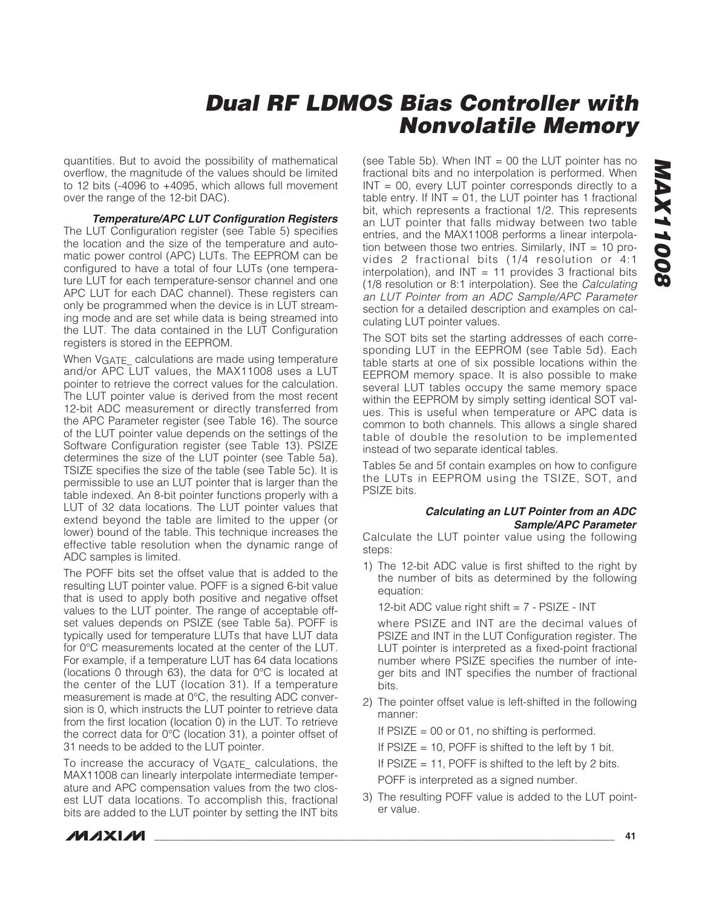quantities. But to avoid the possibility of mathematical overflow, the magnitude of the values should be limited to 12 bits (-4096 to +4095, which allows full movement over the range of the 12-bit DAC).

**Temperature/APC LUT Configuration Registers** The LUT Configuration register (see Table 5) specifies the location and the size of the temperature and automatic power control (APC) LUTs. The EEPROM can be configured to have a total of four LUTs (one temperature LUT for each temperature-sensor channel and one APC LUT for each DAC channel). These registers can only be programmed when the device is in LUT streaming mode and are set while data is being streamed into the LUT. The data contained in the LUT Configuration registers is stored in the EEPROM.

When VGATE calculations are made using temperature and/or APC LUT values, the MAX11008 uses a LUT pointer to retrieve the correct values for the calculation. The LUT pointer value is derived from the most recent 12-bit ADC measurement or directly transferred from the APC Parameter register (see Table 16). The source of the LUT pointer value depends on the settings of the Software Configuration register (see Table 13). PSIZE determines the size of the LUT pointer (see Table 5a). TSIZE specifies the size of the table (see Table 5c). It is permissible to use an LUT pointer that is larger than the table indexed. An 8-bit pointer functions properly with a LUT of 32 data locations. The LUT pointer values that extend beyond the table are limited to the upper (or lower) bound of the table. This technique increases the effective table resolution when the dynamic range of ADC samples is limited.

The POFF bits set the offset value that is added to the resulting LUT pointer value. POFF is a signed 6-bit value that is used to apply both positive and negative offset values to the LUT pointer. The range of acceptable offset values depends on PSIZE (see Table 5a). POFF is typically used for temperature LUTs that have LUT data for 0°C measurements located at the center of the LUT. For example, if a temperature LUT has 64 data locations (locations 0 through 63), the data for 0°C is located at the center of the LUT (location 31). If a temperature measurement is made at 0°C, the resulting ADC conversion is 0, which instructs the LUT pointer to retrieve data from the first location (location 0) in the LUT. To retrieve the correct data for 0°C (location 31), a pointer offset of 31 needs to be added to the LUT pointer.

To increase the accuracy of VGATE\_ calculations, the MAX11008 can linearly interpolate intermediate temperature and APC compensation values from the two closest LUT data locations. To accomplish this, fractional bits are added to the LUT pointer by setting the INT bits

(see Table 5b). When  $INT = 00$  the LUT pointer has no fractional bits and no interpolation is performed. When INT = 00, every LUT pointer corresponds directly to a table entry. If  $INT = 01$ , the LUT pointer has 1 fractional bit, which represents a fractional 1/2. This represents an LUT pointer that falls midway between two table entries, and the MAX11008 performs a linear interpolation between those two entries. Similarly,  $INT = 10$  provides 2 fractional bits (1/4 resolution or 4:1 interpolation), and  $INT = 11$  provides 3 fractional bits (1/8 resolution or 8:1 interpolation). See the Calculating an LUT Pointer from an ADC Sample/APC Parameter section for a detailed description and examples on calculating LUT pointer values.

The SOT bits set the starting addresses of each corresponding LUT in the EEPROM (see Table 5d). Each table starts at one of six possible locations within the EEPROM memory space. It is also possible to make several LUT tables occupy the same memory space within the EEPROM by simply setting identical SOT values. This is useful when temperature or APC data is common to both channels. This allows a single shared table of double the resolution to be implemented instead of two separate identical tables.

Tables 5e and 5f contain examples on how to configure the LUTs in EEPROM using the TSIZE, SOT, and PSIZE bits.

#### **Calculating an LUT Pointer from an ADC Sample/APC Parameter**

Calculate the LUT pointer value using the following steps:

1) The 12-bit ADC value is first shifted to the right by the number of bits as determined by the following equation:

12-bit ADC value right shift  $= 7 - PSIZE - INT$ 

where PSIZE and INT are the decimal values of PSIZE and INT in the LUT Configuration register. The LUT pointer is interpreted as a fixed-point fractional number where PSIZE specifies the number of integer bits and INT specifies the number of fractional bits.

2) The pointer offset value is left-shifted in the following manner:

If  $PSIZE = 00$  or 01, no shifting is performed.

If  $PSIZE = 10$ , POFF is shifted to the left by 1 bit.

If  $PSIZE = 11$ , POFF is shifted to the left by 2 bits.

POFF is interpreted as a signed number.

3) The resulting POFF value is added to the LUT pointer value.

**MAXIM**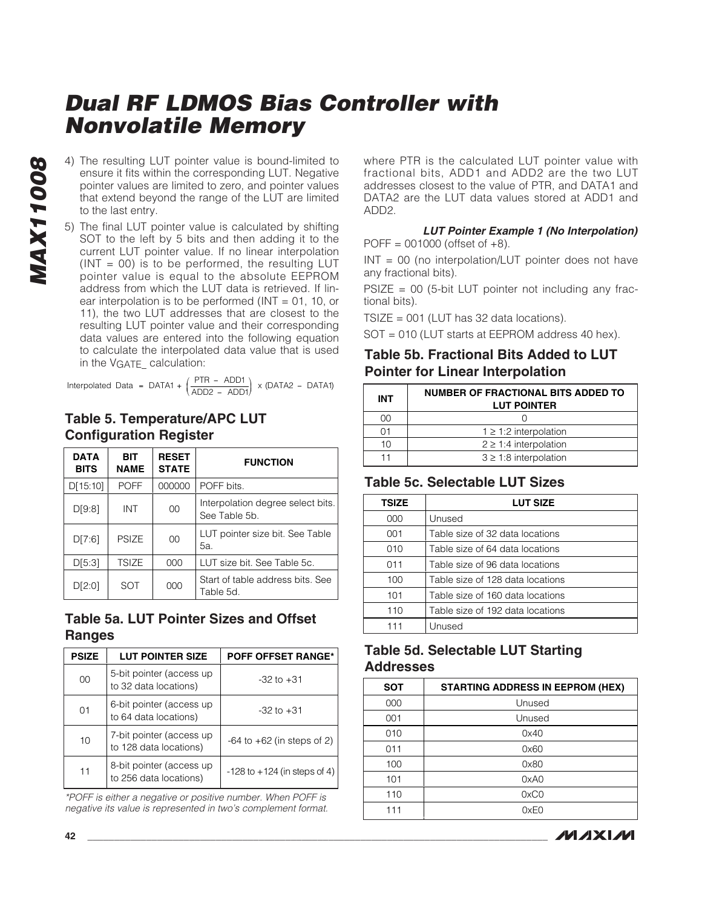- **MAX11008 MAX11008**
- 4) The resulting LUT pointer value is bound-limited to ensure it fits within the corresponding LUT. Negative pointer values are limited to zero, and pointer values that extend beyond the range of the LUT are limited to the last entry.
- 5) The final LUT pointer value is calculated by shifting SOT to the left by 5 bits and then adding it to the current LUT pointer value. If no linear interpolation  $(INT = 00)$  is to be performed, the resulting LUT pointer value is equal to the absolute EEPROM address from which the LUT data is retrieved. If linear interpolation is to be performed ( $INT = 01$ , 10, or 11), the two LUT addresses that are closest to the resulting LUT pointer value and their corresponding data values are entered into the following equation to calculate the interpolated data value that is used in the VGATE calculation:

Interpolated Data = DATA1 +  $\left(\frac{\text{PTR} - \text{ADD1}}{\text{ADD2} - \text{ADD1}}\right)$  x (DATA2 - DATA1) ⎛ .1 +  $\left(\frac{\text{PTR - ADD1}}{\text{ADD2 - ADD1}}\right)$  x (DATA2 - DATA1)

### **Table 5. Temperature/APC LUT Configuration Register**

| <b>DATA</b><br><b>BITS</b> | <b>BIT</b><br><b>NAME</b> | <b>RESET</b><br><b>STATE</b> | <b>FUNCTION</b>                                    |
|----------------------------|---------------------------|------------------------------|----------------------------------------------------|
| D[15:10]                   | <b>POFF</b>               | 000000                       | POFF bits.                                         |
| D[9:8]                     | INT                       | 00                           | Interpolation degree select bits.<br>See Table 5b. |
| D[7:6]                     | <b>PSIZE</b>              | 00                           | LUT pointer size bit. See Table<br>5а.             |
| D[5:3]                     | <b>TSIZE</b>              | 000                          | LUT size bit. See Table 5c.                        |
| D[2:0]                     | SOT                       | 000                          | Start of table address bits, See<br>Table 5d.      |

### **Table 5a. LUT Pointer Sizes and Offset Ranges**

| <b>PSIZE</b> | <b>LUT POINTER SIZE</b>                            | <b>POFF OFFSET RANGE*</b>        |
|--------------|----------------------------------------------------|----------------------------------|
| 00           | 5-bit pointer (access up<br>to 32 data locations)  | $-32$ to $+31$                   |
| 01           | 6-bit pointer (access up<br>to 64 data locations)  | $-32$ to $+31$                   |
| 10           | 7-bit pointer (access up<br>to 128 data locations) | $-64$ to $+62$ (in steps of 2)   |
| 11           | 8-bit pointer (access up<br>to 256 data locations) | $-128$ to $+124$ (in steps of 4) |

\*POFF is either a negative or positive number. When POFF is negative its value is represented in two's complement format. where PTR is the calculated LUT pointer value with fractional bits, ADD1 and ADD2 are the two LUT addresses closest to the value of PTR, and DATA1 and DATA2 are the LUT data values stored at ADD1 and ADD2.

#### **LUT Pointer Example 1 (No Interpolation)**  $POFF = 001000$  (offset of  $+8$ ).

INT = 00 (no interpolation/LUT pointer does not have any fractional bits).

 $PSIZE = 00$  (5-bit LUT pointer not including any fractional bits).

 $TSIZE = 001$  (LUT has 32 data locations).

SOT = 010 (LUT starts at EEPROM address 40 hex).

### **Table 5b. Fractional Bits Added to LUT Pointer for Linear Interpolation**

| <b>INT</b> | <b>NUMBER OF FRACTIONAL BITS ADDED TO</b><br><b>LUT POINTER</b> |
|------------|-----------------------------------------------------------------|
| იი         |                                                                 |
|            | $1 \geq 1.2$ interpolation                                      |
| 10         | $2 \geq 1.4$ interpolation                                      |
|            | $3 \geq 1.8$ interpolation                                      |

### **Table 5c. Selectable LUT Sizes**

| <b>TSIZE</b> | <b>LUT SIZE</b>                  |
|--------------|----------------------------------|
| 000          | Unused                           |
| 001          | Table size of 32 data locations  |
| 010          | Table size of 64 data locations  |
| 011          | Table size of 96 data locations  |
| 100          | Table size of 128 data locations |
| 101          | Table size of 160 data locations |
| 110          | Table size of 192 data locations |
|              | Unused                           |

### **Table 5d. Selectable LUT Starting Addresses**

| <b>SOT</b> | <b>STARTING ADDRESS IN EEPROM (HEX)</b> |
|------------|-----------------------------------------|
| 000        | Unused                                  |
| 001        | Unused                                  |
| 010        | 0x40                                    |
| 011        | 0x60                                    |
| 100        | 0x80                                    |
| 101        | 0xA0                                    |
| 110        | 0xC0                                    |
| 111        | 0xE0                                    |

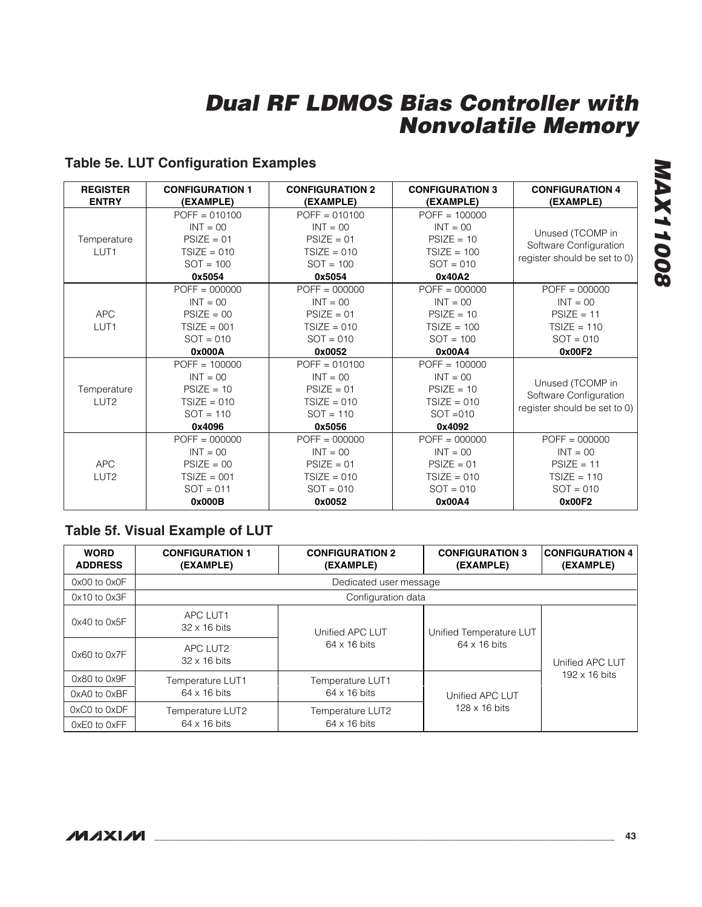# **Table 5e. LUT Configuration Examples**

| <b>REGISTER</b>  | <b>CONFIGURATION 1</b> | <b>CONFIGURATION 2</b> | <b>CONFIGURATION 3</b> | <b>CONFIGURATION 4</b>       |
|------------------|------------------------|------------------------|------------------------|------------------------------|
| <b>ENTRY</b>     | (EXAMPLE)              | (EXAMPLE)              | (EXAMPLE)              | (EXAMPLE)                    |
|                  | $POFF = 010100$        | $POFF = 010100$        | $POFF = 100000$        |                              |
|                  | $INT = 00$             | $INT = 00$             | $INT = 00$             | Unused (TCOMP in             |
| Temperature      | $PSIZE = 01$           | $PSIZE = 01$           | $PSIZE = 10$           | Software Configuration       |
| LUT <sub>1</sub> | $TSIZE = 010$          | $TSIZE = 010$          | $TSIZE = 100$          | register should be set to 0) |
|                  | $SOT = 100$            | $SOT = 100$            | $SOT = 010$            |                              |
|                  | 0x5054                 | 0x5054                 | 0x40A2                 |                              |
|                  | $POFF = 000000$        | $POFF = 000000$        | $POFF = 000000$        | $POFF = 000000$              |
|                  | $INT = 00$             | $INT = 00$             | $INT = 00$             | $INT = 00$                   |
| <b>APC</b>       | $PSIZE = 00$           | $PSIZE = 01$           | $PSIZE = 10$           | $PSIZE = 11$                 |
| LUT <sub>1</sub> | $TSIZE = 001$          | $TSIZE = 010$          | $TSIZE = 100$          | $TSIZE = 110$                |
|                  | $SOT = 010$            | $SOT = 010$            | $SOT = 100$            | $SOT = 010$                  |
|                  | 0x000A                 | 0x0052                 | 0x00A4                 | 0x00F2                       |
|                  | $POFF = 100000$        | $POFF = 010100$        | $POFF = 100000$        |                              |
|                  | $INT = 00$             | $INT = 00$             | $INT = 00$             | Unused (TCOMP in             |
| Temperature      | $PSIZE = 10$           | $PSIZE = 01$           | $PSIZE = 10$           |                              |
| LUT <sub>2</sub> | $TSIZE = 010$          | $TSIZE = 010$          | $TSIZE = 010$          | Software Configuration       |
|                  | $SOT = 110$            | $SOT = 110$            | $SOT = 010$            | register should be set to 0) |
|                  | 0x4096                 | 0x5056                 | 0x4092                 |                              |
|                  | $POFF = 000000$        | $POFF = 000000$        | $POFF = 000000$        | $POFF = 000000$              |
|                  | $INT = 00$             | $INT = 00$             | $INT = 00$             | $INT = 00$                   |
| APC              | $PSIZE = 00$           | $PSIZE = 01$           | $PSIZE = 01$           | $PSIZE = 11$                 |
| LUT <sub>2</sub> | $TSIZE = 001$          | $TSIZE = 010$          | $TSIZE = 010$          | $TSIZE = 110$                |
|                  | $SOT = 011$            | $SOT = 010$            | $SOT = 010$            | $SOT = 010$                  |
|                  | 0x000B                 | 0x0052                 | 0x00A4                 | 0x00F2                       |

### **Table 5f. Visual Example of LUT**

| <b>WORD</b><br><b>ADDRESS</b> | <b>CONFIGURATION 1</b><br>(EXAMPLE) | <b>CONFIGURATION 2</b><br>(EXAMPLE) | <b>CONFIGURATION 3</b><br>(EXAMPLE) | <b>CONFIGURATION 4</b><br>(EXAMPLE) |
|-------------------------------|-------------------------------------|-------------------------------------|-------------------------------------|-------------------------------------|
| $0x00$ to $0x0F$              |                                     | Dedicated user message              |                                     |                                     |
| $0x10$ to $0x3F$              |                                     | Configuration data                  |                                     |                                     |
| 0x40 to 0x5F                  | APC LUT1<br>$32 \times 16$ bits     | Unified APC LUT                     | Unified Temperature LUT             |                                     |
| 0x60 to 0x7F                  | APC LUT2<br>$32 \times 16$ bits     | $64 \times 16$ bits                 | $64 \times 16$ bits                 | Unified APC LUT                     |
| $0x80$ to $0x9F$              | Temperature LUT1                    | Temperature LUT1                    |                                     | $192 \times 16$ bits                |
| 0xA0 to 0xBF                  | $64 \times 16$ bits                 | $64 \times 16$ bits                 | Unified APC LUT                     |                                     |
| 0xC0 to 0xDF                  | Temperature LUT2                    | Temperature LUT2                    | $128 \times 16$ bits                |                                     |
| 0xE0 to 0xFF                  | $64 \times 16$ bits                 | $64 \times 16$ bits                 |                                     |                                     |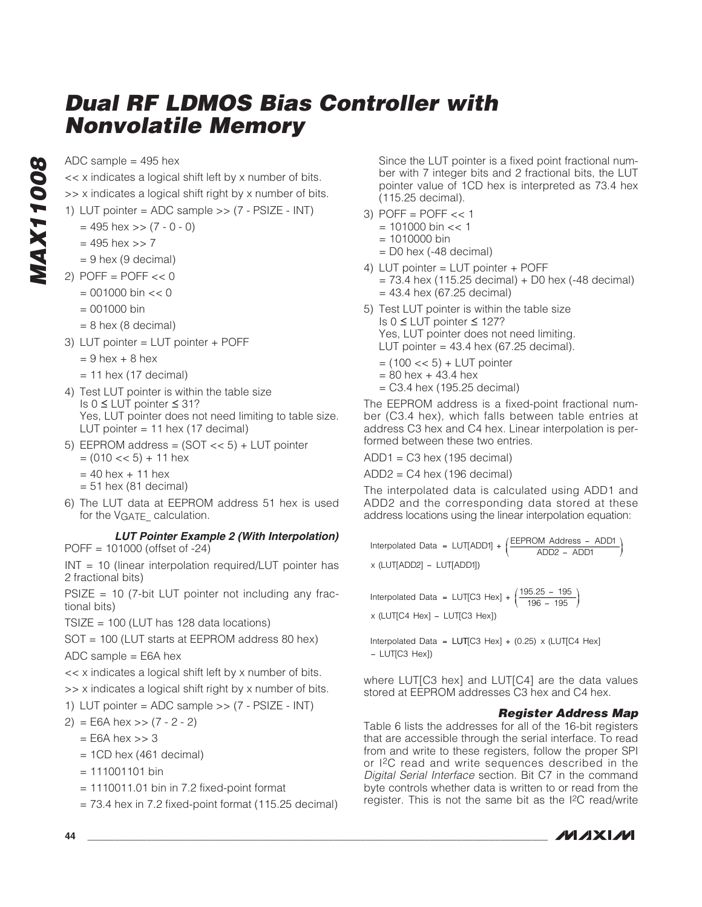ADC sample  $=$  495 hex

<< x indicates a logical shift left by x number of bits.

- >> x indicates a logical shift right by x number of bits.
- 1) LUT pointer = ADC sample  $>> (7 PSIZE INT)$ 
	- $= 495$  hex  $>> (7 0 0)$
	- $= 495$  hex  $>> 7$
	- $= 9$  hex (9 decimal)
- 2) POFF =  $POFF \ll 0$ 
	- $= 001000 \text{ bin} << 0$
	- $= 001000 \text{ bin}$
	- $= 8$  hex (8 decimal)
- 3) LUT pointer = LUT pointer + POFF
	- $= 9$  hex  $+ 8$  hex
	- $= 11$  hex (17 decimal)
- 4) Test LUT pointer is within the table size Is 0 ≤ LUT pointer ≤ 31? Yes, LUT pointer does not need limiting to table size. LUT pointer = 11 hex (17 decimal)
- 5) EEPROM address =  $(SOT \ll 5)$  + LUT pointer
	- $= (010 \lt 5) + 11$  hex
	- $= 40$  hex  $+ 11$  hex
	- $= 51$  hex (81 decimal)
- 6) The LUT data at EEPROM address 51 hex is used for the VGATE\_ calculation.

**LUT Pointer Example 2 (With Interpolation)** POFF = 101000 (offset of -24)

INT = 10 (linear interpolation required/LUT pointer has 2 fractional bits)

 $PSIZE = 10$  (7-bit LUT pointer not including any fractional bits)

 $TSIZE = 100$  (LUT has 128 data locations)

SOT = 100 (LUT starts at EEPROM address 80 hex)

ADC sample = E6A hex

<< x indicates a logical shift left by x number of bits.

>> x indicates a logical shift right by x number of bits.

1) LUT pointer = ADC sample >> (7 - PSIZE - INT)

- $2) = E6A$  hex  $>> (7 2 2)$ 
	- $=$  E6A hex  $>> 3$
	- $= 1CD$  hex (461 decimal)
	- $= 111001101 \text{ bin}$
	- $= 1110011.01$  bin in 7.2 fixed-point format
	- $= 73.4$  hex in 7.2 fixed-point format (115.25 decimal)

Since the LUT pointer is a fixed point fractional number with 7 integer bits and 2 fractional bits, the LUT pointer value of 1CD hex is interpreted as 73.4 hex (115.25 decimal).

- 3) POFF =  $POFF \ll 1$ 
	- $= 101000 \text{ bin} < 1$
	- $= 1010000 \text{ bin}$
	- $=$  D0 hex (-48 decimal)
- 4) LUT pointer = LUT pointer + POFF
	- $= 73.4$  hex (115.25 decimal) + D0 hex (-48 decimal)
	- $= 43.4$  hex (67.25 decimal)
- 5) Test LUT pointer is within the table size Is 0 ≤ LUT pointer ≤ 127? Yes, LUT pointer does not need limiting. LUT pointer =  $43.4$  hex (67.25 decimal).
	- $=$  (100  $<<$  5) + LUT pointer
	- $= 80$  hex  $+ 43.4$  hex
	- $=$  C3.4 hex (195.25 decimal)

The EEPROM address is a fixed-point fractional number (C3.4 hex), which falls between table entries at address C3 hex and C4 hex. Linear interpolation is performed between these two entries.

 $ADD1 = C3$  hex (195 decimal)

 $ADD2 = C4$  hex (196 decimal)

The interpolated data is calculated using ADD1 and ADD2 and the corresponding data stored at these address locations using the linear interpolation equation:

Interpolated Data = LUT[ADD1] + 
$$
\left(\frac{\text{EEPROM Address} - \text{ADD1}}{\text{ADD2} - \text{ADD1}}\right)
$$
  
× (LUT[ADD2] - LUT[ADD1])

Interpolated Data = LUT[C3 Hex] +  $\left(\frac{195.25}{196}\right)$ x (LUT[C4 Hex] – LUT[C3 Hex])  $\sqrt{ }$  $(3 \text{ Hex}] + \left(\frac{195.25 - 195}{196 - 195}\right)$ ⎠ ⎟

Interpolated Data =  $LUT[C3 Hex] + (0.25) \times (LUT[C4 Hex])$ – LUT[C3 Hex])

where LUT[C3 hex] and LUT[C4] are the data values stored at EEPROM addresses C3 hex and C4 hex.

#### **Register Address Map**

Table 6 lists the addresses for all of the 16-bit registers that are accessible through the serial interface. To read from and write to these registers, follow the proper SPI or I2C read and write sequences described in the Digital Serial Interface section. Bit C7 in the command byte controls whether data is written to or read from the register. This is not the same bit as the I2C read/write

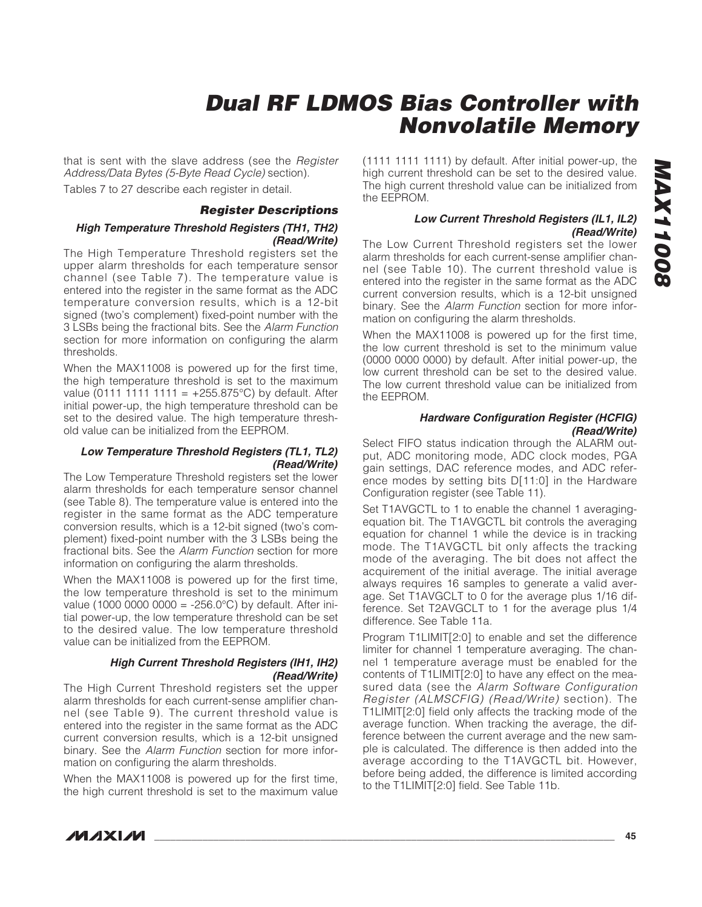that is sent with the slave address (see the Register Address/Data Bytes (5-Byte Read Cycle) section).

Tables 7 to 27 describe each register in detail.

# **Register Descriptions**

#### **High Temperature Threshold Registers (TH1, TH2) (Read/Write)**

The High Temperature Threshold registers set the upper alarm thresholds for each temperature sensor channel (see Table 7). The temperature value is entered into the register in the same format as the ADC temperature conversion results, which is a 12-bit signed (two's complement) fixed-point number with the 3 LSBs being the fractional bits. See the Alarm Function section for more information on configuring the alarm thresholds.

When the MAX11008 is powered up for the first time, the high temperature threshold is set to the maximum value (0111 1111 1111 =  $+255.875^{\circ}$ C) by default. After initial power-up, the high temperature threshold can be set to the desired value. The high temperature threshold value can be initialized from the EEPROM.

#### **Low Temperature Threshold Registers (TL1, TL2) (Read/Write)**

The Low Temperature Threshold registers set the lower alarm thresholds for each temperature sensor channel (see Table 8). The temperature value is entered into the register in the same format as the ADC temperature conversion results, which is a 12-bit signed (two's complement) fixed-point number with the 3 LSBs being the fractional bits. See the Alarm Function section for more information on configuring the alarm thresholds.

When the MAX11008 is powered up for the first time, the low temperature threshold is set to the minimum value (1000 0000 0000 = -256.0°C) by default. After initial power-up, the low temperature threshold can be set to the desired value. The low temperature threshold value can be initialized from the EEPROM.

#### **High Current Threshold Registers (IH1, IH2) (Read/Write)**

The High Current Threshold registers set the upper alarm thresholds for each current-sense amplifier channel (see Table 9). The current threshold value is entered into the register in the same format as the ADC current conversion results, which is a 12-bit unsigned binary. See the Alarm Function section for more information on configuring the alarm thresholds.

When the MAX11008 is powered up for the first time, the high current threshold is set to the maximum value (1111 1111 1111) by default. After initial power-up, the high current threshold can be set to the desired value. The high current threshold value can be initialized from the EEPROM.

#### **Low Current Threshold Registers (IL1, IL2) (Read/Write)**

The Low Current Threshold registers set the lower alarm thresholds for each current-sense amplifier channel (see Table 10). The current threshold value is entered into the register in the same format as the ADC current conversion results, which is a 12-bit unsigned binary. See the Alarm Function section for more information on configuring the alarm thresholds.

When the MAX11008 is powered up for the first time, the low current threshold is set to the minimum value (0000 0000 0000) by default. After initial power-up, the low current threshold can be set to the desired value. The low current threshold value can be initialized from the EEPROM.

#### **Hardware Configuration Register (HCFIG) (Read/Write)**

Select FIFO status indication through the ALARM output, ADC monitoring mode, ADC clock modes, PGA gain settings, DAC reference modes, and ADC reference modes by setting bits D[11:0] in the Hardware Configuration register (see Table 11).

Set T1AVGCTL to 1 to enable the channel 1 averagingequation bit. The T1AVGCTL bit controls the averaging equation for channel 1 while the device is in tracking mode. The T1AVGCTL bit only affects the tracking mode of the averaging. The bit does not affect the acquirement of the initial average. The initial average always requires 16 samples to generate a valid average. Set T1AVGCLT to 0 for the average plus 1/16 difference. Set T2AVGCLT to 1 for the average plus 1/4 difference. See Table 11a.

Program T1LIMIT[2:0] to enable and set the difference limiter for channel 1 temperature averaging. The channel 1 temperature average must be enabled for the contents of T1LIMIT[2:0] to have any effect on the measured data (see the Alarm Software Configuration Register (ALMSCFIG) (Read/Write) section). The T1LIMIT[2:0] field only affects the tracking mode of the average function. When tracking the average, the difference between the current average and the new sample is calculated. The difference is then added into the average according to the T1AVGCTL bit. However, before being added, the difference is limited according to the T1LIMIT[2:0] field. See Table 11b.

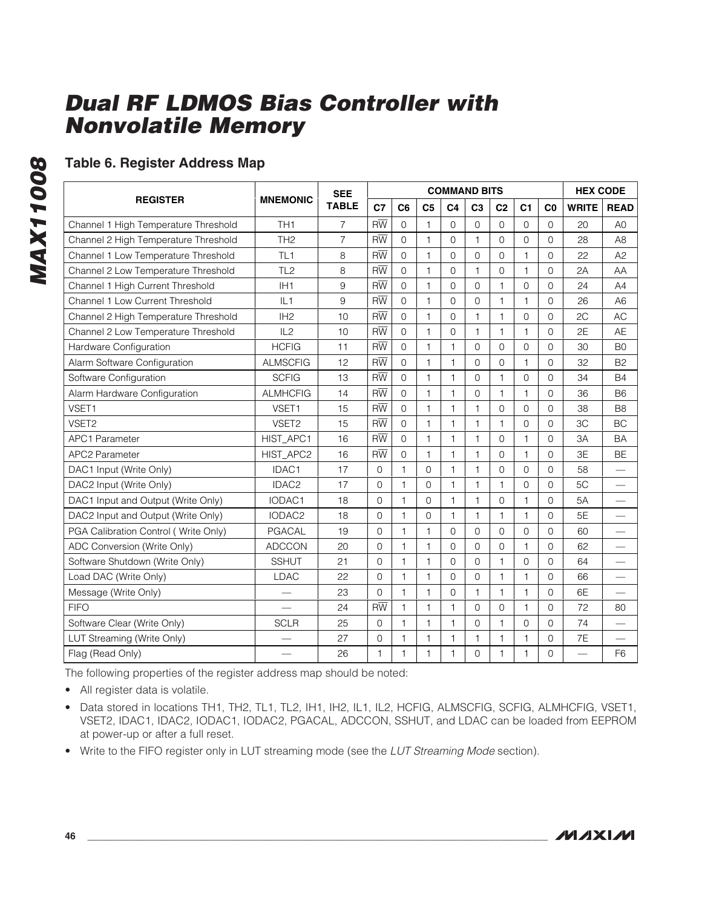# **Table 6. Register Address Map**

|                                      |                   | <b>SEE</b>     |                 |                |                | <b>COMMAND BITS</b> |                |                |                     |                | <b>HEX CODE</b>          |                          |
|--------------------------------------|-------------------|----------------|-----------------|----------------|----------------|---------------------|----------------|----------------|---------------------|----------------|--------------------------|--------------------------|
| <b>REGISTER</b>                      | <b>MNEMONIC</b>   | <b>TABLE</b>   | C7              | C <sub>6</sub> | C <sub>5</sub> | C <sub>4</sub>      | C <sub>3</sub> | C <sub>2</sub> | C <sub>1</sub>      | C <sub>0</sub> | <b>WRITE</b>             | <b>READ</b>              |
| Channel 1 High Temperature Threshold | TH <sub>1</sub>   | $\overline{7}$ | $R\overline{W}$ | $\Omega$       | $\mathbf{1}$   | $\Omega$            | $\Omega$       | $\Omega$       | $\Omega$            | $\Omega$       | 20                       | A <sub>0</sub>           |
| Channel 2 High Temperature Threshold | TH <sub>2</sub>   | $\overline{7}$ | $R\overline{W}$ | $\Omega$       | $\mathbf{1}$   | $\Omega$            | $\mathbf{1}$   | $\Omega$       | $\Omega$            | $\Omega$       | 28                       | A <sub>8</sub>           |
| Channel 1 Low Temperature Threshold  | TL <sub>1</sub>   | 8              | $R\overline{W}$ | $\Omega$       | 1              | $\Omega$            | $\Omega$       | $\Omega$       | 1                   | $\Omega$       | 22                       | A2                       |
| Channel 2 Low Temperature Threshold  | TL <sub>2</sub>   | 8              | $R\overline{W}$ | 0              | $\mathbf{1}$   | $\overline{0}$      | $\mathbf{1}$   | $\Omega$       | 1                   | $\Omega$       | 2A                       | AA                       |
| Channel 1 High Current Threshold     | IH <sub>1</sub>   | 9              | $R\overline{W}$ | $\overline{0}$ | 1              | $\overline{0}$      | $\overline{0}$ | 1              | $\mathbf 0$         | $\overline{0}$ | 24                       | A4                       |
| Channel 1 Low Current Threshold      | IL1               | 9              | $R\overline{W}$ | 0              | 1              | $\overline{0}$      | $\overline{0}$ | 1              | 1                   | $\overline{0}$ | 26                       | A <sub>6</sub>           |
| Channel 2 High Temperature Threshold | IH <sub>2</sub>   | 10             | $R\overline{W}$ | $\Omega$       | 1              | $\Omega$            | $\overline{1}$ | 1              | $\Omega$            | $\Omega$       | 2C                       | <b>AC</b>                |
| Channel 2 Low Temperature Threshold  | IL2               | 10             | $R\overline{W}$ | $\Omega$       | $\mathbf{1}$   | $\Omega$            | $\mathbf{1}$   | 1              | $\mathbf{1}$        | $\Omega$       | 2E                       | <b>AE</b>                |
| Hardware Configuration               | <b>HCFIG</b>      | 11             | $R\overline{W}$ | $\Omega$       | 1              | $\mathbf{1}$        | $\Omega$       | $\Omega$       | $\Omega$            | $\Omega$       | 30                       | B <sub>0</sub>           |
| Alarm Software Configuration         | <b>ALMSCFIG</b>   | 12             | $R\overline{W}$ | 0              | $\mathbf{1}$   | $\mathbf{1}$        | $\Omega$       | $\Omega$       | 1                   | $\Omega$       | 32                       | B <sub>2</sub>           |
| Software Configuration               | <b>SCFIG</b>      | 13             | $R\overline{W}$ | $\Omega$       | $\mathbf{1}$   | $\mathbf{1}$        | $\overline{0}$ | 1              | $\mathbf 0$         | $\Omega$       | 34                       | <b>B4</b>                |
| Alarm Hardware Configuration         | <b>ALMHCFIG</b>   | 14             | $R\overline{W}$ | 0              | 1              | $\mathbf{1}$        | $\mathbf 0$    | 1              | 1                   | $\Omega$       | 36                       | B <sub>6</sub>           |
| VSET1                                | VSET1             | 15             | $R\overline{W}$ | $\Omega$       | 1              | $\mathbf{1}$        | $\mathbf{1}$   | $\Omega$       | $\Omega$            | $\Omega$       | 38                       | B <sub>8</sub>           |
| VSET2                                | VSET2             | 15             | $R\overline{W}$ | $\Omega$       | 1              | $\mathbf{1}$        | $\overline{1}$ | 1              | $\Omega$            | $\Omega$       | 3C                       | <b>BC</b>                |
| <b>APC1 Parameter</b>                | HIST_APC1         | 16             | $R\overline{W}$ | 0              | 1              | $\mathbf{1}$        | $\mathbf{1}$   | $\Omega$       | 1                   | $\Omega$       | 3A                       | <b>BA</b>                |
| <b>APC2 Parameter</b>                | HIST_APC2         | 16             | $R\overline{W}$ | $\overline{0}$ | $\mathbf{1}$   | $\mathbf{1}$        | $\mathbf{1}$   | $\Omega$       | 1                   | $\Omega$       | 3E                       | <b>BE</b>                |
| DAC1 Input (Write Only)              | IDAC1             | 17             | $\mathbf 0$     | 1              | $\mathbf 0$    | $\mathbf{1}$        | $\mathbf{1}$   | $\mathbf 0$    | $\overline{0}$      | $\Omega$       | 58                       |                          |
| DAC2 Input (Write Only)              | IDAC <sub>2</sub> | 17             | $\mathbf 0$     | $\mathbf{1}$   | $\Omega$       | $\mathbf{1}$        | $\mathbf{1}$   | 1              | $\overline{0}$      | $\Omega$       | 5C                       | $\qquad \qquad$          |
| DAC1 Input and Output (Write Only)   | IODAC1            | 18             | $\mathbf 0$     | $\mathbf{1}$   | $\Omega$       | $\mathbf{1}$        | $\mathbf{1}$   | $\overline{0}$ | 1                   | $\Omega$       | 5A                       | $\overline{\phantom{0}}$ |
| DAC2 Input and Output (Write Only)   | IODAC2            | 18             | $\Omega$        | $\mathbf{1}$   | $\Omega$       | $\mathbf{1}$        | $\overline{1}$ | 1              | 1                   | $\Omega$       | 5E                       |                          |
| PGA Calibration Control (Write Only) | <b>PGACAL</b>     | 19             | $\Omega$        | $\mathbf{1}$   | 1              | $\Omega$            | $\Omega$       | $\Omega$       | $\overline{0}$      | $\Omega$       | 60                       | $\overline{\phantom{0}}$ |
| ADC Conversion (Write Only)          | <b>ADCCON</b>     | 20             | $\overline{0}$  | $\mathbf{1}$   | 1              | $\overline{0}$      | $\overline{0}$ | $\mathbf 0$    | $\mathbf{1}$        | $\Omega$       | 62                       | $\overline{\phantom{0}}$ |
| Software Shutdown (Write Only)       | <b>SSHUT</b>      | 21             | $\mathbf 0$     | 1              | 1              | $\mathbf{0}$        | $\overline{0}$ | 1              | $\mathsf{O}\xspace$ | $\Omega$       | 64                       | $\overline{\phantom{0}}$ |
| Load DAC (Write Only)                | <b>LDAC</b>       | 22             | $\Omega$        | $\mathbf{1}$   | 1              | $\Omega$            | $\Omega$       | 1              | 1                   | $\Omega$       | 66                       |                          |
| Message (Write Only)                 |                   | 23             | $\Omega$        | $\mathbf{1}$   | 1              | $\Omega$            | $\mathbf{1}$   | 1              | 1                   | $\Omega$       | 6E                       |                          |
| <b>FIFO</b>                          |                   | 24             | $R\overline{W}$ | 1              | $\mathbf{1}$   | $\mathbf{1}$        | $\overline{0}$ | $\Omega$       | 1                   | $\Omega$       | 72                       | 80                       |
| Software Clear (Write Only)          | <b>SCLR</b>       | 25             | $\mathbf 0$     | 1              | $\mathbf{1}$   | $\mathbf{1}$        | $\overline{0}$ | 1              | $\mathbf 0$         | $\Omega$       | 74                       | $\qquad \qquad$          |
| LUT Streaming (Write Only)           |                   | 27             | $\mathbf 0$     | $\mathbf{1}$   | 1              | $\mathbf{1}$        | $\mathbf{1}$   | 1              | 1                   | $\overline{0}$ | 7E                       |                          |
| Flag (Read Only)                     |                   | 26             | 1               | $\mathbf{1}$   | 1              | $\mathbf{1}$        | $\mathbf{0}$   | 1              | 1                   | $\Omega$       | $\overline{\phantom{0}}$ | F <sub>6</sub>           |

The following properties of the register address map should be noted:

• All register data is volatile.

- Data stored in locations TH1, TH2, TL1, TL2, IH1, IH2, IL1, IL2, HCFIG, ALMSCFIG, SCFIG, ALMHCFIG, VSET1, VSET2, IDAC1, IDAC2, IODAC1, IODAC2, PGACAL, ADCCON, SSHUT, and LDAC can be loaded from EEPROM at power-up or after a full reset.
- Write to the FIFO register only in LUT streaming mode (see the LUT Streaming Mode section).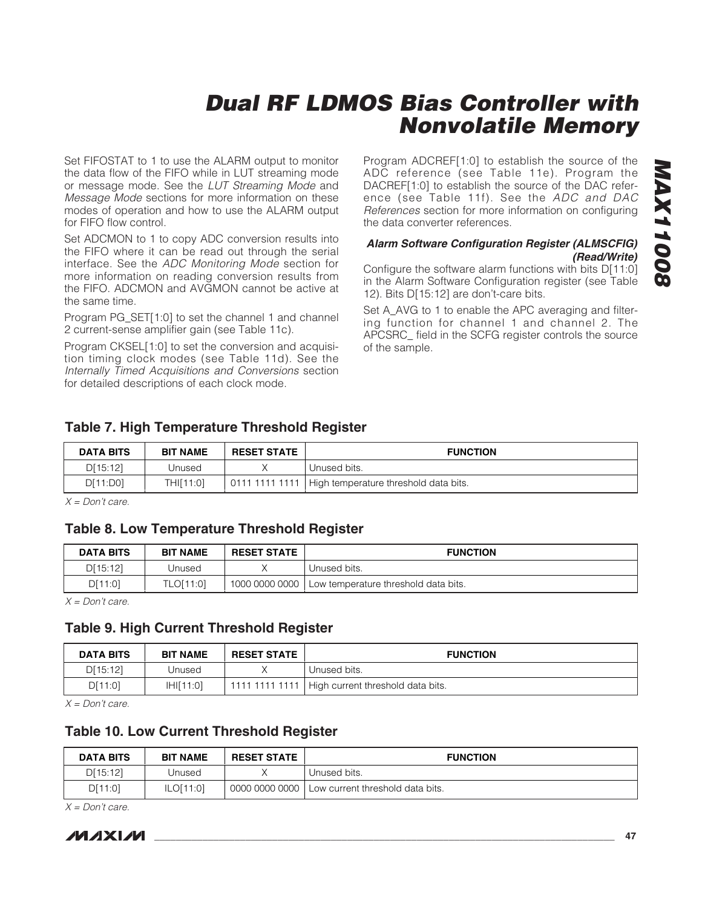Set FIFOSTAT to 1 to use the ALARM output to monitor the data flow of the FIFO while in LUT streaming mode or message mode. See the LUT Streaming Mode and Message Mode sections for more information on these modes of operation and how to use the ALARM output for FIFO flow control.

Set ADCMON to 1 to copy ADC conversion results into the FIFO where it can be read out through the serial interface. See the ADC Monitoring Mode section for more information on reading conversion results from the FIFO. ADCMON and AVGMON cannot be active at the same time.

Program PG\_SET[1:0] to set the channel 1 and channel 2 current-sense amplifier gain (see Table 11c).

Program CKSEL[1:0] to set the conversion and acquisition timing clock modes (see Table 11d). See the Internally Timed Acquisitions and Conversions section for detailed descriptions of each clock mode.

Program ADCREF[1:0] to establish the source of the ADC reference (see Table 11e). Program the DACREF[1:0] to establish the source of the DAC reference (see Table 11f). See the ADC and DAC References section for more information on configuring the data converter references.

#### **Alarm Software Configuration Register (ALMSCFIG) (Read/Write)**

Configure the software alarm functions with bits D[11:0] in the Alarm Software Configuration register (see Table 12). Bits D[15:12] are don't-care bits.

Set A\_AVG to 1 to enable the APC averaging and filtering function for channel 1 and channel 2. The APCSRC\_ field in the SCFG register controls the source of the sample.

### **Table 7. High Temperature Threshold Register**

| <b>DATA BITS</b> | <b>BIT NAME</b> | <b>RESET STATE</b> | <b>FUNCTION</b>                                        |
|------------------|-----------------|--------------------|--------------------------------------------------------|
| D[15:12]         | Unused          |                    | Unused bits.                                           |
| D[11:D0]         | THI[11:0]       |                    | 0111 1111 1111   High temperature threshold data bits. |

 $X = Don't care.$ 

### **Table 8. Low Temperature Threshold Register**

| DATA BITS | <b>BIT NAME</b> | <b>RESET STATE</b> | <b>FUNCTION</b>                      |
|-----------|-----------------|--------------------|--------------------------------------|
| D[15:12]  | Unused          |                    | Unused bits.                         |
| D[11:0]   | TLO[11:0]       | 1000 0000 0000     | Low temperature threshold data bits. |

 $X = Don't care.$ 

### **Table 9. High Current Threshold Register**

| DATA BITS | <b>BIT NAME</b>       | <b>RESET STATE</b> | <b>FUNCTION</b>                                    |
|-----------|-----------------------|--------------------|----------------------------------------------------|
| D[15:12]  | Unused                |                    | Unused bits.                                       |
| D[11:0]   | H <sub>H</sub> [11:0] |                    | 1111 1111 1111   High current threshold data bits. |

 $X = Don't care.$ 

### **Table 10. Low Current Threshold Register**

| <b>DATA BITS</b> | <b>BIT NAME</b> | <b>RESET STATE</b> | <b>FUNCTION</b>                    |
|------------------|-----------------|--------------------|------------------------------------|
| D[15:12]         | Unused          |                    | Unused bits.                       |
| D[11:0]          | ILO[11:0]       | 0000 0000 0000     | I Low current threshold data bits. |

 $X = Don't care.$ 

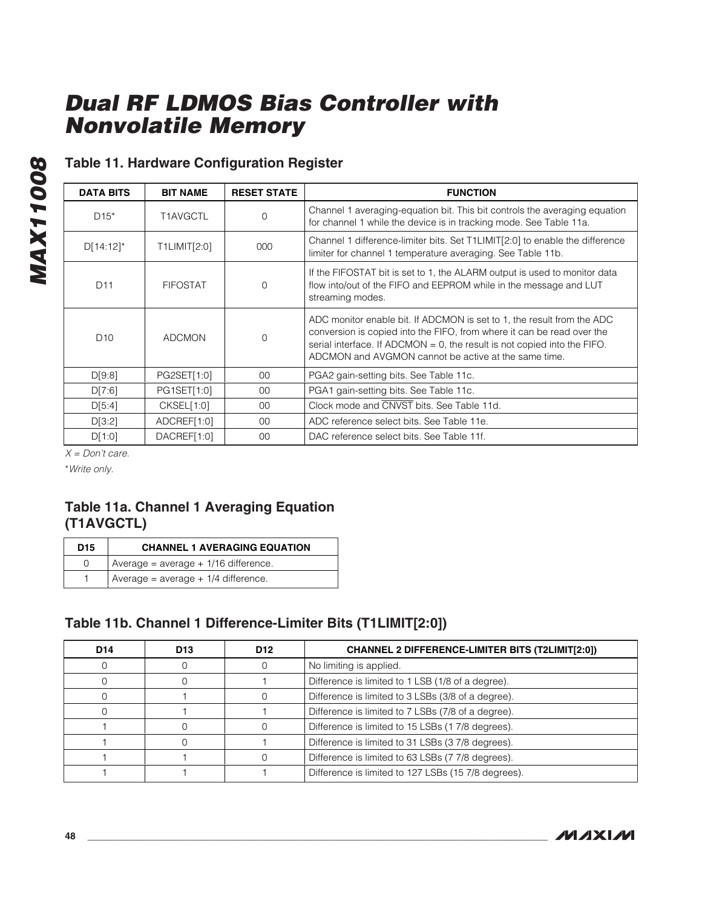# **Table 11. Hardware Configuration Register**

| <b>DATA BITS</b> | <b>BIT NAME</b> | <b>RESET STATE</b> | <b>FUNCTION</b>                                                                                                                                                                                                                                                                         |
|------------------|-----------------|--------------------|-----------------------------------------------------------------------------------------------------------------------------------------------------------------------------------------------------------------------------------------------------------------------------------------|
| $D15*$           | T1AVGCTL        | 0                  | Channel 1 averaging-equation bit. This bit controls the averaging equation<br>for channel 1 while the device is in tracking mode. See Table 11a.                                                                                                                                        |
| $D[14:12]$ *     | T1LIMIT[2:0]    | 000                | Channel 1 difference-limiter bits. Set T1LIMIT[2:0] to enable the difference<br>limiter for channel 1 temperature averaging. See Table 11b.                                                                                                                                             |
| D <sub>11</sub>  | <b>FIFOSTAT</b> | 0                  | If the FIFOSTAT bit is set to 1, the ALARM output is used to monitor data<br>flow into/out of the FIFO and EEPROM while in the message and LUT<br>streaming modes.                                                                                                                      |
| D <sub>10</sub>  | <b>ADCMON</b>   | $\Omega$           | ADC monitor enable bit. If ADCMON is set to 1, the result from the ADC<br>conversion is copied into the FIFO, from where it can be read over the<br>serial interface. If ADCMON $= 0$ , the result is not copied into the FIFO.<br>ADCMON and AVGMON cannot be active at the same time. |
| D[9:8]           | PG2SET[1:0]     | $00 \,$            | PGA2 gain-setting bits. See Table 11c.                                                                                                                                                                                                                                                  |
| D[7:6]           | PG1SET[1:0]     | 00                 | PGA1 gain-setting bits. See Table 11c.                                                                                                                                                                                                                                                  |
| D[5:4]           | CKSEL[1:0]      | 00                 | Clock mode and CNVST bits. See Table 11d.                                                                                                                                                                                                                                               |
| D[3:2]           | ADCREF[1:0]     | $00 \,$            | ADC reference select bits. See Table 11e.                                                                                                                                                                                                                                               |
| D[1:0]           | DACREF[1:0]     | 00                 | DAC reference select bits. See Table 11f.                                                                                                                                                                                                                                               |

 $X = Don't care.$ 

\*Write only.

**MAX11008**

**MAX11008** 

### **Table 11a. Channel 1 Averaging Equation (T1AVGCTL)**

| D <sub>15</sub> | <b>CHANNEL 1 AVERAGING EQUATION</b>    |
|-----------------|----------------------------------------|
| <sup>n</sup>    | Average = $average + 1/16$ difference. |
|                 | Average = $average + 1/4$ difference.  |

### **Table 11b. Channel 1 Difference-Limiter Bits (T1LIMIT[2:0])**

| D <sub>14</sub> | D <sub>13</sub> | D <sub>12</sub> | <b>CHANNEL 2 DIFFERENCE-LIMITER BITS (T2LIMIT[2:0])</b> |
|-----------------|-----------------|-----------------|---------------------------------------------------------|
|                 |                 |                 | No limiting is applied.                                 |
|                 |                 |                 | Difference is limited to 1 LSB (1/8 of a degree).       |
|                 |                 |                 | Difference is limited to 3 LSBs (3/8 of a degree).      |
|                 |                 |                 | Difference is limited to 7 LSBs (7/8 of a degree).      |
|                 |                 |                 | Difference is limited to 15 LSBs (17/8 degrees).        |
|                 |                 |                 | Difference is limited to 31 LSBs (3 7/8 degrees).       |
|                 |                 |                 | Difference is limited to 63 LSBs (7 7/8 degrees).       |
|                 |                 |                 | Difference is limited to 127 LSBs (15 7/8 degrees).     |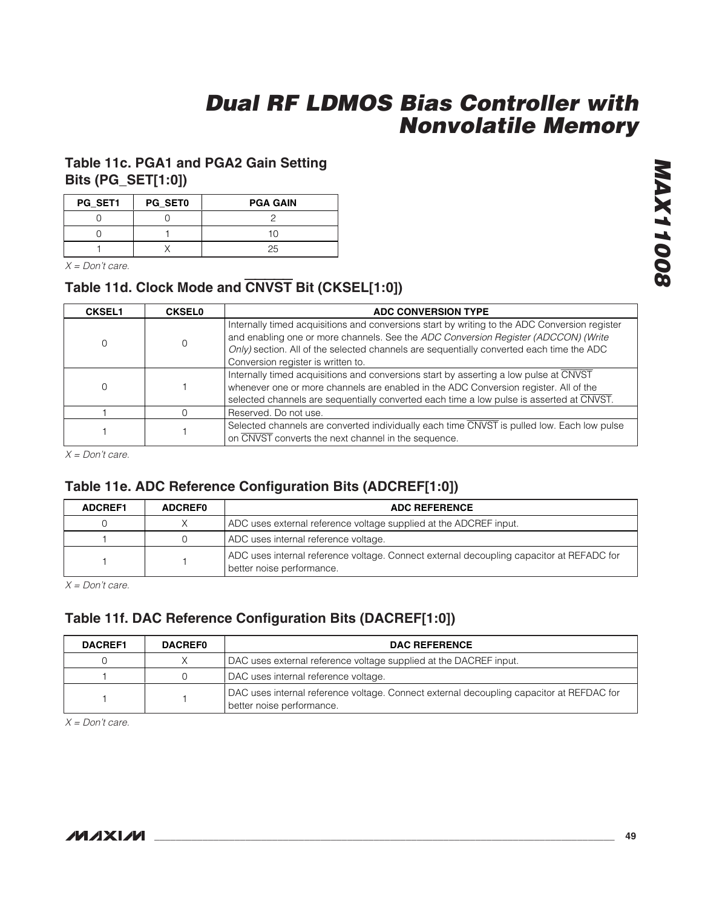### **Table 11c. PGA1 and PGA2 Gain Setting Bits (PG\_SET[1:0])**

| PG_SET1 | PG_SET0 | <b>PGA GAIN</b> |
|---------|---------|-----------------|
|         |         |                 |
|         |         |                 |
|         |         | ハ               |

 $X = Don't care.$ 

## **Table 11d. Clock Mode and** CNVST **Bit (CKSEL[1:0])**

| <b>CKSEL1</b> | <b>CKSEL0</b> | ADC CONVERSION TYPE                                                                                                                                                                                                                                                                                                   |  |  |
|---------------|---------------|-----------------------------------------------------------------------------------------------------------------------------------------------------------------------------------------------------------------------------------------------------------------------------------------------------------------------|--|--|
|               |               | Internally timed acquisitions and conversions start by writing to the ADC Conversion register<br>and enabling one or more channels. See the ADC Conversion Register (ADCCON) (Write<br>Only) section. All of the selected channels are sequentially converted each time the ADC<br>Conversion register is written to. |  |  |
|               |               | Internally timed acquisitions and conversions start by asserting a low pulse at CNVST<br>whenever one or more channels are enabled in the ADC Conversion register. All of the<br>selected channels are sequentially converted each time a low pulse is asserted at CNVST.                                             |  |  |
|               |               | Reserved. Do not use.                                                                                                                                                                                                                                                                                                 |  |  |
|               |               | Selected channels are converted individually each time CNVST is pulled low. Each low pulse<br>on CNVST converts the next channel in the sequence.                                                                                                                                                                     |  |  |

 $X = Don't care.$ 

### **Table 11e. ADC Reference Configuration Bits (ADCREF[1:0])**

| <b>ADCREF1</b> | <b>ADCREF0</b> | <b>ADC REFERENCE</b>                                                                                                  |  |
|----------------|----------------|-----------------------------------------------------------------------------------------------------------------------|--|
|                |                | ADC uses external reference voltage supplied at the ADCREF input.                                                     |  |
|                |                | ADC uses internal reference voltage.                                                                                  |  |
|                |                | ADC uses internal reference voltage. Connect external decoupling capacitor at REFADC for<br>better noise performance. |  |

 $X = Don't care.$ 

### **Table 11f. DAC Reference Configuration Bits (DACREF[1:0])**

| <b>DACREF1</b> | <b>DACREFO</b> | <b>DAC REFERENCE</b>                                                                                                  |  |  |
|----------------|----------------|-----------------------------------------------------------------------------------------------------------------------|--|--|
|                |                | DAC uses external reference voltage supplied at the DACREF input.                                                     |  |  |
|                |                | DAC uses internal reference voltage.                                                                                  |  |  |
|                |                | DAC uses internal reference voltage. Connect external decoupling capacitor at REFDAC for<br>better noise performance. |  |  |

 $X = Don't care.$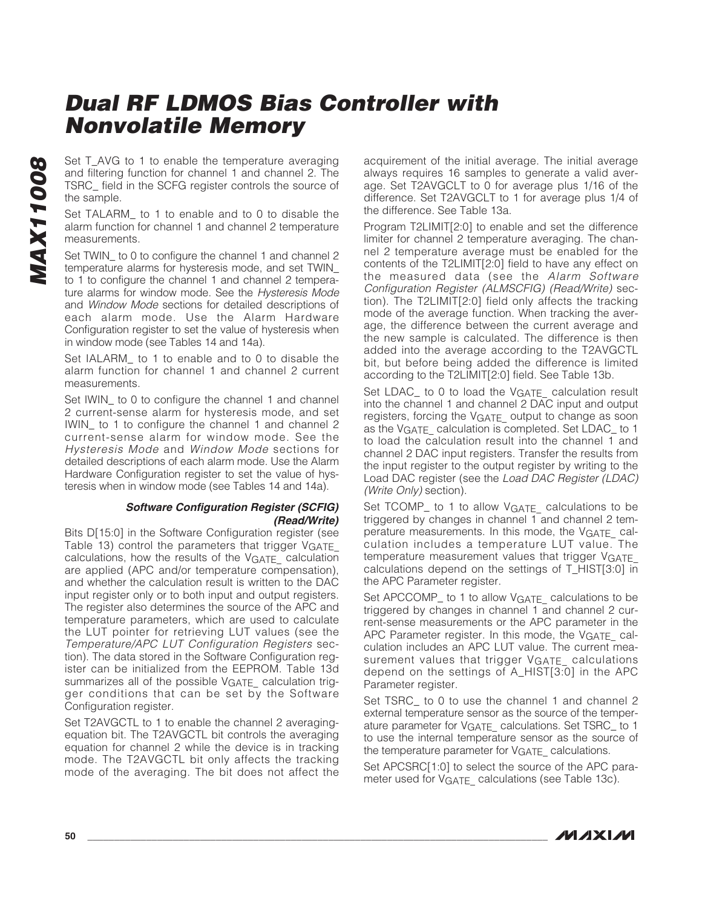Set T\_AVG to 1 to enable the temperature averaging and filtering function for channel 1 and channel 2. The TSRC\_ field in the SCFG register controls the source of the sample.

Set TALARM\_ to 1 to enable and to 0 to disable the alarm function for channel 1 and channel 2 temperature measurements.

Set TWIN\_ to 0 to configure the channel 1 and channel 2 temperature alarms for hysteresis mode, and set TWIN\_ to 1 to configure the channel 1 and channel 2 temperature alarms for window mode. See the Hysteresis Mode and Window Mode sections for detailed descriptions of each alarm mode. Use the Alarm Hardware Configuration register to set the value of hysteresis when in window mode (see Tables 14 and 14a).

Set IALARM\_ to 1 to enable and to 0 to disable the alarm function for channel 1 and channel 2 current measurements.

Set IWIN\_ to 0 to configure the channel 1 and channel 2 current-sense alarm for hysteresis mode, and set IWIN\_ to 1 to configure the channel 1 and channel 2 current-sense alarm for window mode. See the Hysteresis Mode and Window Mode sections for detailed descriptions of each alarm mode. Use the Alarm Hardware Configuration register to set the value of hysteresis when in window mode (see Tables 14 and 14a).

#### **Software Configuration Register (SCFIG) (Read/Write)**

Bits D[15:0] in the Software Configuration register (see Table 13) control the parameters that trigger VGATE calculations, how the results of the VGATE\_ calculation are applied (APC and/or temperature compensation), and whether the calculation result is written to the DAC input register only or to both input and output registers. The register also determines the source of the APC and temperature parameters, which are used to calculate the LUT pointer for retrieving LUT values (see the Temperature/APC LUT Configuration Registers section). The data stored in the Software Configuration register can be initialized from the EEPROM. Table 13d summarizes all of the possible VGATE calculation trigger conditions that can be set by the Software Configuration register.

Set T2AVGCTL to 1 to enable the channel 2 averagingequation bit. The T2AVGCTL bit controls the averaging equation for channel 2 while the device is in tracking mode. The T2AVGCTL bit only affects the tracking mode of the averaging. The bit does not affect the

acquirement of the initial average. The initial average always requires 16 samples to generate a valid average. Set T2AVGCLT to 0 for average plus 1/16 of the difference. Set T2AVGCLT to 1 for average plus 1/4 of the difference. See Table 13a.

Program T2LIMIT[2:0] to enable and set the difference limiter for channel 2 temperature averaging. The channel 2 temperature average must be enabled for the contents of the T2LIMIT[2:0] field to have any effect on the measured data (see the Alarm Software Configuration Register (ALMSCFIG) (Read/Write) section). The T2LIMIT[2:0] field only affects the tracking mode of the average function. When tracking the average, the difference between the current average and the new sample is calculated. The difference is then added into the average according to the T2AVGCTL bit, but before being added the difference is limited according to the T2LIMIT[2:0] field. See Table 13b.

Set LDAC\_ to 0 to load the VGATE\_ calculation result into the channel 1 and channel 2 DAC input and output registers, forcing the V<sub>GATE</sub> output to change as soon as the VGATE calculation is completed. Set LDAC to 1 to load the calculation result into the channel 1 and channel 2 DAC input registers. Transfer the results from the input register to the output register by writing to the Load DAC register (see the Load DAC Register (LDAC) (Write Only) section).

Set TCOMP\_ to 1 to allow VGATE\_ calculations to be triggered by changes in channel 1 and channel 2 temperature measurements. In this mode, the VGATE\_ calculation includes a temperature LUT value. The temperature measurement values that trigger VGATE\_ calculations depend on the settings of T\_HIST[3:0] in the APC Parameter register.

Set APCCOMP\_ to 1 to allow VGATE\_ calculations to be triggered by changes in channel 1 and channel 2 current-sense measurements or the APC parameter in the APC Parameter register. In this mode, the VGATE calculation includes an APC LUT value. The current measurement values that trigger VGATE\_ calculations depend on the settings of A\_HIST[3:0] in the APC Parameter register.

Set TSRC to 0 to use the channel 1 and channel 2 external temperature sensor as the source of the temperature parameter for V<sub>GATE</sub> calculations. Set TSRC\_ to 1 to use the internal temperature sensor as the source of the temperature parameter for VGATE\_calculations.

Set APCSRC[1:0] to select the source of the APC parameter used for V<sub>GATE</sub> calculations (see Table 13c).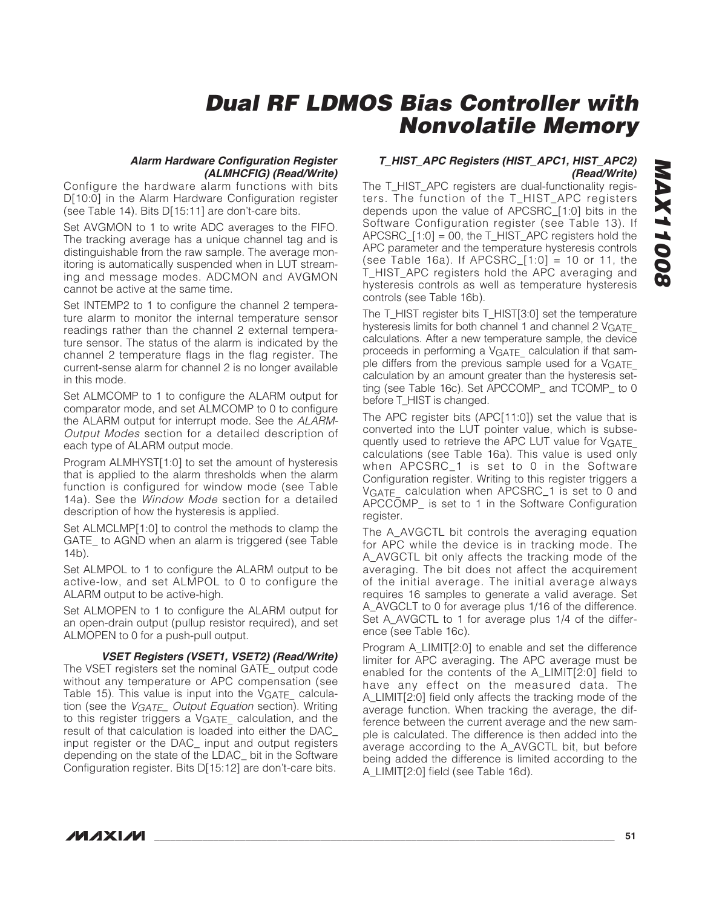#### **Alarm Hardware Configuration Register (ALMHCFIG) (Read/Write)**

Configure the hardware alarm functions with bits D[10:0] in the Alarm Hardware Configuration register (see Table 14). Bits D[15:11] are don't-care bits.

Set AVGMON to 1 to write ADC averages to the FIFO. The tracking average has a unique channel tag and is distinguishable from the raw sample. The average monitoring is automatically suspended when in LUT streaming and message modes. ADCMON and AVGMON cannot be active at the same time.

Set INTEMP2 to 1 to configure the channel 2 temperature alarm to monitor the internal temperature sensor readings rather than the channel 2 external temperature sensor. The status of the alarm is indicated by the channel 2 temperature flags in the flag register. The current-sense alarm for channel 2 is no longer available in this mode.

Set ALMCOMP to 1 to configure the ALARM output for comparator mode, and set ALMCOMP to 0 to configure the ALARM output for interrupt mode. See the ALARM-Output Modes section for a detailed description of each type of ALARM output mode.

Program ALMHYST[1:0] to set the amount of hysteresis that is applied to the alarm thresholds when the alarm function is configured for window mode (see Table 14a). See the Window Mode section for a detailed description of how the hysteresis is applied.

Set ALMCLMP[1:0] to control the methods to clamp the GATE\_ to AGND when an alarm is triggered (see Table 14b).

Set ALMPOL to 1 to configure the ALARM output to be active-low, and set ALMPOL to 0 to configure the ALARM output to be active-high.

Set ALMOPEN to 1 to configure the ALARM output for an open-drain output (pullup resistor required), and set ALMOPEN to 0 for a push-pull output.

**VSET Registers (VSET1, VSET2) (Read/Write)**

The VSET registers set the nominal GATE\_ output code without any temperature or APC compensation (see Table 15). This value is input into the  $V<sub>GATE</sub>$  calculation (see the *VGATE\_Output Equation* section). Writing to this register triggers a VGATE\_ calculation, and the result of that calculation is loaded into either the DAC\_ input register or the DAC\_ input and output registers depending on the state of the LDAC\_ bit in the Software Configuration register. Bits D[15:12] are don't-care bits.

#### **T\_HIST\_APC Registers (HIST\_APC1, HIST\_APC2) (Read/Write)**

The T\_HIST\_APC registers are dual-functionality registers. The function of the T\_HIST\_APC registers depends upon the value of APCSRC\_[1:0] bits in the Software Configuration register (see Table 13). If  $APCSRC_{1:0} = 00$ , the T\_HIST\_APC registers hold the APC parameter and the temperature hysteresis controls (see Table 16a). If APCSRC\_[1:0] = 10 or 11, the T\_HIST\_APC registers hold the APC averaging and hysteresis controls as well as temperature hysteresis controls (see Table 16b).

The T\_HIST register bits T\_HIST[3:0] set the temperature hysteresis limits for both channel 1 and channel 2 VGATE calculations. After a new temperature sample, the device proceeds in performing a VGATE\_ calculation if that sample differs from the previous sample used for a VGATE\_ calculation by an amount greater than the hysteresis setting (see Table 16c). Set APCCOMP\_ and TCOMP\_ to 0 before T\_HIST is changed.

The APC register bits (APC[11:0]) set the value that is converted into the LUT pointer value, which is subsequently used to retrieve the APC LUT value for VGATE\_ calculations (see Table 16a). This value is used only when APCSRC\_1 is set to 0 in the Software Configuration register. Writing to this register triggers a VGATE\_ calculation when APCSRC\_1 is set to 0 and APCCOMP\_ is set to 1 in the Software Configuration register.

The A AVGCTL bit controls the averaging equation for APC while the device is in tracking mode. The A\_AVGCTL bit only affects the tracking mode of the averaging. The bit does not affect the acquirement of the initial average. The initial average always requires 16 samples to generate a valid average. Set A\_AVGCLT to 0 for average plus 1/16 of the difference. Set A\_AVGCTL to 1 for average plus 1/4 of the difference (see Table 16c).

Program A\_LIMIT[2:0] to enable and set the difference limiter for APC averaging. The APC average must be enabled for the contents of the A\_LIMIT[2:0] field to have any effect on the measured data. The A\_LIMIT[2:0] field only affects the tracking mode of the average function. When tracking the average, the difference between the current average and the new sample is calculated. The difference is then added into the average according to the A\_AVGCTL bit, but before being added the difference is limited according to the A\_LIMIT[2:0] field (see Table 16d).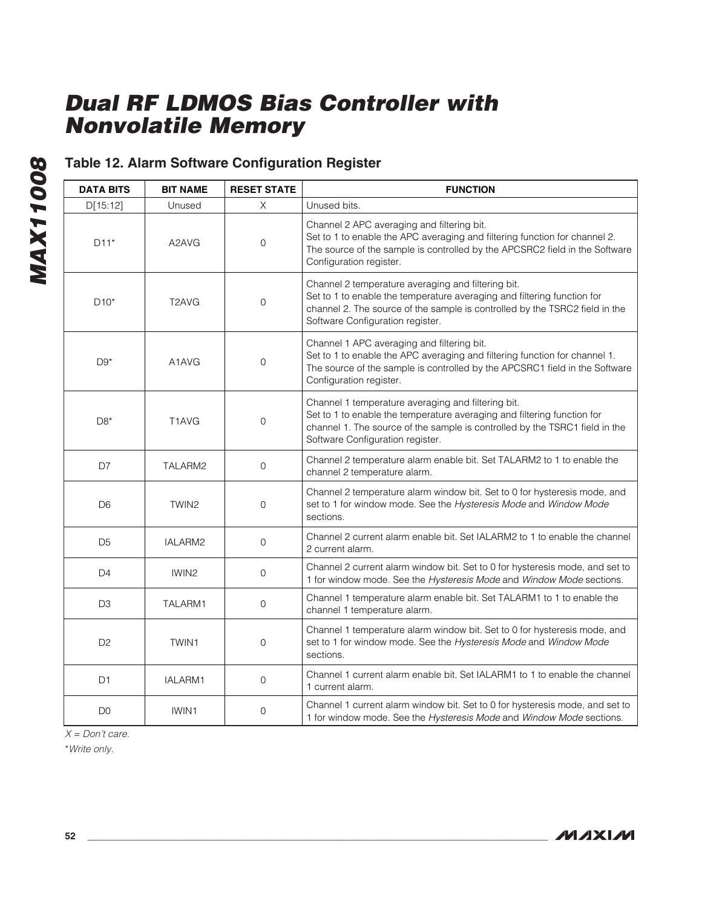# **Table 12. Alarm Software Configuration Register**

| <b>DATA BITS</b> | <b>BIT NAME</b>                | <b>RESET STATE</b>  | <b>FUNCTION</b>                                                                                                                                                                                                                                  |
|------------------|--------------------------------|---------------------|--------------------------------------------------------------------------------------------------------------------------------------------------------------------------------------------------------------------------------------------------|
| D[15:12]         | Unused                         | X                   | Unused bits.                                                                                                                                                                                                                                     |
| $D11*$           | A2AVG                          | $\mathsf{O}\xspace$ | Channel 2 APC averaging and filtering bit.<br>Set to 1 to enable the APC averaging and filtering function for channel 2.<br>The source of the sample is controlled by the APCSRC2 field in the Software<br>Configuration register.               |
| $D10*$           | T <sub>2</sub> AVG             | $\mathsf{O}\xspace$ | Channel 2 temperature averaging and filtering bit.<br>Set to 1 to enable the temperature averaging and filtering function for<br>channel 2. The source of the sample is controlled by the TSRC2 field in the<br>Software Configuration register. |
| $D9*$            | A <sub>1</sub> AV <sub>G</sub> | $\mathbf{O}$        | Channel 1 APC averaging and filtering bit.<br>Set to 1 to enable the APC averaging and filtering function for channel 1.<br>The source of the sample is controlled by the APCSRC1 field in the Software<br>Configuration register.               |
| $D8*$            | T <sub>1</sub> AVG             | $\mathbf 0$         | Channel 1 temperature averaging and filtering bit.<br>Set to 1 to enable the temperature averaging and filtering function for<br>channel 1. The source of the sample is controlled by the TSRC1 field in the<br>Software Configuration register. |
| D7               | TALARM2                        | $\mathbf 0$         | Channel 2 temperature alarm enable bit. Set TALARM2 to 1 to enable the<br>channel 2 temperature alarm.                                                                                                                                           |
| D <sub>6</sub>   | TWIN <sub>2</sub>              | $\mathbf 0$         | Channel 2 temperature alarm window bit. Set to 0 for hysteresis mode, and<br>set to 1 for window mode. See the Hysteresis Mode and Window Mode<br>sections.                                                                                      |
| D <sub>5</sub>   | IALARM2                        | $\mathsf{O}\xspace$ | Channel 2 current alarm enable bit. Set IALARM2 to 1 to enable the channel<br>2 current alarm.                                                                                                                                                   |
| D4               | IWIN <sub>2</sub>              | 0                   | Channel 2 current alarm window bit. Set to 0 for hysteresis mode, and set to<br>1 for window mode. See the Hysteresis Mode and Window Mode sections.                                                                                             |
| D <sub>3</sub>   | TALARM1                        | $\mathbf{O}$        | Channel 1 temperature alarm enable bit. Set TALARM1 to 1 to enable the<br>channel 1 temperature alarm.                                                                                                                                           |
| D <sub>2</sub>   | TWIN1                          | $\mathbf{O}$        | Channel 1 temperature alarm window bit. Set to 0 for hysteresis mode, and<br>set to 1 for window mode. See the Hysteresis Mode and Window Mode<br>sections.                                                                                      |
| D <sub>1</sub>   | IALARM1                        | 0                   | Channel 1 current alarm enable bit. Set IALARM1 to 1 to enable the channel<br>1 current alarm.                                                                                                                                                   |
| D <sub>0</sub>   | IWIN1                          | $\mathbf{O}$        | Channel 1 current alarm window bit. Set to 0 for hysteresis mode, and set to<br>1 for window mode. See the Hysteresis Mode and Window Mode sections.                                                                                             |

 $X = Don't care.$ 

\*Write only.

**MAX11008**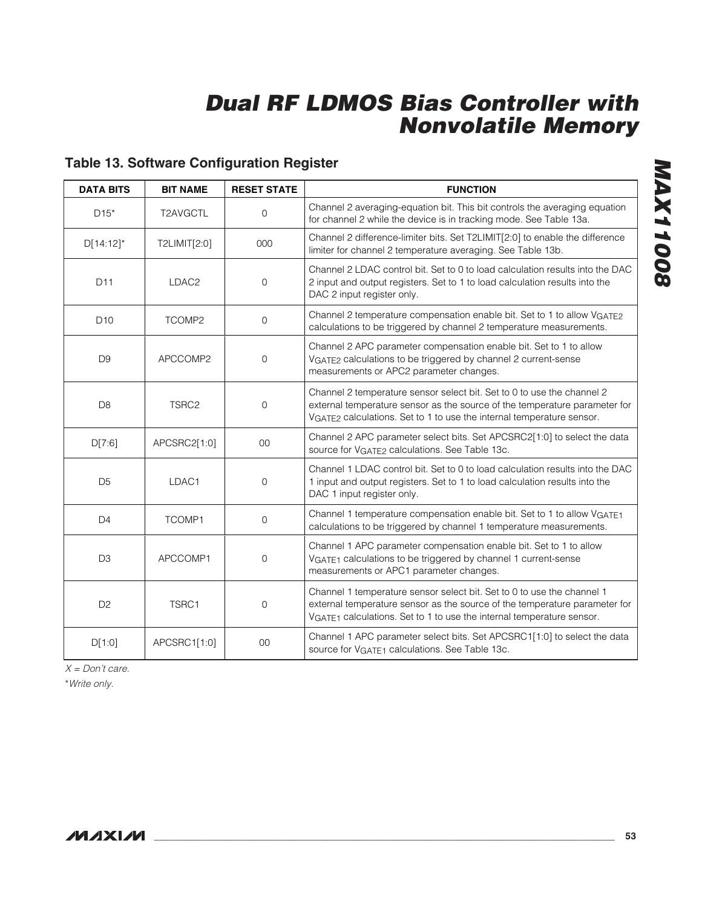# **Table 13. Software Configuration Register**

| <b>DATA BITS</b> | <b>BIT NAME</b>   | <b>RESET STATE</b> | <b>FUNCTION</b>                                                                                                                                                                                                               |
|------------------|-------------------|--------------------|-------------------------------------------------------------------------------------------------------------------------------------------------------------------------------------------------------------------------------|
| $D15*$           | T2AVGCTL          | 0                  | Channel 2 averaging-equation bit. This bit controls the averaging equation<br>for channel 2 while the device is in tracking mode. See Table 13a.                                                                              |
| $D[14:12]^*$     | T2LIMIT[2:0]      | 000                | Channel 2 difference-limiter bits. Set T2LIMIT[2:0] to enable the difference<br>limiter for channel 2 temperature averaging. See Table 13b.                                                                                   |
| D11              | LDAC <sub>2</sub> | 0                  | Channel 2 LDAC control bit. Set to 0 to load calculation results into the DAC<br>2 input and output registers. Set to 1 to load calculation results into the<br>DAC 2 input register only.                                    |
| D <sub>10</sub>  | TCOMP2            | 0                  | Channel 2 temperature compensation enable bit. Set to 1 to allow VGATE2<br>calculations to be triggered by channel 2 temperature measurements.                                                                                |
| D <sub>9</sub>   | APCCOMP2          | $\mathbf 0$        | Channel 2 APC parameter compensation enable bit. Set to 1 to allow<br>VGATE2 calculations to be triggered by channel 2 current-sense<br>measurements or APC2 parameter changes.                                               |
| D <sub>8</sub>   | TSRC <sub>2</sub> | 0                  | Channel 2 temperature sensor select bit. Set to 0 to use the channel 2<br>external temperature sensor as the source of the temperature parameter for<br>VGATE2 calculations. Set to 1 to use the internal temperature sensor. |
| D[7:6]           | APCSRC2[1:0]      | 00                 | Channel 2 APC parameter select bits. Set APCSRC2[1:0] to select the data<br>source for VGATF <sub>2</sub> calculations. See Table 13c.                                                                                        |
| D <sub>5</sub>   | LDAC1             | 0                  | Channel 1 LDAC control bit. Set to 0 to load calculation results into the DAC<br>1 input and output registers. Set to 1 to load calculation results into the<br>DAC 1 input register only.                                    |
| D <sub>4</sub>   | TCOMP1            | 0                  | Channel 1 temperature compensation enable bit. Set to 1 to allow VGATE1<br>calculations to be triggered by channel 1 temperature measurements.                                                                                |
| D <sub>3</sub>   | APCCOMP1          | 0                  | Channel 1 APC parameter compensation enable bit. Set to 1 to allow<br>VGATE1 calculations to be triggered by channel 1 current-sense<br>measurements or APC1 parameter changes.                                               |
| D <sub>2</sub>   | TSRC1             | 0                  | Channel 1 temperature sensor select bit. Set to 0 to use the channel 1<br>external temperature sensor as the source of the temperature parameter for<br>VGATE1 calculations. Set to 1 to use the internal temperature sensor. |
| D[1:0]           | APCSRC1[1:0]      | 00                 | Channel 1 APC parameter select bits. Set APCSRC1[1:0] to select the data<br>source for V <sub>GATE1</sub> calculations. See Table 13c.                                                                                        |

 $X = Don't care.$ 

\*Write only.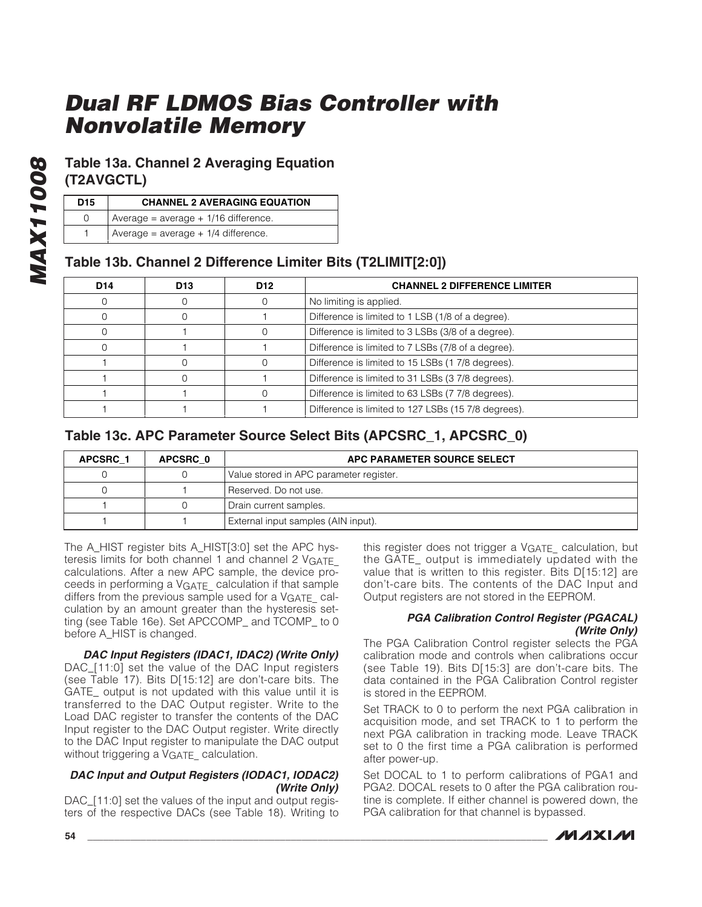### **Table 13a. Channel 2 Averaging Equation (T2AVGCTL)**

| D <sub>15</sub> | <b>CHANNEL 2 AVERAGING EQUATION</b>    |
|-----------------|----------------------------------------|
|                 | Average = $average + 1/16$ difference. |
|                 | Average = $average + 1/4$ difference.  |

### **Table 13b. Channel 2 Difference Limiter Bits (T2LIMIT[2:0])**

| D <sub>14</sub> | D <sub>13</sub> | D <sub>12</sub> | <b>CHANNEL 2 DIFFERENCE LIMITER</b>                 |
|-----------------|-----------------|-----------------|-----------------------------------------------------|
|                 |                 |                 | No limiting is applied.                             |
|                 |                 |                 | Difference is limited to 1 LSB (1/8 of a degree).   |
|                 |                 |                 | Difference is limited to 3 LSBs (3/8 of a degree).  |
|                 |                 |                 | Difference is limited to 7 LSBs (7/8 of a degree).  |
|                 |                 |                 | Difference is limited to 15 LSBs (17/8 degrees).    |
|                 |                 |                 | Difference is limited to 31 LSBs (3 7/8 degrees).   |
|                 |                 |                 | Difference is limited to 63 LSBs (7 7/8 degrees).   |
|                 |                 |                 | Difference is limited to 127 LSBs (15 7/8 degrees). |

### **Table 13c. APC Parameter Source Select Bits (APCSRC\_1, APCSRC\_0)**

| APCSRC 1 | APCSRC 0 | APC PARAMETER SOURCE SELECT             |  |  |
|----------|----------|-----------------------------------------|--|--|
|          |          | Value stored in APC parameter register. |  |  |
|          |          | Reserved. Do not use.                   |  |  |
|          |          | Drain current samples.                  |  |  |
|          |          | External input samples (AIN input).     |  |  |

The A\_HIST register bits A\_HIST[3:0] set the APC hysteresis limits for both channel 1 and channel 2 VGATE calculations. After a new APC sample, the device proceeds in performing a VGATE\_ calculation if that sample differs from the previous sample used for a VGATE calculation by an amount greater than the hysteresis setting (see Table 16e). Set APCCOMP\_ and TCOMP\_ to 0 before A\_HIST is changed.

**DAC Input Registers (IDAC1, IDAC2) (Write Only)** DAC\_[11:0] set the value of the DAC Input registers (see Table 17). Bits D[15:12] are don't-care bits. The GATE output is not updated with this value until it is transferred to the DAC Output register. Write to the Load DAC register to transfer the contents of the DAC Input register to the DAC Output register. Write directly to the DAC Input register to manipulate the DAC output without triggering a V<sub>GATE</sub> calculation.

#### **DAC Input and Output Registers (IODAC1, IODAC2) (Write Only)**

DAC\_[11:0] set the values of the input and output registers of the respective DACs (see Table 18). Writing to this register does not trigger a V<sub>GATE</sub> calculation, but the GATE\_ output is immediately updated with the value that is written to this register. Bits D[15:12] are don't-care bits. The contents of the DAC Input and Output registers are not stored in the EEPROM.

#### **PGA Calibration Control Register (PGACAL) (Write Only)**

The PGA Calibration Control register selects the PGA calibration mode and controls when calibrations occur (see Table 19). Bits D[15:3] are don't-care bits. The data contained in the PGA Calibration Control register is stored in the EEPROM.

Set TRACK to 0 to perform the next PGA calibration in acquisition mode, and set TRACK to 1 to perform the next PGA calibration in tracking mode. Leave TRACK set to 0 the first time a PGA calibration is performed after power-up.

Set DOCAL to 1 to perform calibrations of PGA1 and PGA2. DOCAL resets to 0 after the PGA calibration routine is complete. If either channel is powered down, the PGA calibration for that channel is bypassed.

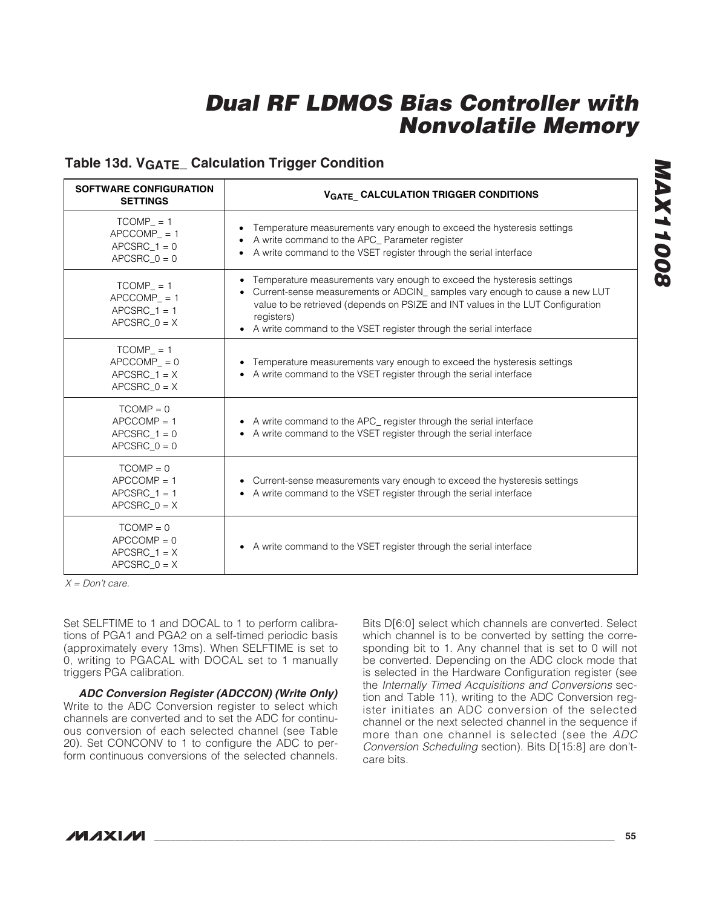### **Table 13d. VGATE\_ Calculation Trigger Condition**

| <b>SOFTWARE CONFIGURATION</b><br><b>SETTINGS</b>                 | <b>VGATE CALCULATION TRIGGER CONDITIONS</b>                                                                                                                                                                                                                                                                                     |
|------------------------------------------------------------------|---------------------------------------------------------------------------------------------------------------------------------------------------------------------------------------------------------------------------------------------------------------------------------------------------------------------------------|
| $TCOMP = 1$<br>$APCCOMP = 1$<br>APCSRC $1 = 0$<br>$APCSRC_0 = 0$ | Temperature measurements vary enough to exceed the hysteresis settings<br>A write command to the APC_ Parameter register<br>A write command to the VSET register through the serial interface                                                                                                                                   |
| $TCOMP = 1$<br>$APCCOMP = 1$<br>APCSRC $1 = 1$<br>APCSRC $0 = X$ | • Temperature measurements vary enough to exceed the hysteresis settings<br>Current-sense measurements or ADCIN_ samples vary enough to cause a new LUT<br>value to be retrieved (depends on PSIZE and INT values in the LUT Configuration<br>registers)<br>• A write command to the VSET register through the serial interface |
| $TCOMP = 1$<br>$APCCOMP = 0$<br>$APCSRC_1 = X$<br>$APCSRC_0 = X$ | Temperature measurements vary enough to exceed the hysteresis settings<br>• A write command to the VSET register through the serial interface                                                                                                                                                                                   |
| $TCOMP = 0$<br>$APCCOMP = 1$<br>APCSRC $1 = 0$<br>$APCSRC_0 = 0$ | • A write command to the APC_ register through the serial interface<br>• A write command to the VSET register through the serial interface                                                                                                                                                                                      |
| $TCOMP = 0$<br>$APCCOMP = 1$<br>$APCSRC_1 = 1$<br>APCSRC $0 = X$ | • Current-sense measurements vary enough to exceed the hysteresis settings<br>• A write command to the VSET register through the serial interface                                                                                                                                                                               |
| $TCOMP = 0$<br>$APCCOMP = 0$<br>APCSRC $1 = X$<br>$APCSRC_0 = X$ | • A write command to the VSET register through the serial interface                                                                                                                                                                                                                                                             |

 $X = Don't care.$ 

Set SELFTIME to 1 and DOCAL to 1 to perform calibrations of PGA1 and PGA2 on a self-timed periodic basis (approximately every 13ms). When SELFTIME is set to 0, writing to PGACAL with DOCAL set to 1 manually triggers PGA calibration.

**ADC Conversion Register (ADCCON) (Write Only)** Write to the ADC Conversion register to select which channels are converted and to set the ADC for continuous conversion of each selected channel (see Table 20). Set CONCONV to 1 to configure the ADC to perform continuous conversions of the selected channels.

Bits D[6:0] select which channels are converted. Select which channel is to be converted by setting the corresponding bit to 1. Any channel that is set to 0 will not be converted. Depending on the ADC clock mode that is selected in the Hardware Configuration register (see the Internally Timed Acquisitions and Conversions section and Table 11), writing to the ADC Conversion register initiates an ADC conversion of the selected channel or the next selected channel in the sequence if more than one channel is selected (see the ADC Conversion Scheduling section). Bits D[15:8] are don'tcare bits.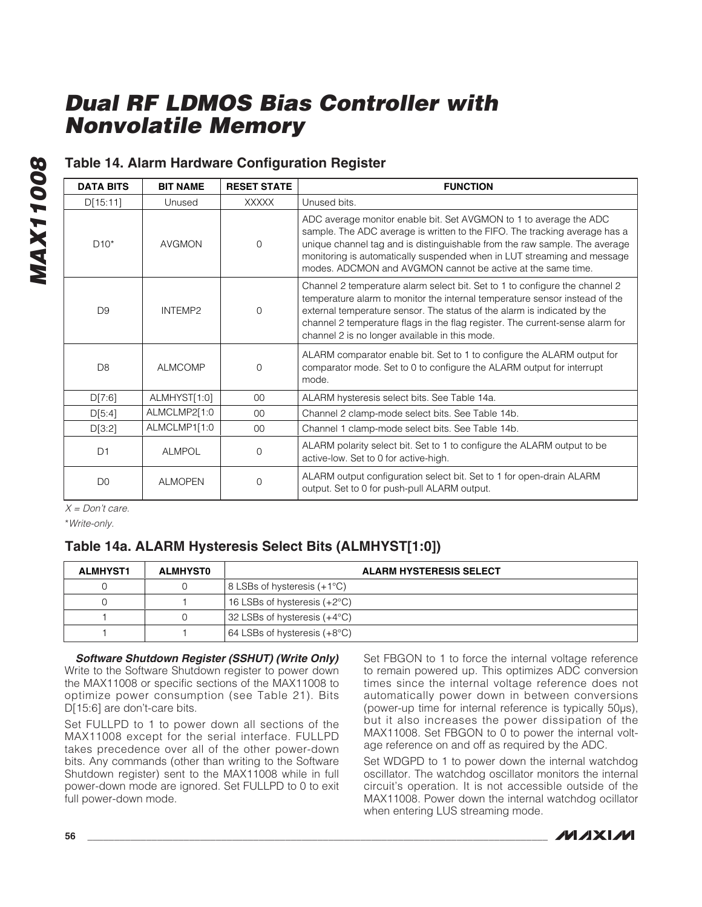### **Table 14. Alarm Hardware Configuration Register**

| <b>DATA BITS</b> | <b>BIT NAME</b> | <b>RESET STATE</b> | <b>FUNCTION</b>                                                                                                                                                                                                                                                                                                                                                           |
|------------------|-----------------|--------------------|---------------------------------------------------------------------------------------------------------------------------------------------------------------------------------------------------------------------------------------------------------------------------------------------------------------------------------------------------------------------------|
| D[15:11]         | Unused          | <b>XXXXX</b>       | Unused bits.                                                                                                                                                                                                                                                                                                                                                              |
| $D10*$           | <b>AVGMON</b>   | $\mathbf 0$        | ADC average monitor enable bit. Set AVGMON to 1 to average the ADC<br>sample. The ADC average is written to the FIFO. The tracking average has a<br>unique channel tag and is distinguishable from the raw sample. The average<br>monitoring is automatically suspended when in LUT streaming and message<br>modes. ADCMON and AVGMON cannot be active at the same time.  |
| D <sub>9</sub>   | INTEMP2         | $\Omega$           | Channel 2 temperature alarm select bit. Set to 1 to configure the channel 2<br>temperature alarm to monitor the internal temperature sensor instead of the<br>external temperature sensor. The status of the alarm is indicated by the<br>channel 2 temperature flags in the flag register. The current-sense alarm for<br>channel 2 is no longer available in this mode. |
| D <sub>8</sub>   | <b>ALMCOMP</b>  | $\Omega$           | ALARM comparator enable bit. Set to 1 to configure the ALARM output for<br>comparator mode. Set to 0 to configure the ALARM output for interrupt<br>mode.                                                                                                                                                                                                                 |
| D[7:6]           | ALMHYST[1:0]    | $00\,$             | ALARM hysteresis select bits. See Table 14a.                                                                                                                                                                                                                                                                                                                              |
| D[5:4]           | ALMCLMP2[1:0    | 0 <sup>0</sup>     | Channel 2 clamp-mode select bits. See Table 14b.                                                                                                                                                                                                                                                                                                                          |
| D[3:2]           | ALMCLMP1[1:0    | 00 <sup>1</sup>    | Channel 1 clamp-mode select bits. See Table 14b.                                                                                                                                                                                                                                                                                                                          |
| D1               | <b>ALMPOL</b>   | 0                  | ALARM polarity select bit. Set to 1 to configure the ALARM output to be<br>active-low. Set to 0 for active-high.                                                                                                                                                                                                                                                          |
| D <sub>0</sub>   | <b>ALMOPEN</b>  | $\Omega$           | ALARM output configuration select bit. Set to 1 for open-drain ALARM<br>output. Set to 0 for push-pull ALARM output.                                                                                                                                                                                                                                                      |

 $X = Don't care.$ 

\*Write-only.

### **Table 14a. ALARM Hysteresis Select Bits (ALMHYST[1:0])**

| <b>ALMHYST1</b> | <b>ALMHYSTO</b> | <b>ALARM HYSTERESIS SELECT</b>                  |  |  |
|-----------------|-----------------|-------------------------------------------------|--|--|
|                 |                 | $\vert$ 8 LSBs of hysteresis (+1 $\degree$ C)   |  |  |
|                 |                 | 16 LSBs of hysteresis $(+2^{\circ}C)$           |  |  |
|                 |                 | 32 LSBs of hysteresis $(+4^{\circ}C)$           |  |  |
|                 |                 | $\vert$ 64 LSBs of hysteresis (+8 $^{\circ}$ C) |  |  |

**Software Shutdown Register (SSHUT) (Write Only)** Write to the Software Shutdown register to power down the MAX11008 or specific sections of the MAX11008 to optimize power consumption (see Table 21). Bits D[15:6] are don't-care bits.

Set FULLPD to 1 to power down all sections of the MAX11008 except for the serial interface. FULLPD takes precedence over all of the other power-down bits. Any commands (other than writing to the Software Shutdown register) sent to the MAX11008 while in full power-down mode are ignored. Set FULLPD to 0 to exit full power-down mode.

Set FBGON to 1 to force the internal voltage reference to remain powered up. This optimizes ADC conversion times since the internal voltage reference does not automatically power down in between conversions (power-up time for internal reference is typically 50µs), but it also increases the power dissipation of the MAX11008. Set FBGON to 0 to power the internal voltage reference on and off as required by the ADC.

Set WDGPD to 1 to power down the internal watchdog oscillator. The watchdog oscillator monitors the internal circuit's operation. It is not accessible outside of the MAX11008. Power down the internal watchdog ocillator when entering LUS streaming mode.

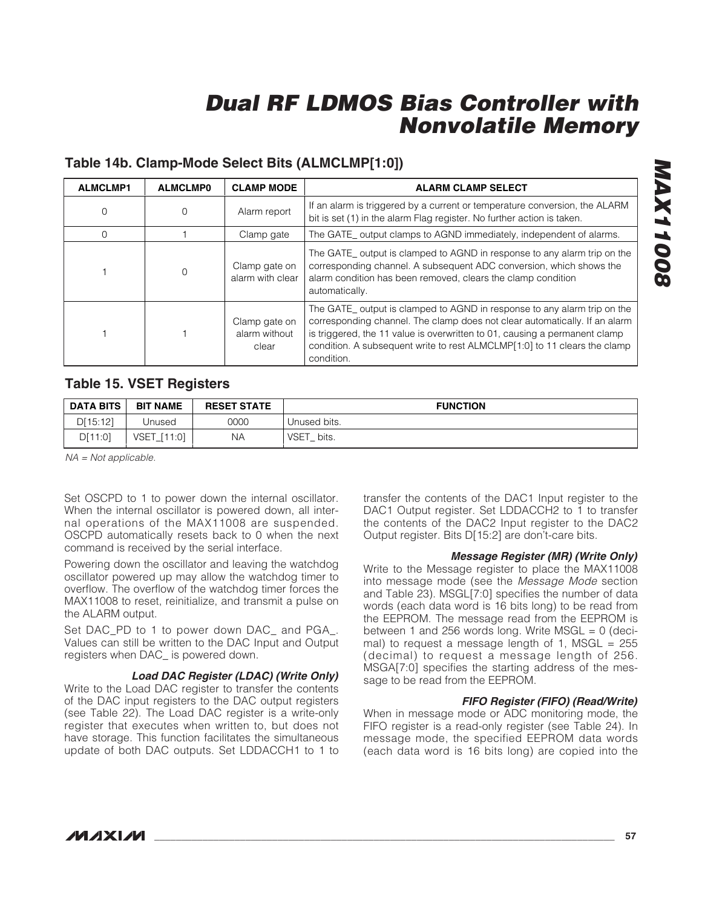### **Table 14b. Clamp-Mode Select Bits (ALMCLMP[1:0])**

| <b>ALMCLMP1</b> | <b>ALMCLMP0</b> | <b>CLAMP MODE</b>                       | <b>ALARM CLAMP SELECT</b>                                                                                                                                                                                                                                                                                                      |
|-----------------|-----------------|-----------------------------------------|--------------------------------------------------------------------------------------------------------------------------------------------------------------------------------------------------------------------------------------------------------------------------------------------------------------------------------|
| $\Omega$        |                 | Alarm report                            | If an alarm is triggered by a current or temperature conversion, the ALARM<br>bit is set (1) in the alarm Flag register. No further action is taken.                                                                                                                                                                           |
|                 |                 | Clamp gate                              | The GATE <sub>_</sub> output clamps to AGND immediately, independent of alarms.                                                                                                                                                                                                                                                |
|                 |                 | Clamp gate on<br>alarm with clear       | The GATE_ output is clamped to AGND in response to any alarm trip on the<br>corresponding channel. A subsequent ADC conversion, which shows the<br>alarm condition has been removed, clears the clamp condition<br>automatically.                                                                                              |
|                 |                 | Clamp gate on<br>alarm without<br>clear | The GATE output is clamped to AGND in response to any alarm trip on the<br>corresponding channel. The clamp does not clear automatically. If an alarm<br>is triggered, the 11 value is overwritten to 01, causing a permanent clamp<br>condition. A subsequent write to rest ALMCLMP[1:0] to 11 clears the clamp<br>condition. |

### **Table 15. VSET Registers**

| <b>DATA BITS</b> | <b>BIT NAME</b>       | <b>RESET STATE</b> | <b>FUNCTION</b> |
|------------------|-----------------------|--------------------|-----------------|
| D[15:12]         | Jnused                | 0000               | Unused bits.    |
| D[11:0]          | <b>VSET</b><br>[11:0] | ΝA                 | VSET_bits.      |

NA = Not applicable.

Set OSCPD to 1 to power down the internal oscillator. When the internal oscillator is powered down, all internal operations of the MAX11008 are suspended. OSCPD automatically resets back to 0 when the next command is received by the serial interface.

Powering down the oscillator and leaving the watchdog oscillator powered up may allow the watchdog timer to overflow. The overflow of the watchdog timer forces the MAX11008 to reset, reinitialize, and transmit a pulse on the ALARM output.

Set DAC\_PD to 1 to power down DAC\_ and PGA\_. Values can still be written to the DAC Input and Output registers when DAC\_ is powered down.

#### **Load DAC Register (LDAC) (Write Only)**

Write to the Load DAC register to transfer the contents of the DAC input registers to the DAC output registers (see Table 22). The Load DAC register is a write-only register that executes when written to, but does not have storage. This function facilitates the simultaneous update of both DAC outputs. Set LDDACCH1 to 1 to transfer the contents of the DAC1 Input register to the DAC1 Output register. Set LDDACCH2 to 1 to transfer the contents of the DAC2 Input register to the DAC2 Output register. Bits D[15:2] are don't-care bits.

#### **Message Register (MR) (Write Only)**

Write to the Message register to place the MAX11008 into message mode (see the Message Mode section and Table 23). MSGL[7:0] specifies the number of data words (each data word is 16 bits long) to be read from the EEPROM. The message read from the EEPROM is between 1 and 256 words long. Write  $MSGL = 0$  (decimal) to request a message length of 1, MSGL =  $255$ (decimal) to request a message length of 256. MSGA[7:0] specifies the starting address of the message to be read from the EEPROM.

#### **FIFO Register (FIFO) (Read/Write)**

When in message mode or ADC monitoring mode, the FIFO register is a read-only register (see Table 24). In message mode, the specified EEPROM data words (each data word is 16 bits long) are copied into the

# **MAX11008 MAX11008**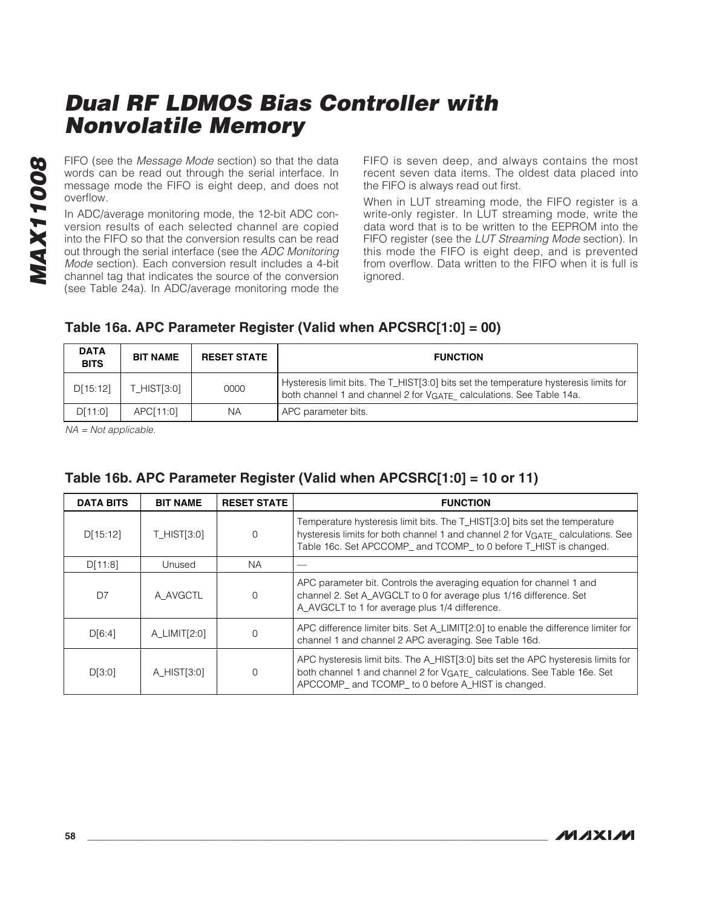FIFO (see the Message Mode section) so that the data words can be read out through the serial interface. In message mode the FIFO is eight deep, and does not overflow.

In ADC/average monitoring mode, the 12-bit ADC conversion results of each selected channel are copied into the FIFO so that the conversion results can be read out through the serial interface (see the ADC Monitoring Mode section). Each conversion result includes a 4-bit channel tag that indicates the source of the conversion (see Table 24a). In ADC/average monitoring mode the FIFO is seven deep, and always contains the most recent seven data items. The oldest data placed into the FIFO is always read out first.

When in LUT streaming mode, the FIFO register is a write-only register. In LUT streaming mode, write the data word that is to be written to the EEPROM into the FIFO register (see the LUT Streaming Mode section). In this mode the FIFO is eight deep, and is prevented from overflow. Data written to the FIFO when it is full is ignored.

| <b>DATA</b><br><b>BITS</b> | <b>BIT NAME</b> | <b>RESET STATE</b> | <b>FUNCTION</b>                                                                                                                                                          |
|----------------------------|-----------------|--------------------|--------------------------------------------------------------------------------------------------------------------------------------------------------------------------|
| D[15:12]                   | $T$ HIST[3:0]   | 0000               | Hysteresis limit bits. The T_HIST[3:0] bits set the temperature hysteresis limits for<br>both channel 1 and channel 2 for V <sub>GATE</sub> calculations. See Table 14a. |
| D[11:0]                    | APC[11:0]       | ΝA                 | APC parameter bits.                                                                                                                                                      |

### **Table 16a. APC Parameter Register (Valid when APCSRC[1:0] = 00)**

NA = Not applicable.

| <b>DATA BITS</b> | <b>BIT NAME</b> | <b>RESET STATE</b> | <b>FUNCTION</b>                                                                                                                                                                                                                    |
|------------------|-----------------|--------------------|------------------------------------------------------------------------------------------------------------------------------------------------------------------------------------------------------------------------------------|
| D[15:12]         | T_HIST[3:0]     |                    | Temperature hysteresis limit bits. The T_HIST[3:0] bits set the temperature<br>hysteresis limits for both channel 1 and channel 2 for VGATE calculations. See<br>Table 16c. Set APCCOMP_ and TCOMP_ to 0 before T_HIST is changed. |
| D[11:8]          | Unused          | <b>NA</b>          |                                                                                                                                                                                                                                    |
| D7               | A AVGCTL        | $\left( \right)$   | APC parameter bit. Controls the averaging equation for channel 1 and<br>channel 2. Set A AVGCLT to 0 for average plus 1/16 difference. Set<br>A_AVGCLT to 1 for average plus 1/4 difference.                                       |
| D[6:4]           | A LIMIT[2:0]    |                    | APC difference limiter bits. Set A LIMIT[2:0] to enable the difference limiter for<br>channel 1 and channel 2 APC averaging. See Table 16d.                                                                                        |
| D[3:0]           | A HIST[3:0]     |                    | APC hysteresis limit bits. The A_HIST[3:0] bits set the APC hysteresis limits for<br>both channel 1 and channel 2 for VGATE calculations. See Table 16e. Set<br>APCCOMP_ and TCOMP_ to 0 before A_HIST is changed.                 |

### **Table 16b. APC Parameter Register (Valid when APCSRC[1:0] = 10 or 11)**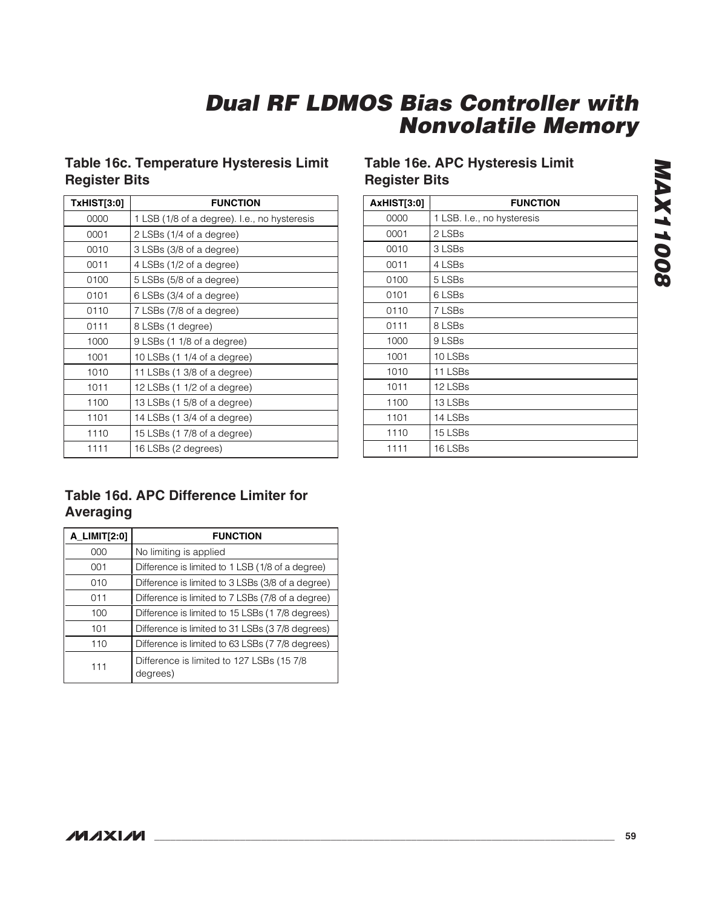### **Table 16c. Temperature Hysteresis Limit Register Bits**

| <b>TxHIST[3:0]</b> | <b>FUNCTION</b>                              |  |  |
|--------------------|----------------------------------------------|--|--|
| 0000               | 1 LSB (1/8 of a degree). I.e., no hysteresis |  |  |
| 0001               | 2 LSBs (1/4 of a degree)                     |  |  |
| 0010               | 3 LSBs (3/8 of a degree)                     |  |  |
| 0011               | 4 LSBs (1/2 of a degree)                     |  |  |
| 0100               | 5 LSBs (5/8 of a degree)                     |  |  |
| 0101               | 6 LSBs (3/4 of a degree)                     |  |  |
| 0110               | 7 LSBs (7/8 of a degree)                     |  |  |
| 0111               | 8 LSBs (1 degree)                            |  |  |
| 1000               | 9 LSBs (1 1/8 of a degree)                   |  |  |
| 1001               | 10 LSBs $(11/4)$ of a degree)                |  |  |
| 1010               | 11 LSBs (1 3/8 of a degree)                  |  |  |
| 1011               | 12 LSBs $(11/2)$ of a degree)                |  |  |
| 1100               | 13 LSBs (1 5/8 of a degree)                  |  |  |
| 1101               | 14 LSBs (1 3/4 of a degree)                  |  |  |
| 1110               | 15 LSBs (17/8 of a degree)                   |  |  |
| 1111               | 16 LSBs (2 degrees)                          |  |  |

### **Table 16e. APC Hysteresis Limit Register Bits**

| <b>AxHIST[3:0]</b> | <b>FUNCTION</b>            |
|--------------------|----------------------------|
| 0000               | 1 LSB. I.e., no hysteresis |
| 0001               | 2 LSBs                     |
| 0010               | 3 LSBs                     |
| 0011               | 4 LSBs                     |
| 0100               | 5 LSBs                     |
| 0101               | 6 LSBs                     |
| 0110               | 7 LSBs                     |
| 0111               | 8 LSBs                     |
| 1000               | 9 LSBs                     |
| 1001               | 10 LSBs                    |
| 1010               | 11 LSBs                    |
| 1011               | 12 LSBs                    |
| 1100               | 13 LSBs                    |
| 1101               | 14 LSBs                    |
| 1110               | 15 LSBs                    |
| 1111               | 16 LSBs                    |

# **Table 16d. APC Difference Limiter for Averaging**

| A_LIMIT[2:0] | <b>FUNCTION</b>                                        |
|--------------|--------------------------------------------------------|
| 000          | No limiting is applied                                 |
| 001          | Difference is limited to 1 LSB (1/8 of a degree)       |
| 010          | Difference is limited to 3 LSBs (3/8 of a degree)      |
| 011          | Difference is limited to 7 LSBs (7/8 of a degree)      |
| 100          | Difference is limited to 15 LSBs (17/8 degrees)        |
| 101          | Difference is limited to 31 LSBs (37/8 degrees)        |
| 110          | Difference is limited to 63 LSBs (7 7/8 degrees)       |
| 111          | Difference is limited to 127 LSBs (15 7/8)<br>degrees) |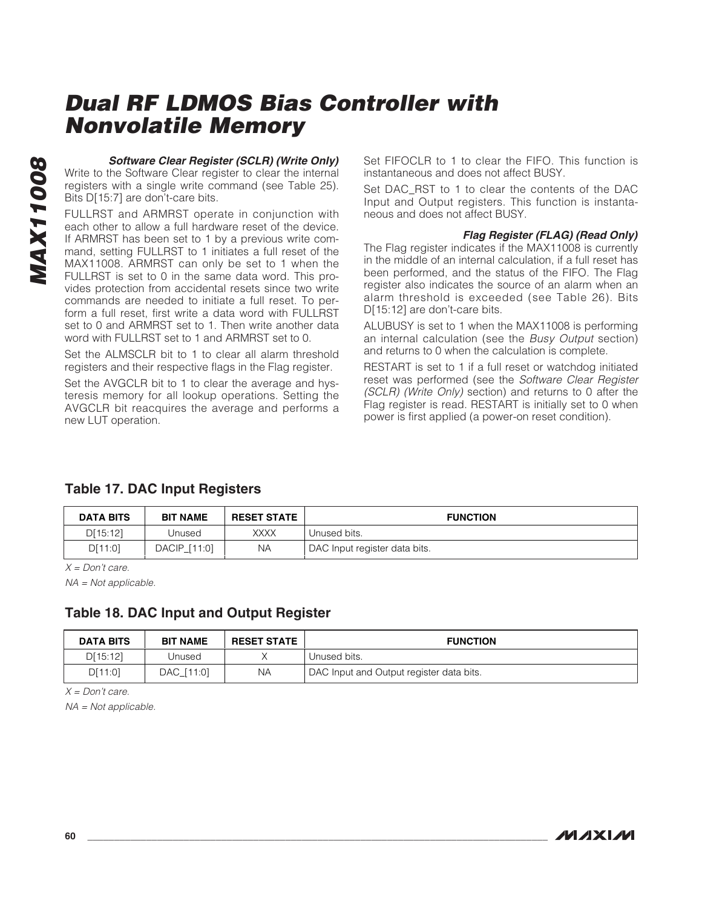**Software Clear Register (SCLR) (Write Only)** Write to the Software Clear register to clear the internal registers with a single write command (see Table 25).

Bits D[15:7] are don't-care bits. FULLRST and ARMRST operate in conjunction with each other to allow a full hardware reset of the device. If ARMRST has been set to 1 by a previous write command, setting FULLRST to 1 initiates a full reset of the MAX11008. ARMRST can only be set to 1 when the FULLRST is set to 0 in the same data word. This provides protection from accidental resets since two write commands are needed to initiate a full reset. To perform a full reset, first write a data word with FULLRST set to 0 and ARMRST set to 1. Then write another data word with FULLRST set to 1 and ARMRST set to 0.

Set the ALMSCLR bit to 1 to clear all alarm threshold registers and their respective flags in the Flag register.

Set the AVGCLR bit to 1 to clear the average and hysteresis memory for all lookup operations. Setting the AVGCLR bit reacquires the average and performs a new LUT operation.

Set FIFOCLR to 1 to clear the FIFO. This function is instantaneous and does not affect BUSY.

Set DAC\_RST to 1 to clear the contents of the DAC Input and Output registers. This function is instantaneous and does not affect BUSY.

#### **Flag Register (FLAG) (Read Only)**

The Flag register indicates if the MAX11008 is currently in the middle of an internal calculation, if a full reset has been performed, and the status of the FIFO. The Flag register also indicates the source of an alarm when an alarm threshold is exceeded (see Table 26). Bits D[15:12] are don't-care bits.

ALUBUSY is set to 1 when the MAX11008 is performing an internal calculation (see the Busy Output section) and returns to 0 when the calculation is complete.

RESTART is set to 1 if a full reset or watchdog initiated reset was performed (see the Software Clear Register (SCLR) (Write Only) section) and returns to 0 after the Flag register is read. RESTART is initially set to 0 when power is first applied (a power-on reset condition).

### **Table 17. DAC Input Registers**

| <b>DATA BITS</b> | <b>BIT NAME</b> | <b>RESET STATE</b> | <b>FUNCTION</b>                 |
|------------------|-----------------|--------------------|---------------------------------|
| D[15:12]         | Jnused          | <b>XXXX</b>        | Unused bits.                    |
| D[11:0]          | DACIP_[11:0]    | NА                 | I DAC Input register data bits. |

 $X = Don't care.$ 

NA = Not applicable.

### **Table 18. DAC Input and Output Register**

| DATA BITS | <b>BIT NAME</b> | <b>RESET STATE</b> | <b>FUNCTION</b>                          |
|-----------|-----------------|--------------------|------------------------------------------|
| D[15:12]  | Unused          |                    | Unused bits.                             |
| D[11:0]   | DAC_[11:0]      | ΝA                 | DAC Input and Output register data bits. |

 $X = Don't care.$ 

NA = Not applicable.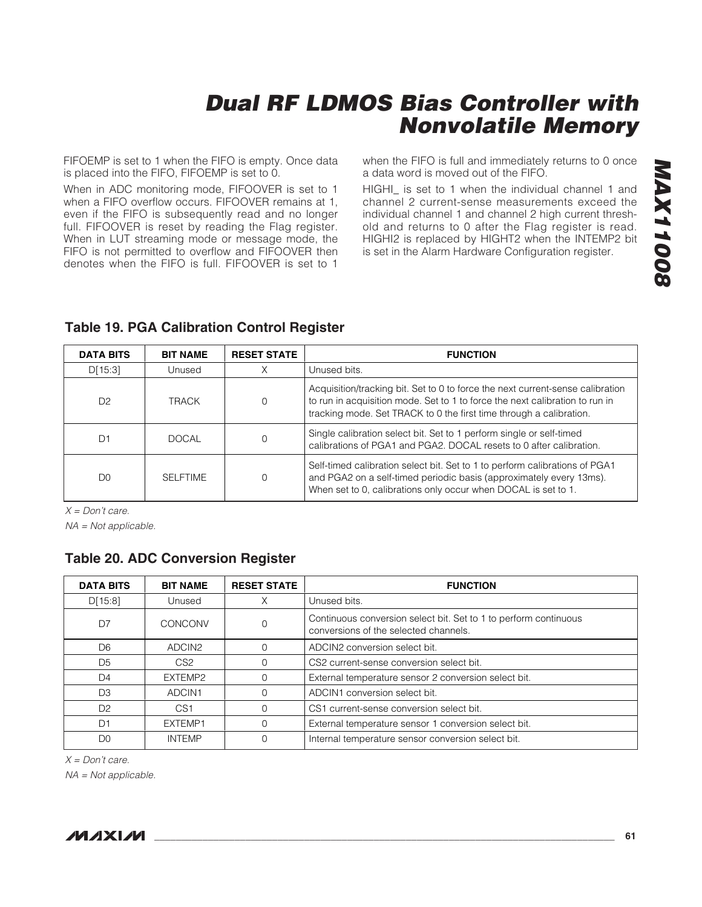FIFOEMP is set to 1 when the FIFO is empty. Once data is placed into the FIFO, FIFOEMP is set to 0.

When in ADC monitoring mode, FIFOOVER is set to 1 when a FIFO overflow occurs. FIFOOVER remains at 1, even if the FIFO is subsequently read and no longer full. FIFOOVER is reset by reading the Flag register. When in LUT streaming mode or message mode, the FIFO is not permitted to overflow and FIFOOVER then denotes when the FIFO is full. FIFOOVER is set to 1

when the FIFO is full and immediately returns to 0 once a data word is moved out of the FIFO.

HIGHI\_ is set to 1 when the individual channel 1 and channel 2 current-sense measurements exceed the individual channel 1 and channel 2 high current threshold and returns to 0 after the Flag register is read. HIGHI2 is replaced by HIGHT2 when the INTEMP2 bit is set in the Alarm Hardware Configuration register.

# **Table 19. PGA Calibration Control Register**

| <b>DATA BITS</b> | <b>BIT NAME</b> | <b>RESET STATE</b> | <b>FUNCTION</b>                                                                                                                                                                                                                       |
|------------------|-----------------|--------------------|---------------------------------------------------------------------------------------------------------------------------------------------------------------------------------------------------------------------------------------|
| D[15:3]          | Unused          | Χ                  | Unused bits.                                                                                                                                                                                                                          |
| D <sub>2</sub>   | TRACK           | 0                  | Acquisition/tracking bit. Set to 0 to force the next current-sense calibration<br>to run in acquisition mode. Set to 1 to force the next calibration to run in<br>tracking mode. Set TRACK to 0 the first time through a calibration. |
| D1               | <b>DOCAL</b>    | Ω                  | Single calibration select bit. Set to 1 perform single or self-timed<br>calibrations of PGA1 and PGA2. DOCAL resets to 0 after calibration.                                                                                           |
| D <sub>0</sub>   | <b>SELFTIME</b> | Ω                  | Self-timed calibration select bit. Set to 1 to perform calibrations of PGA1<br>and PGA2 on a self-timed periodic basis (approximately every 13ms).<br>When set to 0, calibrations only occur when DOCAL is set to 1.                  |

 $X = Don't care.$ 

NA = Not applicable.

### **Table 20. ADC Conversion Register**

| <b>DATA BITS</b> | <b>BIT NAME</b>    | <b>RESET STATE</b> | <b>FUNCTION</b>                                                                                           |
|------------------|--------------------|--------------------|-----------------------------------------------------------------------------------------------------------|
| D[15:8]          | Unused             | X                  | Unused bits.                                                                                              |
| D7               | CONCONV            | 0                  | Continuous conversion select bit. Set to 1 to perform continuous<br>conversions of the selected channels. |
| D <sub>6</sub>   | ADCIN <sub>2</sub> |                    | ADCIN2 conversion select bit.                                                                             |
| D5               | CS <sub>2</sub>    | O                  | CS2 current-sense conversion select bit.                                                                  |
| D4               | EXTEMP2            |                    | External temperature sensor 2 conversion select bit.                                                      |
| D <sub>3</sub>   | ADCIN1             |                    | ADCIN1 conversion select bit.                                                                             |
| D <sub>2</sub>   | CS1                | $\Omega$           | CS1 current-sense conversion select bit.                                                                  |
| D1               | EXTEMP1            | Ω                  | External temperature sensor 1 conversion select bit.                                                      |
| D <sub>0</sub>   | <b>INTEMP</b>      | 0                  | Internal temperature sensor conversion select bit.                                                        |

 $X = Don't care.$ 

NA = Not applicable.

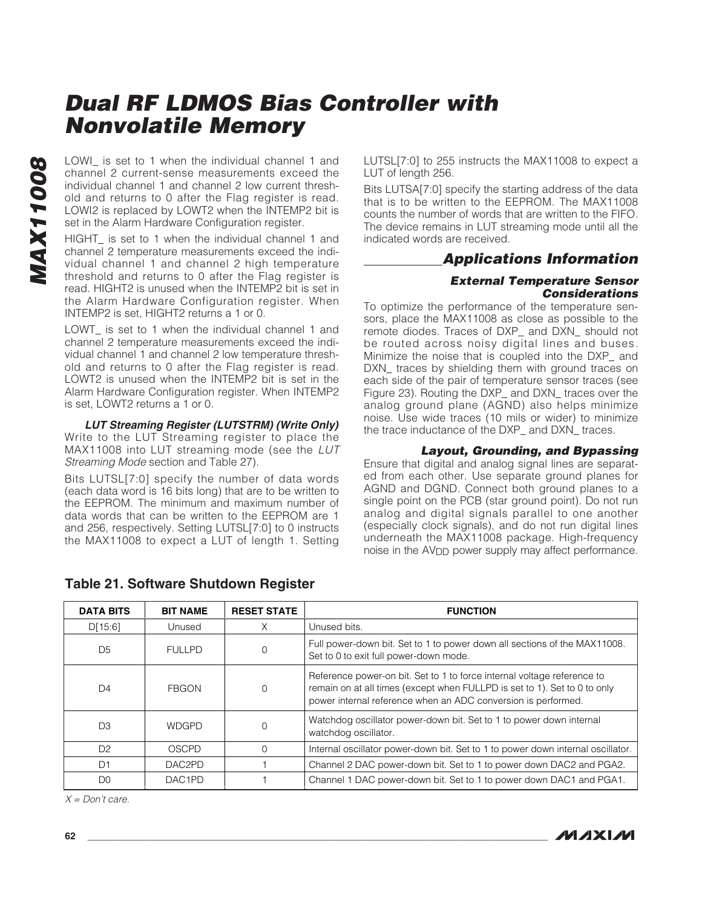LOWI\_ is set to 1 when the individual channel 1 and channel 2 current-sense measurements exceed the individual channel 1 and channel 2 low current threshold and returns to 0 after the Flag register is read. LOWI2 is replaced by LOWT2 when the INTEMP2 bit is set in the Alarm Hardware Configuration register.

HIGHT\_ is set to 1 when the individual channel 1 and channel 2 temperature measurements exceed the individual channel 1 and channel 2 high temperature threshold and returns to 0 after the Flag register is read. HIGHT2 is unused when the INTEMP2 bit is set in the Alarm Hardware Configuration register. When INTEMP2 is set, HIGHT2 returns a 1 or 0.

LOWT is set to 1 when the individual channel 1 and channel 2 temperature measurements exceed the individual channel 1 and channel 2 low temperature threshold and returns to 0 after the Flag register is read. LOWT2 is unused when the INTEMP2 bit is set in the Alarm Hardware Configuration register. When INTEMP2 is set, LOWT2 returns a 1 or 0.

**LUT Streaming Register (LUTSTRM) (Write Only)** Write to the LUT Streaming register to place the MAX11008 into LUT streaming mode (see the LUT Streaming Mode section and Table 27).

Bits LUTSL[7:0] specify the number of data words (each data word is 16 bits long) that are to be written to the EEPROM. The minimum and maximum number of data words that can be written to the EEPROM are 1 and 256, respectively. Setting LUTSL[7:0] to 0 instructs the MAX11008 to expect a LUT of length 1. Setting

LUTSL[7:0] to 255 instructs the MAX11008 to expect a LUT of length 256.

Bits LUTSA[7:0] specify the starting address of the data that is to be written to the EEPROM. The MAX11008 counts the number of words that are written to the FIFO. The device remains in LUT streaming mode until all the indicated words are received.

### **Applications Information**

#### **External Temperature Sensor Considerations**

To optimize the performance of the temperature sensors, place the MAX11008 as close as possible to the remote diodes. Traces of DXP\_ and DXN\_ should not be routed across noisy digital lines and buses. Minimize the noise that is coupled into the DXP\_ and DXN traces by shielding them with ground traces on each side of the pair of temperature sensor traces (see Figure 23). Routing the DXP\_ and DXN\_ traces over the analog ground plane (AGND) also helps minimize noise. Use wide traces (10 mils or wider) to minimize the trace inductance of the DXP\_ and DXN\_ traces.

#### **Layout, Grounding, and Bypassing**

Ensure that digital and analog signal lines are separated from each other. Use separate ground planes for AGND and DGND. Connect both ground planes to a single point on the PCB (star ground point). Do not run analog and digital signals parallel to one another (especially clock signals), and do not run digital lines underneath the MAX11008 package. High-frequency noise in the AV<sub>DD</sub> power supply may affect performance.

| <b>DATA BITS</b> | <b>BIT NAME</b>     | <b>RESET STATE</b> | <b>FUNCTION</b>                                                                                                                                                                                                       |
|------------------|---------------------|--------------------|-----------------------------------------------------------------------------------------------------------------------------------------------------------------------------------------------------------------------|
| D[15:6]          | Unused              | X                  | Unused bits.                                                                                                                                                                                                          |
| D <sub>5</sub>   | <b>FULLPD</b>       | 0                  | Full power-down bit. Set to 1 to power down all sections of the MAX11008.<br>Set to 0 to exit full power-down mode.                                                                                                   |
| D4               | <b>FBGON</b>        | $\Omega$           | Reference power-on bit. Set to 1 to force internal voltage reference to<br>remain on at all times (except when FULLPD is set to 1). Set to 0 to only<br>power internal reference when an ADC conversion is performed. |
| D <sub>3</sub>   | <b>WDGPD</b>        | 0                  | Watchdog oscillator power-down bit. Set to 1 to power down internal<br>watchdog oscillator.                                                                                                                           |
| D <sub>2</sub>   | <b>OSCPD</b>        | O                  | Internal oscillator power-down bit. Set to 1 to power down internal oscillator.                                                                                                                                       |
| D1               | DAC2PD              |                    | Channel 2 DAC power-down bit. Set to 1 to power down DAC2 and PGA2.                                                                                                                                                   |
| D0               | DAC <sub>1</sub> PD |                    | Channel 1 DAC power-down bit. Set to 1 to power down DAC1 and PGA1.                                                                                                                                                   |

### **Table 21. Software Shutdown Register**

 $X = Don't care.$ 



**MAXIM**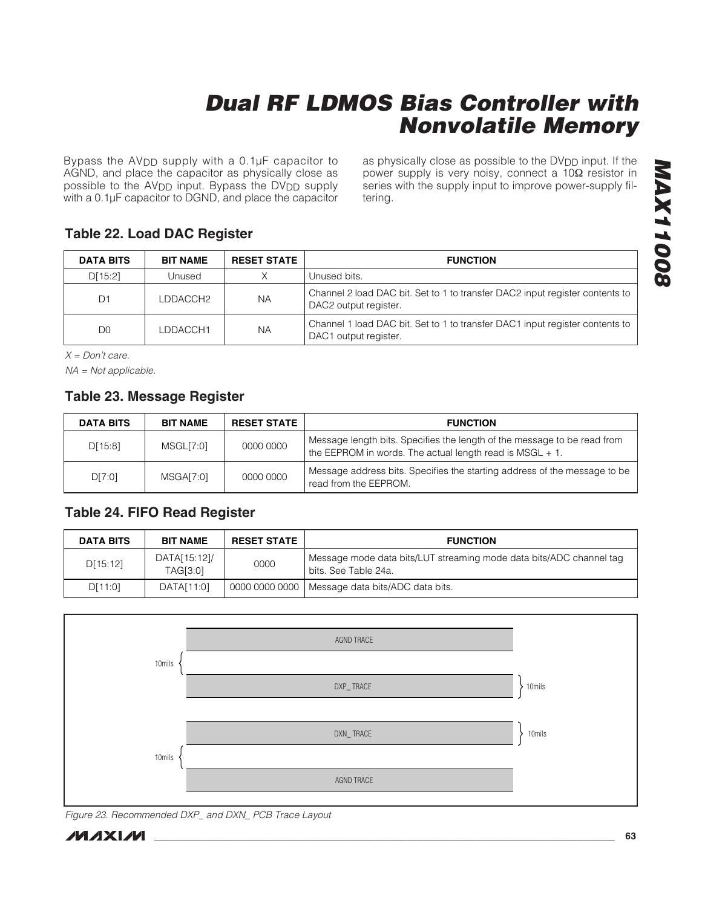Bypass the AVDD supply with a 0.1µF capacitor to AGND, and place the capacitor as physically close as possible to the AV<sub>DD</sub> input. Bypass the DV<sub>DD</sub> supply with a 0.1µF capacitor to DGND, and place the capacitor as physically close as possible to the DV<sub>DD</sub> input. If the power supply is very noisy, connect a 10Ω resistor in series with the supply input to improve power-supply filtering.

### **Table 22. Load DAC Register**

| <b>DATA BITS</b> | <b>BIT NAME</b> | <b>RESET STATE</b> | <b>FUNCTION</b>                                                                                       |
|------------------|-----------------|--------------------|-------------------------------------------------------------------------------------------------------|
| D[15:2]          | Unused          | Χ                  | Unused bits.                                                                                          |
| D <sub>1</sub>   | LDDACCH2        | NA                 | Channel 2 load DAC bit. Set to 1 to transfer DAC2 input register contents to<br>DAC2 output register. |
| D <sub>0</sub>   | LDDACCH1        | <b>NA</b>          | Channel 1 load DAC bit. Set to 1 to transfer DAC1 input register contents to<br>DAC1 output register. |

 $X = Don't care.$ 

NA = Not applicable.

### **Table 23. Message Register**

| <b>DATA BITS</b> | <b>BIT NAME</b> | <b>RESET STATE</b> | <b>FUNCTION</b>                                                                                                                      |
|------------------|-----------------|--------------------|--------------------------------------------------------------------------------------------------------------------------------------|
| D[15:8]          | MSGL[7:0]       | 0000 0000          | Message length bits. Specifies the length of the message to be read from<br>the EEPROM in words. The actual length read is MSGL + 1. |
| D[7:0]           | MSGA[7:0]       | 0000 0000          | Message address bits. Specifies the starting address of the message to be<br>read from the EEPROM.                                   |

### **Table 24. FIFO Read Register**

| <b>DATA BITS</b> | <b>BIT NAME</b>          | <b>RESET STATE</b> | <b>FUNCTION</b>                                                                             |
|------------------|--------------------------|--------------------|---------------------------------------------------------------------------------------------|
| D[15:12]         | DATA[15:12]/<br>TAG[3:0] | 0000               | Message mode data bits/LUT streaming mode data bits/ADC channel tag<br>bits, See Table 24a. |
| D[11:0]          | DATA[11:0]               |                    | 0000 0000 0000   Message data bits/ADC data bits.                                           |



Figure 23. Recommended DXP\_ and DXN\_ PCB Trace Layout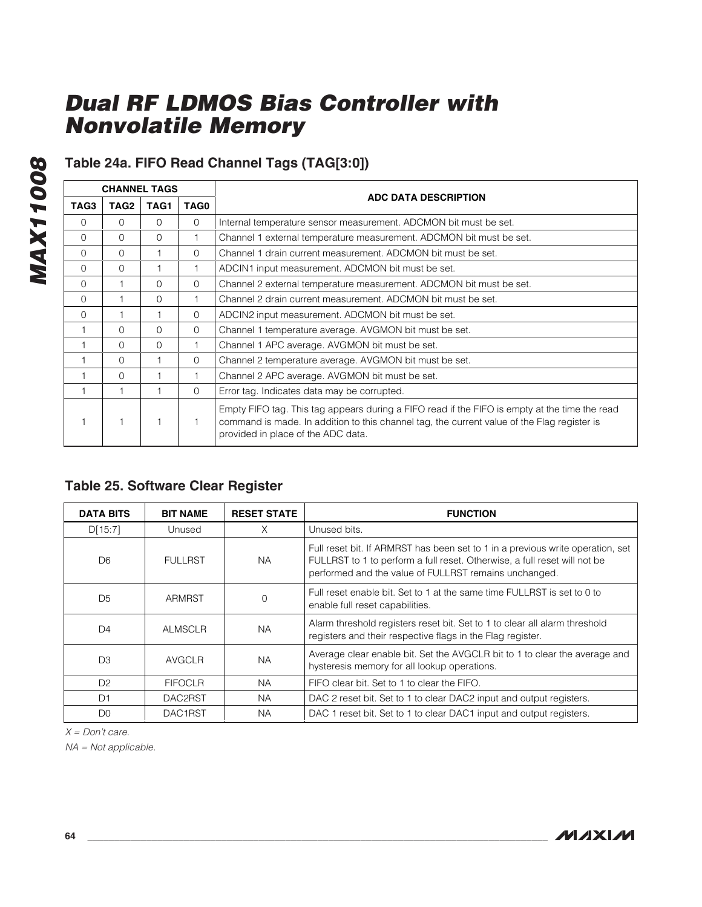# **Table 24a. FIFO Read Channel Tags (TAG[3:0])**

| <b>CHANNEL TAGS</b> |                  |      |          |                                                                                                                                                                                                                                    |  |  |
|---------------------|------------------|------|----------|------------------------------------------------------------------------------------------------------------------------------------------------------------------------------------------------------------------------------------|--|--|
| TAG3                | TAG <sub>2</sub> | TAG1 | TAG0     | ADC DATA DESCRIPTION                                                                                                                                                                                                               |  |  |
| $\Omega$            | $\Omega$         | 0    | 0        | Internal temperature sensor measurement. ADCMON bit must be set.                                                                                                                                                                   |  |  |
| $\Omega$            | $\Omega$         | 0    |          | Channel 1 external temperature measurement. ADCMON bit must be set.                                                                                                                                                                |  |  |
| $\Omega$            | $\Omega$         |      | $\Omega$ | Channel 1 drain current measurement. ADCMON bit must be set.                                                                                                                                                                       |  |  |
| $\Omega$            | $\Omega$         |      |          | ADCIN1 input measurement. ADCMON bit must be set.                                                                                                                                                                                  |  |  |
| $\Omega$            |                  | 0    | 0        | Channel 2 external temperature measurement. ADCMON bit must be set.                                                                                                                                                                |  |  |
| $\Omega$            |                  | 0    |          | Channel 2 drain current measurement. ADCMON bit must be set.                                                                                                                                                                       |  |  |
| $\Omega$            |                  |      | $\Omega$ | ADCIN2 input measurement. ADCMON bit must be set.                                                                                                                                                                                  |  |  |
|                     | $\Omega$         | 0    | $\Omega$ | Channel 1 temperature average. AVGMON bit must be set.                                                                                                                                                                             |  |  |
|                     | $\Omega$         | 0    |          | Channel 1 APC average. AVGMON bit must be set.                                                                                                                                                                                     |  |  |
|                     | $\Omega$         |      | 0        | Channel 2 temperature average. AVGMON bit must be set.                                                                                                                                                                             |  |  |
|                     | $\Omega$         |      |          | Channel 2 APC average. AVGMON bit must be set.                                                                                                                                                                                     |  |  |
|                     |                  |      | $\Omega$ | Error tag. Indicates data may be corrupted.                                                                                                                                                                                        |  |  |
|                     |                  |      | 1.       | Empty FIFO tag. This tag appears during a FIFO read if the FIFO is empty at the time the read<br>command is made. In addition to this channel tag, the current value of the Flag register is<br>provided in place of the ADC data. |  |  |

### **Table 25. Software Clear Register**

| <b>DATA BITS</b> | <b>BIT NAME</b> | <b>RESET STATE</b> | <b>FUNCTION</b>                                                                                                                                                                                                      |
|------------------|-----------------|--------------------|----------------------------------------------------------------------------------------------------------------------------------------------------------------------------------------------------------------------|
| D[15:7]          | Unused          | X                  | Unused bits.                                                                                                                                                                                                         |
| D <sub>6</sub>   | <b>FULLRST</b>  | NA.                | Full reset bit. If ARMRST has been set to 1 in a previous write operation, set<br>FULLRST to 1 to perform a full reset. Otherwise, a full reset will not be<br>performed and the value of FULLRST remains unchanged. |
| D <sub>5</sub>   | ARMRST          | $\Omega$           | Full reset enable bit. Set to 1 at the same time FULLRST is set to 0 to<br>enable full reset capabilities.                                                                                                           |
| D <sub>4</sub>   | <b>ALMSCLR</b>  | <b>NA</b>          | Alarm threshold registers reset bit. Set to 1 to clear all alarm threshold<br>registers and their respective flags in the Flag register.                                                                             |
| D <sub>3</sub>   | <b>AVGCLR</b>   | <b>NA</b>          | Average clear enable bit. Set the AVGCLR bit to 1 to clear the average and<br>hysteresis memory for all lookup operations.                                                                                           |
| D <sub>2</sub>   | <b>FIFOCLR</b>  | <b>NA</b>          | FIFO clear bit. Set to 1 to clear the FIFO.                                                                                                                                                                          |
| D1               | DAC2RST         | NA.                | DAC 2 reset bit. Set to 1 to clear DAC2 input and output registers.                                                                                                                                                  |
| D <sub>0</sub>   | DAC1RST         | NА                 | DAC 1 reset bit. Set to 1 to clear DAC1 input and output registers.                                                                                                                                                  |

 $X = Don't care.$ 

NA = Not applicable.

**MAX11008**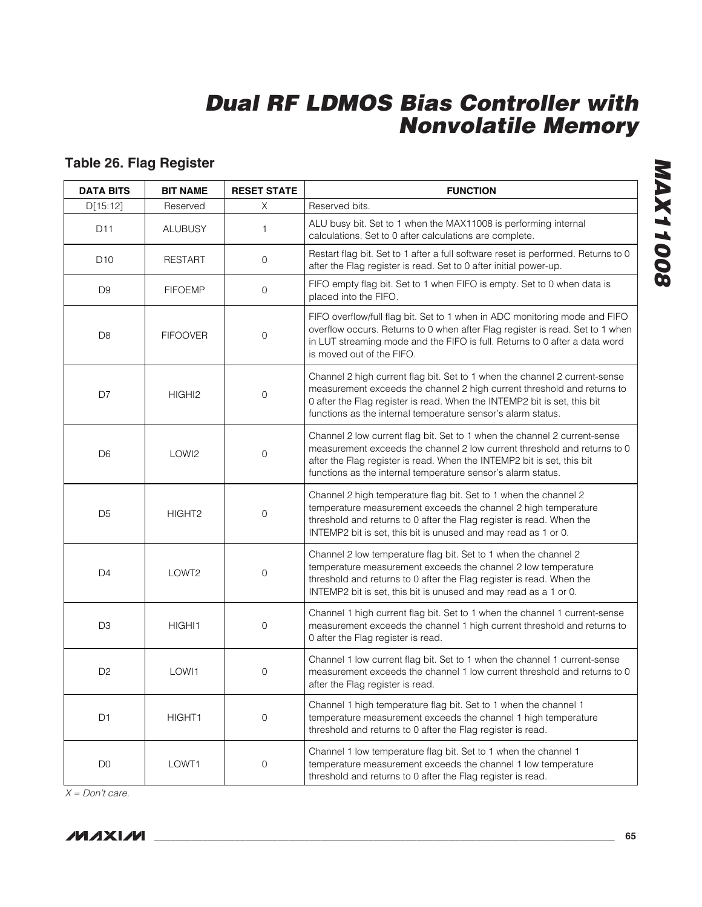# **Table 26. Flag Register**

| <b>DATA BITS</b> | <b>BIT NAME</b>    | <b>RESET STATE</b> | <b>FUNCTION</b>                                                                                                                                                                                                                                                                                   |  |
|------------------|--------------------|--------------------|---------------------------------------------------------------------------------------------------------------------------------------------------------------------------------------------------------------------------------------------------------------------------------------------------|--|
| D[15:12]         | Reserved           | X                  | Reserved bits.                                                                                                                                                                                                                                                                                    |  |
| D11              | <b>ALUBUSY</b>     | 1                  | ALU busy bit. Set to 1 when the MAX11008 is performing internal<br>calculations. Set to 0 after calculations are complete.                                                                                                                                                                        |  |
| D <sub>10</sub>  | <b>RESTART</b>     | 0                  | Restart flag bit. Set to 1 after a full software reset is performed. Returns to 0<br>after the Flag register is read. Set to 0 after initial power-up.                                                                                                                                            |  |
| D <sub>9</sub>   | <b>FIFOEMP</b>     | 0                  | FIFO empty flag bit. Set to 1 when FIFO is empty. Set to 0 when data is<br>placed into the FIFO.                                                                                                                                                                                                  |  |
| D <sub>8</sub>   | <b>FIFOOVER</b>    | 0                  | FIFO overflow/full flag bit. Set to 1 when in ADC monitoring mode and FIFO<br>overflow occurs. Returns to 0 when after Flag register is read. Set to 1 when<br>in LUT streaming mode and the FIFO is full. Returns to 0 after a data word<br>is moved out of the FIFO.                            |  |
| D7               | HIGHI <sub>2</sub> | 0                  | Channel 2 high current flag bit. Set to 1 when the channel 2 current-sense<br>measurement exceeds the channel 2 high current threshold and returns to<br>0 after the Flag register is read. When the INTEMP2 bit is set, this bit<br>functions as the internal temperature sensor's alarm status. |  |
| D <sub>6</sub>   | LOWI2              | 0                  | Channel 2 low current flag bit. Set to 1 when the channel 2 current-sense<br>measurement exceeds the channel 2 low current threshold and returns to 0<br>after the Flag register is read. When the INTEMP2 bit is set, this bit<br>functions as the internal temperature sensor's alarm status.   |  |
| D <sub>5</sub>   | HIGHT <sub>2</sub> | 0                  | Channel 2 high temperature flag bit. Set to 1 when the channel 2<br>temperature measurement exceeds the channel 2 high temperature<br>threshold and returns to 0 after the Flag register is read. When the<br>INTEMP2 bit is set, this bit is unused and may read as 1 or 0.                      |  |
| D <sub>4</sub>   | LOWT2              | 0                  | Channel 2 low temperature flag bit. Set to 1 when the channel 2<br>temperature measurement exceeds the channel 2 low temperature<br>threshold and returns to 0 after the Flag register is read. When the<br>INTEMP2 bit is set, this bit is unused and may read as a 1 or 0.                      |  |
| D <sub>3</sub>   | HIGHI1             | 0                  | Channel 1 high current flag bit. Set to 1 when the channel 1 current-sense<br>measurement exceeds the channel 1 high current threshold and returns to<br>0 after the Flag register is read.                                                                                                       |  |
| D <sub>2</sub>   | LOWI1              | 0                  | Channel 1 low current flag bit. Set to 1 when the channel 1 current-sense<br>measurement exceeds the channel 1 low current threshold and returns to 0<br>after the Flag register is read.                                                                                                         |  |
| D <sub>1</sub>   | HIGHT1             | 0                  | Channel 1 high temperature flag bit. Set to 1 when the channel 1<br>temperature measurement exceeds the channel 1 high temperature<br>threshold and returns to 0 after the Flag register is read.                                                                                                 |  |
| D <sub>0</sub>   | LOWT1              | 0                  | Channel 1 low temperature flag bit. Set to 1 when the channel 1<br>temperature measurement exceeds the channel 1 low temperature<br>threshold and returns to 0 after the Flag register is read.                                                                                                   |  |

**MAX11008 MAX11008**

 $X = Don't care.$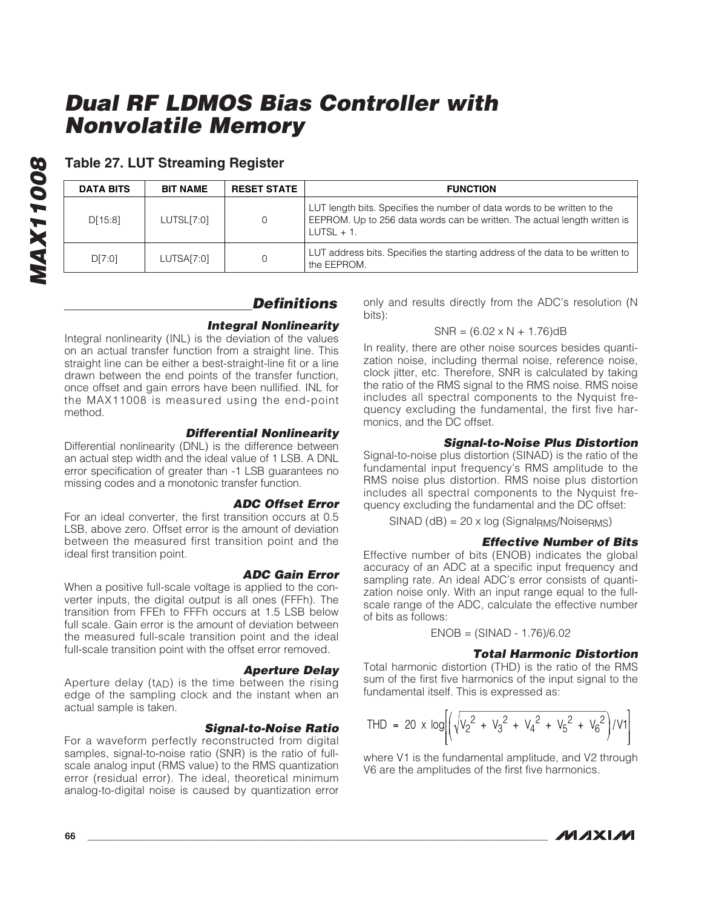| o<br>O  |
|---------|
|         |
| C.<br>Ξ |
| P       |
| Ė       |
| Y       |
|         |
|         |
|         |

### **Table 27. LUT Streaming Register**

| <b>DATA BITS</b> | <b>BIT NAME</b> | <b>RESET STATE</b> | <b>FUNCTION</b>                                                                                                                                                        |
|------------------|-----------------|--------------------|------------------------------------------------------------------------------------------------------------------------------------------------------------------------|
| D[15:8]          | LUTSL[7:0]      | $\Omega$           | LUT length bits. Specifies the number of data words to be written to the<br>EEPROM. Up to 256 data words can be written. The actual length written is<br>$LUTSL + 1$ . |
| D[7:0]           | LUTSA[7:0]      | 0                  | LUT address bits. Specifies the starting address of the data to be written to<br>the EEPROM.                                                                           |

### **Definitions**

### **Integral Nonlinearity**

Integral nonlinearity (INL) is the deviation of the values on an actual transfer function from a straight line. This straight line can be either a best-straight-line fit or a line drawn between the end points of the transfer function, once offset and gain errors have been nullified. INL for the MAX11008 is measured using the end-point method.

### **Differential Nonlinearity**

Differential nonlinearity (DNL) is the difference between an actual step width and the ideal value of 1 LSB. A DNL error specification of greater than -1 LSB guarantees no missing codes and a monotonic transfer function.

#### **ADC Offset Error**

For an ideal converter, the first transition occurs at 0.5 LSB, above zero. Offset error is the amount of deviation between the measured first transition point and the ideal first transition point.

**ADC Gain Error** When a positive full-scale voltage is applied to the converter inputs, the digital output is all ones (FFFh). The transition from FFEh to FFFh occurs at 1.5 LSB below full scale. Gain error is the amount of deviation between the measured full-scale transition point and the ideal full-scale transition point with the offset error removed.

#### **Aperture Delay**

Aperture delay  $(t_{AD})$  is the time between the rising edge of the sampling clock and the instant when an actual sample is taken.

#### **Signal-to-Noise Ratio**

For a waveform perfectly reconstructed from digital samples, signal-to-noise ratio (SNR) is the ratio of fullscale analog input (RMS value) to the RMS quantization error (residual error). The ideal, theoretical minimum analog-to-digital noise is caused by quantization error only and results directly from the ADC's resolution (N bits):

#### $SNR = (6.02 \times N + 1.76)dB$

In reality, there are other noise sources besides quantization noise, including thermal noise, reference noise, clock jitter, etc. Therefore, SNR is calculated by taking the ratio of the RMS signal to the RMS noise. RMS noise includes all spectral components to the Nyquist frequency excluding the fundamental, the first five harmonics, and the DC offset.

### **Signal-to-Noise Plus Distortion**

Signal-to-noise plus distortion (SINAD) is the ratio of the fundamental input frequency's RMS amplitude to the RMS noise plus distortion. RMS noise plus distortion includes all spectral components to the Nyquist frequency excluding the fundamental and the DC offset:

 $SINAD$  (dB) = 20 x log (Signal<sub>RMS</sub>/Noise<sub>RMS</sub>)

### **Effective Number of Bits**

Effective number of bits (ENOB) indicates the global accuracy of an ADC at a specific input frequency and sampling rate. An ideal ADC's error consists of quantization noise only. With an input range equal to the fullscale range of the ADC, calculate the effective number of bits as follows:

$$
ENOB = (SINAD - 1.76)/6.02
$$

### **Total Harmonic Distortion**

Total harmonic distortion (THD) is the ratio of the RMS sum of the first five harmonics of the input signal to the fundamental itself. This is expressed as:

$$
\text{THD} = 20 \times \log \left[ \left( \sqrt{{v_2}^2 + {v_3}^2 + {v_4}^2 + {v_5}^2 + {v_6}^2} \right) / {V1} \right]
$$

where V1 is the fundamental amplitude, and V2 through V6 are the amplitudes of the first five harmonics.

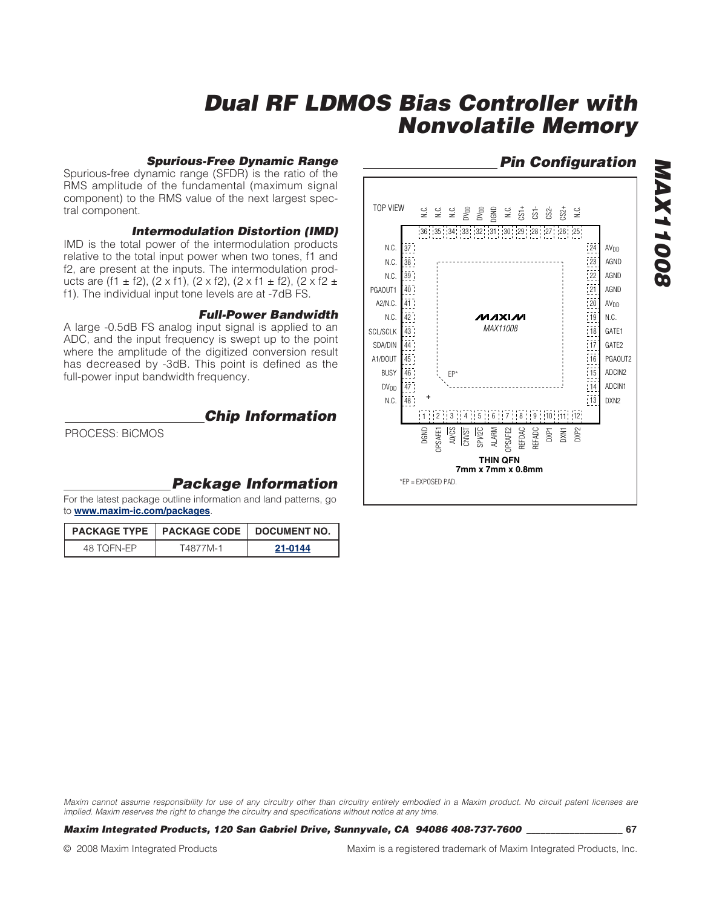#### **Spurious-Free Dynamic Range**

Spurious-free dynamic range (SFDR) is the ratio of the RMS amplitude of the fundamental (maximum signal component) to the RMS value of the next largest spectral component.

#### **Intermodulation Distortion (IMD)**

IMD is the total power of the intermodulation products relative to the total input power when two tones, f1 and f2, are present at the inputs. The intermodulation products are (f1  $\pm$  f2), (2 x f1), (2 x f2), (2 x f1  $\pm$  f2), (2 x f2  $\pm$ f1). The individual input tone levels are at -7dB FS.

#### **Full-Power Bandwidth**

A large -0.5dB FS analog input signal is applied to an ADC, and the input frequency is swept up to the point where the amplitude of the digitized conversion result has decreased by -3dB. This point is defined as the full-power input bandwidth frequency.

### **Chip Information**

PROCESS: BiCMOS

### **Package Information**

For the latest package outline information and land patterns, go to **www.maxim-ic.com/packages**.

|            | <b>PACKAGE TYPE   PACKAGE CODE   DOCUMENT NO.</b> |         |
|------------|---------------------------------------------------|---------|
| 48 TOFN-FP | T4877M-1                                          | 21-0144 |

### **Pin Configuration**

**MAX11008**

80011XVM



Maxim cannot assume responsibility for use of any circuitry other than circuitry entirely embodied in a Maxim product. No circuit patent licenses are implied. Maxim reserves the right to change the circuitry and specifications without notice at any time.

**Maxim Integrated Products, 120 San Gabriel Drive, Sunnyvale, CA 94086 408-737-7600 \_\_\_\_\_\_\_\_\_\_\_\_\_\_\_\_\_\_\_\_ 67**